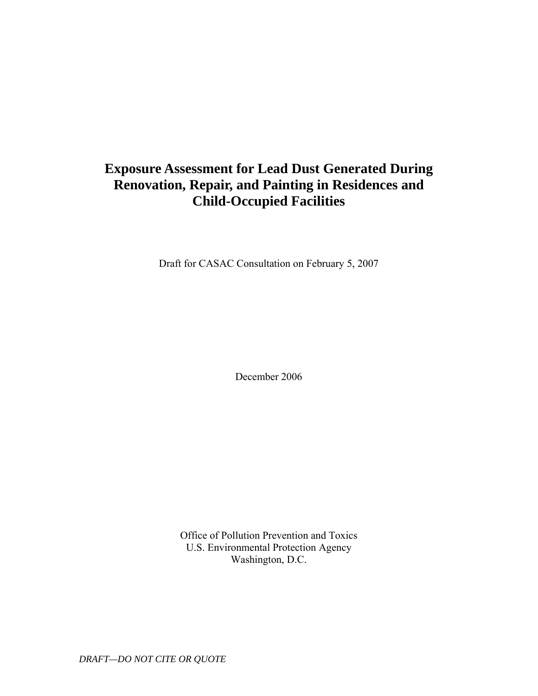# **Exposure Assessment for Lead Dust Generated During Renovation, Repair, and Painting in Residences and Child-Occupied Facilities**

Draft for CASAC Consultation on February 5, 2007

December 2006

Office of Pollution Prevention and Toxics U.S. Environmental Protection Agency Washington, D.C.

*DRAFT—DO NOT CITE OR QUOTE*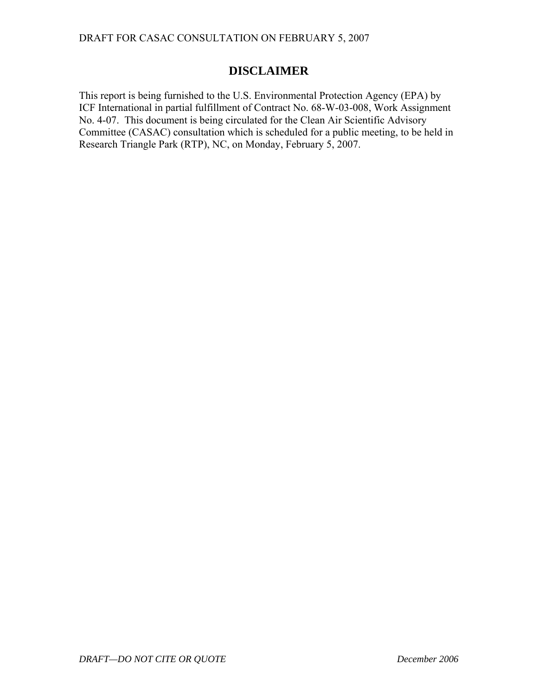## **DISCLAIMER**

This report is being furnished to the U.S. Environmental Protection Agency (EPA) by ICF International in partial fulfillment of Contract No. 68-W-03-008, Work Assignment No. 4-07. This document is being circulated for the Clean Air Scientific Advisory Committee (CASAC) consultation which is scheduled for a public meeting, to be held in Research Triangle Park (RTP), NC, on Monday, February 5, 2007.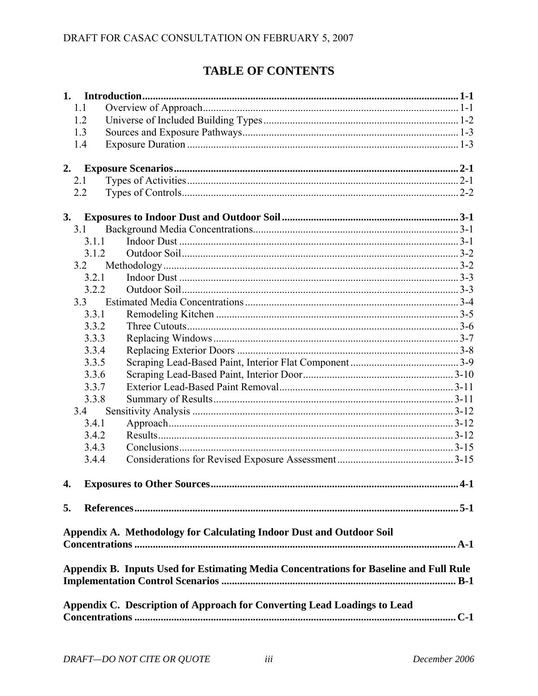# **TABLE OF CONTENTS**

| 1.1   |                                                                                        |       |
|-------|----------------------------------------------------------------------------------------|-------|
| 1.2   |                                                                                        |       |
| 1.3   |                                                                                        |       |
| 1.4   |                                                                                        |       |
| 2.    |                                                                                        |       |
| 2.1   |                                                                                        |       |
| 2.2   |                                                                                        |       |
| 3.    |                                                                                        |       |
| 3.1   |                                                                                        |       |
| 3.1.1 |                                                                                        |       |
| 3.1.2 |                                                                                        |       |
| 3.2   |                                                                                        |       |
| 3.2.1 |                                                                                        |       |
| 3.2.2 |                                                                                        |       |
| 3.3   |                                                                                        |       |
| 3.3.1 |                                                                                        |       |
| 3.3.2 |                                                                                        |       |
| 3.3.3 |                                                                                        |       |
| 3.3.4 |                                                                                        |       |
| 3.3.5 |                                                                                        |       |
| 3.3.6 |                                                                                        |       |
| 3.3.7 |                                                                                        |       |
| 3.3.8 |                                                                                        |       |
| 3.4   |                                                                                        |       |
| 3.4.1 |                                                                                        |       |
| 3.4.2 |                                                                                        |       |
| 3.4.3 |                                                                                        |       |
| 3.4.4 |                                                                                        |       |
|       |                                                                                        | $4-1$ |
| 5.    |                                                                                        |       |
|       | Appendix A. Methodology for Calculating Indoor Dust and Outdoor Soil                   |       |
|       |                                                                                        |       |
|       | Appendix B. Inputs Used for Estimating Media Concentrations for Baseline and Full Rule |       |
|       | Appendix C. Description of Approach for Converting Lead Loadings to Lead               |       |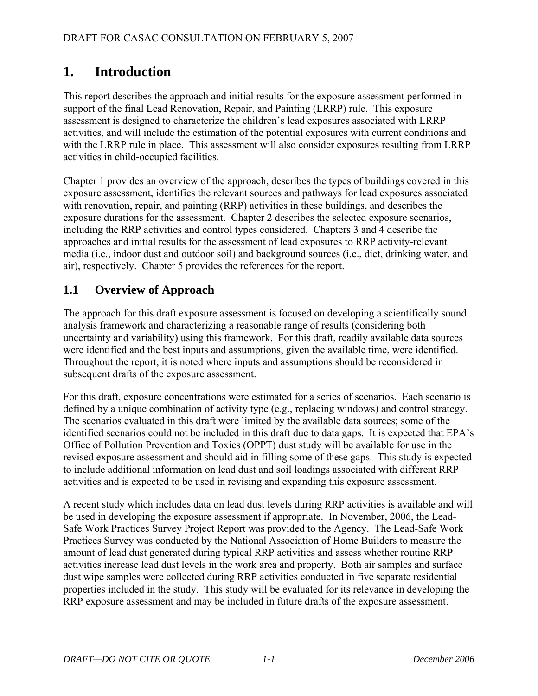# <span id="page-4-0"></span>**1. Introduction**

This report describes the approach and initial results for the exposure assessment performed in support of the final Lead Renovation, Repair, and Painting (LRRP) rule. This exposure assessment is designed to characterize the children's lead exposures associated with LRRP activities, and will include the estimation of the potential exposures with current conditions and with the LRRP rule in place. This assessment will also consider exposures resulting from LRRP activities in child-occupied facilities.

Chapter 1 provides an overview of the approach, describes the types of buildings covered in this exposure assessment, identifies the relevant sources and pathways for lead exposures associated with renovation, repair, and painting (RRP) activities in these buildings, and describes the exposure durations for the assessment. Chapter 2 describes the selected exposure scenarios, including the RRP activities and control types considered. Chapters 3 and 4 describe the approaches and initial results for the assessment of lead exposures to RRP activity-relevant media (i.e., indoor dust and outdoor soil) and background sources (i.e., diet, drinking water, and air), respectively. Chapter 5 provides the references for the report.

# **1.1 Overview of Approach**

The approach for this draft exposure assessment is focused on developing a scientifically sound analysis framework and characterizing a reasonable range of results (considering both uncertainty and variability) using this framework. For this draft, readily available data sources were identified and the best inputs and assumptions, given the available time, were identified. Throughout the report, it is noted where inputs and assumptions should be reconsidered in subsequent drafts of the exposure assessment.

For this draft, exposure concentrations were estimated for a series of scenarios. Each scenario is defined by a unique combination of activity type (e.g., replacing windows) and control strategy. The scenarios evaluated in this draft were limited by the available data sources; some of the identified scenarios could not be included in this draft due to data gaps. It is expected that EPA's Office of Pollution Prevention and Toxics (OPPT) dust study will be available for use in the revised exposure assessment and should aid in filling some of these gaps. This study is expected to include additional information on lead dust and soil loadings associated with different RRP activities and is expected to be used in revising and expanding this exposure assessment.

A recent study which includes data on lead dust levels during RRP activities is available and will be used in developing the exposure assessment if appropriate. In November, 2006, the Lead-Safe Work Practices Survey Project Report was provided to the Agency. The Lead-Safe Work Practices Survey was conducted by the National Association of Home Builders to measure the amount of lead dust generated during typical RRP activities and assess whether routine RRP activities increase lead dust levels in the work area and property. Both air samples and surface dust wipe samples were collected during RRP activities conducted in five separate residential properties included in the study. This study will be evaluated for its relevance in developing the RRP exposure assessment and may be included in future drafts of the exposure assessment.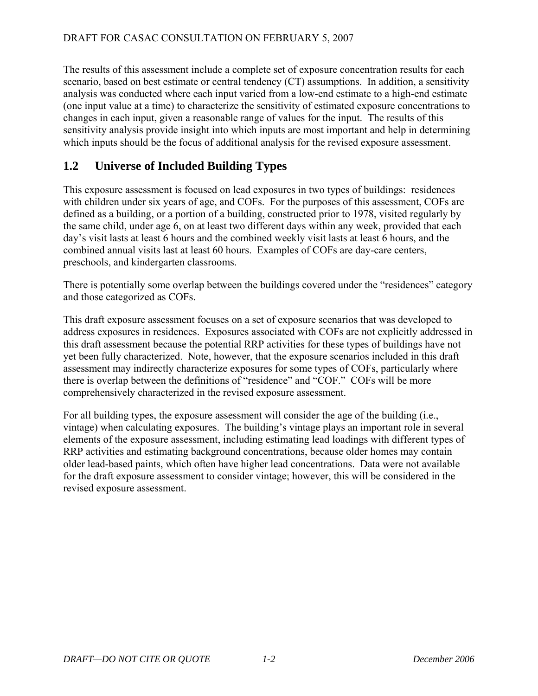<span id="page-5-0"></span>The results of this assessment include a complete set of exposure concentration results for each scenario, based on best estimate or central tendency (CT) assumptions. In addition, a sensitivity analysis was conducted where each input varied from a low-end estimate to a high-end estimate (one input value at a time) to characterize the sensitivity of estimated exposure concentrations to changes in each input, given a reasonable range of values for the input. The results of this sensitivity analysis provide insight into which inputs are most important and help in determining which inputs should be the focus of additional analysis for the revised exposure assessment.

# **1.2 Universe of Included Building Types**

This exposure assessment is focused on lead exposures in two types of buildings: residences with children under six years of age, and COFs. For the purposes of this assessment, COFs are defined as a building, or a portion of a building, constructed prior to 1978, visited regularly by the same child, under age 6, on at least two different days within any week, provided that each day's visit lasts at least 6 hours and the combined weekly visit lasts at least 6 hours, and the combined annual visits last at least 60 hours. Examples of COFs are day-care centers, preschools, and kindergarten classrooms.

There is potentially some overlap between the buildings covered under the "residences" category and those categorized as COFs.

This draft exposure assessment focuses on a set of exposure scenarios that was developed to address exposures in residences. Exposures associated with COFs are not explicitly addressed in this draft assessment because the potential RRP activities for these types of buildings have not yet been fully characterized. Note, however, that the exposure scenarios included in this draft assessment may indirectly characterize exposures for some types of COFs, particularly where there is overlap between the definitions of "residence" and "COF." COFs will be more comprehensively characterized in the revised exposure assessment.

For all building types, the exposure assessment will consider the age of the building (i.e., vintage) when calculating exposures. The building's vintage plays an important role in several elements of the exposure assessment, including estimating lead loadings with different types of RRP activities and estimating background concentrations, because older homes may contain older lead-based paints, which often have higher lead concentrations. Data were not available for the draft exposure assessment to consider vintage; however, this will be considered in the revised exposure assessment.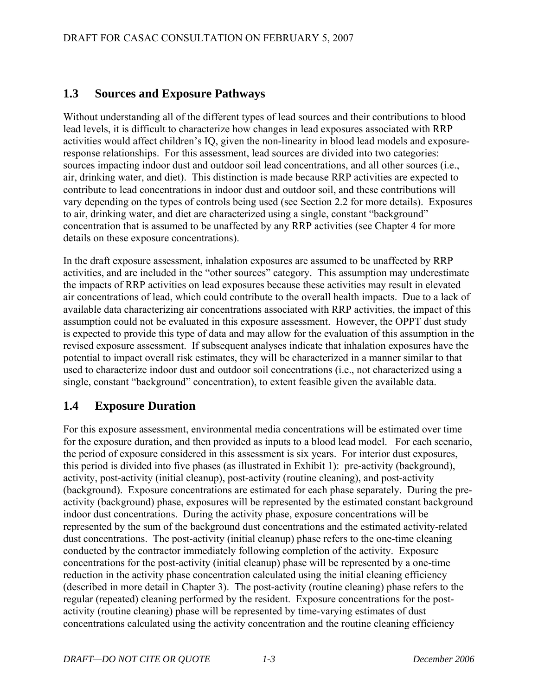## <span id="page-6-0"></span>**1.3 Sources and Exposure Pathways**

Without understanding all of the different types of lead sources and their contributions to blood lead levels, it is difficult to characterize how changes in lead exposures associated with RRP activities would affect children's IQ, given the non-linearity in blood lead models and exposureresponse relationships. For this assessment, lead sources are divided into two categories: sources impacting indoor dust and outdoor soil lead concentrations, and all other sources (i.e., air, drinking water, and diet). This distinction is made because RRP activities are expected to contribute to lead concentrations in indoor dust and outdoor soil, and these contributions will vary depending on the types of controls being used (see Section 2.2 for more details). Exposures to air, drinking water, and diet are characterized using a single, constant "background" concentration that is assumed to be unaffected by any RRP activities (see Chapter 4 for more details on these exposure concentrations).

In the draft exposure assessment, inhalation exposures are assumed to be unaffected by RRP activities, and are included in the "other sources" category. This assumption may underestimate the impacts of RRP activities on lead exposures because these activities may result in elevated air concentrations of lead, which could contribute to the overall health impacts. Due to a lack of available data characterizing air concentrations associated with RRP activities, the impact of this assumption could not be evaluated in this exposure assessment. However, the OPPT dust study is expected to provide this type of data and may allow for the evaluation of this assumption in the revised exposure assessment. If subsequent analyses indicate that inhalation exposures have the potential to impact overall risk estimates, they will be characterized in a manner similar to that used to characterize indoor dust and outdoor soil concentrations (i.e., not characterized using a single, constant "background" concentration), to extent feasible given the available data.

## **1.4 Exposure Duration**

For this exposure assessment, environmental media concentrations will be estimated over time for the exposure duration, and then provided as inputs to a blood lead model. For each scenario, the period of exposure considered in this assessment is six years. For interior dust exposures, this period is divided into five phases (as illustrated in Exhibit 1): pre-activity (background), activity, post-activity (initial cleanup), post-activity (routine cleaning), and post-activity (background). Exposure concentrations are estimated for each phase separately. During the preactivity (background) phase, exposures will be represented by the estimated constant background indoor dust concentrations. During the activity phase, exposure concentrations will be represented by the sum of the background dust concentrations and the estimated activity-related dust concentrations. The post-activity (initial cleanup) phase refers to the one-time cleaning conducted by the contractor immediately following completion of the activity. Exposure concentrations for the post-activity (initial cleanup) phase will be represented by a one-time reduction in the activity phase concentration calculated using the initial cleaning efficiency (described in more detail in Chapter 3). The post-activity (routine cleaning) phase refers to the regular (repeated) cleaning performed by the resident. Exposure concentrations for the postactivity (routine cleaning) phase will be represented by time-varying estimates of dust concentrations calculated using the activity concentration and the routine cleaning efficiency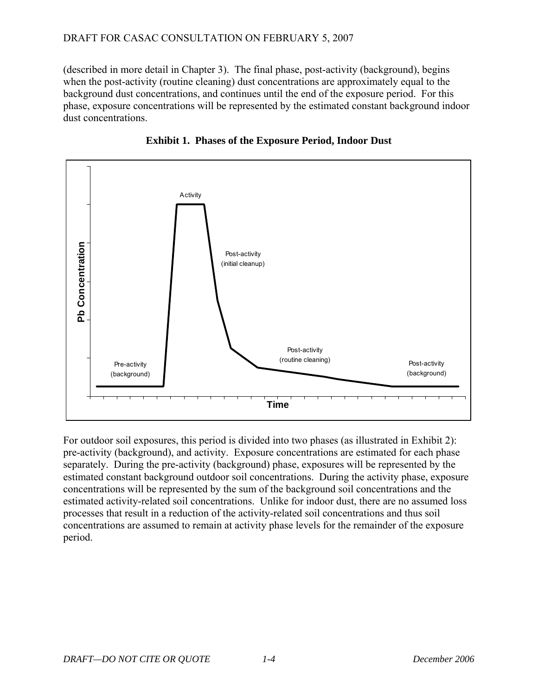(described in more detail in Chapter 3). The final phase, post-activity (background), begins when the post-activity (routine cleaning) dust concentrations are approximately equal to the background dust concentrations, and continues until the end of the exposure period. For this phase, exposure concentrations will be represented by the estimated constant background indoor dust concentrations.





For outdoor soil exposures, this period is divided into two phases (as illustrated in Exhibit 2): pre-activity (background), and activity. Exposure concentrations are estimated for each phase separately. During the pre-activity (background) phase, exposures will be represented by the estimated constant background outdoor soil concentrations. During the activity phase, exposure concentrations will be represented by the sum of the background soil concentrations and the estimated activity-related soil concentrations. Unlike for indoor dust, there are no assumed loss processes that result in a reduction of the activity-related soil concentrations and thus soil concentrations are assumed to remain at activity phase levels for the remainder of the exposure period.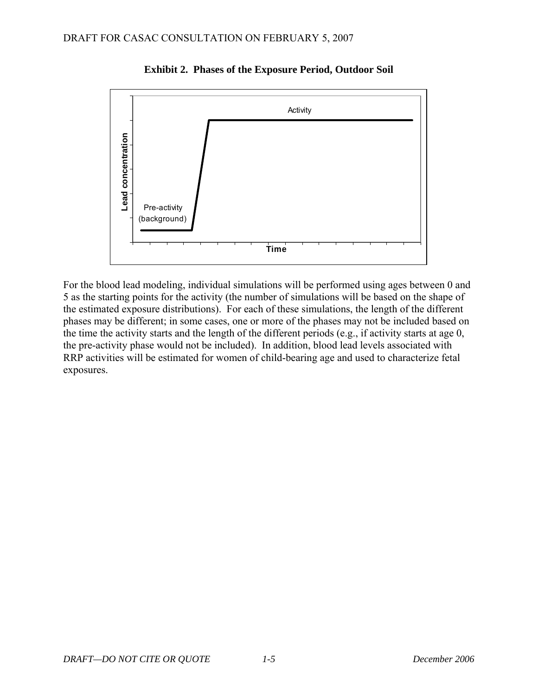

**Exhibit 2. Phases of the Exposure Period, Outdoor Soil** 

For the blood lead modeling, individual simulations will be performed using ages between 0 and 5 as the starting points for the activity (the number of simulations will be based on the shape of the estimated exposure distributions). For each of these simulations, the length of the different phases may be different; in some cases, one or more of the phases may not be included based on the time the activity starts and the length of the different periods (e.g., if activity starts at age 0, the pre-activity phase would not be included). In addition, blood lead levels associated with RRP activities will be estimated for women of child-bearing age and used to characterize fetal exposures.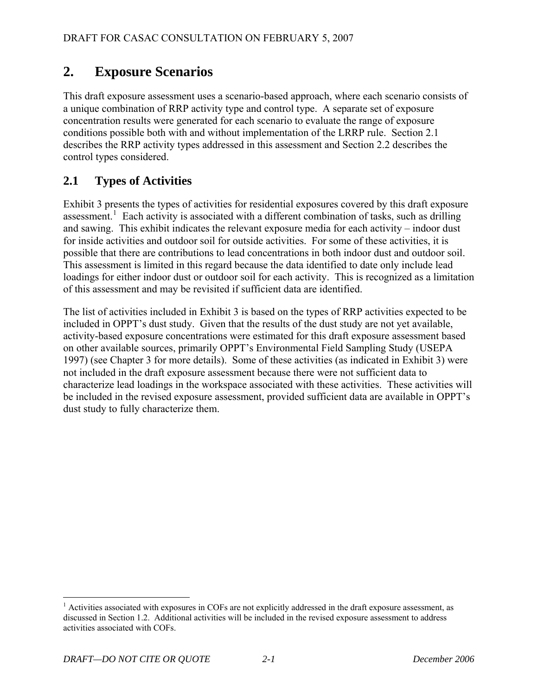# <span id="page-9-0"></span>**2. Exposure Scenarios**

This draft exposure assessment uses a scenario-based approach, where each scenario consists of a unique combination of RRP activity type and control type. A separate set of exposure concentration results were generated for each scenario to evaluate the range of exposure conditions possible both with and without implementation of the LRRP rule. Section 2.1 describes the RRP activity types addressed in this assessment and Section 2.2 describes the control types considered.

# **2.1 Types of Activities**

Exhibit 3 presents the types of activities for residential exposures covered by this draft exposure assessment.<sup>[1](#page-9-1)</sup> Each activity is associated with a different combination of tasks, such as drilling and sawing. This exhibit indicates the relevant exposure media for each activity – indoor dust for inside activities and outdoor soil for outside activities. For some of these activities, it is possible that there are contributions to lead concentrations in both indoor dust and outdoor soil. This assessment is limited in this regard because the data identified to date only include lead loadings for either indoor dust or outdoor soil for each activity. This is recognized as a limitation of this assessment and may be revisited if sufficient data are identified.

The list of activities included in Exhibit 3 is based on the types of RRP activities expected to be included in OPPT's dust study. Given that the results of the dust study are not yet available, activity-based exposure concentrations were estimated for this draft exposure assessment based on other available sources, primarily OPPT's Environmental Field Sampling Study (USEPA 1997) (see Chapter 3 for more details). Some of these activities (as indicated in Exhibit 3) were not included in the draft exposure assessment because there were not sufficient data to characterize lead loadings in the workspace associated with these activities. These activities will be included in the revised exposure assessment, provided sufficient data are available in OPPT's dust study to fully characterize them.

 $\overline{a}$ 

<span id="page-9-1"></span><sup>&</sup>lt;sup>1</sup> Activities associated with exposures in COFs are not explicitly addressed in the draft exposure assessment, as discussed in Section 1.2. Additional activities will be included in the revised exposure assessment to address activities associated with COFs.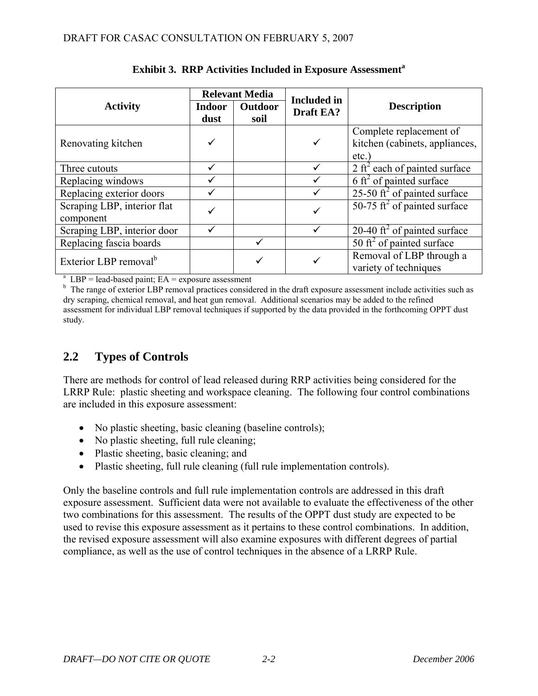<span id="page-10-0"></span>

|                                                             |                       | <b>Relevant Media</b> | <b>Included</b> in | <b>Description</b>                                                |  |  |
|-------------------------------------------------------------|-----------------------|-----------------------|--------------------|-------------------------------------------------------------------|--|--|
| <b>Activity</b>                                             | <b>Indoor</b><br>dust | Outdoor<br>soil       | Draft EA?          |                                                                   |  |  |
| Renovating kitchen                                          |                       |                       |                    | Complete replacement of<br>kitchen (cabinets, appliances,<br>etc. |  |  |
| Three cutouts                                               |                       |                       |                    | 2 ft <sup>2</sup> each of painted surface                         |  |  |
| Replacing windows                                           |                       |                       |                    | 6 ft <sup>2</sup> of painted surface                              |  |  |
| Replacing exterior doors                                    |                       |                       |                    | 25-50 ft <sup>2</sup> of painted surface                          |  |  |
| Scraping LBP, interior flat<br>component                    |                       |                       |                    | 50-75 ft <sup>2</sup> of painted surface                          |  |  |
| Scraping LBP, interior door                                 |                       |                       |                    | 20-40 ft <sup>2</sup> of painted surface                          |  |  |
| Replacing fascia boards                                     |                       |                       |                    | 50 ft <sup>2</sup> of painted surface                             |  |  |
| Exterior LBP removal <sup>b</sup>                           |                       | ✓                     |                    | Removal of LBP through a<br>variety of techniques                 |  |  |
| $^{\circ}$ LBP = lead-based paint; EA = exposure assessment |                       |                       |                    |                                                                   |  |  |

### **Exhibit 3. RRP Activities Included in Exposure Assessment<sup>a</sup>**

<sup>b</sup> The range of exterior LBP removal practices considered in the draft exposure assessment include activities such as dry scraping, chemical removal, and heat gun removal. Additional scenarios may be added to the refined assessment for individual LBP removal techniques if supported by the data provided in the forthcoming OPPT dust study.

## **2.2 Types of Controls**

There are methods for control of lead released during RRP activities being considered for the LRRP Rule: plastic sheeting and workspace cleaning. The following four control combinations are included in this exposure assessment:

- No plastic sheeting, basic cleaning (baseline controls);
- No plastic sheeting, full rule cleaning;
- Plastic sheeting, basic cleaning; and
- Plastic sheeting, full rule cleaning (full rule implementation controls).

Only the baseline controls and full rule implementation controls are addressed in this draft exposure assessment. Sufficient data were not available to evaluate the effectiveness of the other two combinations for this assessment. The results of the OPPT dust study are expected to be used to revise this exposure assessment as it pertains to these control combinations. In addition, the revised exposure assessment will also examine exposures with different degrees of partial compliance, as well as the use of control techniques in the absence of a LRRP Rule.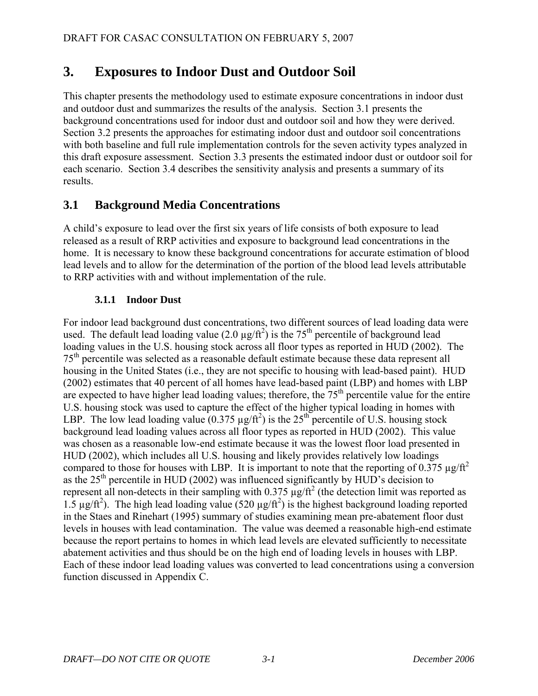# <span id="page-11-0"></span>**3. Exposures to Indoor Dust and Outdoor Soil**

This chapter presents the methodology used to estimate exposure concentrations in indoor dust and outdoor dust and summarizes the results of the analysis. Section 3.1 presents the background concentrations used for indoor dust and outdoor soil and how they were derived. Section 3.2 presents the approaches for estimating indoor dust and outdoor soil concentrations with both baseline and full rule implementation controls for the seven activity types analyzed in this draft exposure assessment. Section 3.3 presents the estimated indoor dust or outdoor soil for each scenario. Section 3.4 describes the sensitivity analysis and presents a summary of its results.

## **3.1 Background Media Concentrations**

A child's exposure to lead over the first six years of life consists of both exposure to lead released as a result of RRP activities and exposure to background lead concentrations in the home. It is necessary to know these background concentrations for accurate estimation of blood lead levels and to allow for the determination of the portion of the blood lead levels attributable to RRP activities with and without implementation of the rule.

## **3.1.1 Indoor Dust**

For indoor lead background dust concentrations, two different sources of lead loading data were used. The default lead loading value (2.0  $\mu$ g/ft<sup>2</sup>) is the 75<sup>th</sup> percentile of background lead loading values in the U.S. housing stock across all floor types as reported in HUD (2002). The 75<sup>th</sup> percentile was selected as a reasonable default estimate because these data represent all housing in the United States (i.e., they are not specific to housing with lead-based paint). HUD (2002) estimates that 40 percent of all homes have lead-based paint (LBP) and homes with LBP are expected to have higher lead loading values; therefore, the  $75<sup>th</sup>$  percentile value for the entire U.S. housing stock was used to capture the effect of the higher typical loading in homes with LBP. The low lead loading value  $(0.375 \mu g/ft^2)$  is the 25<sup>th</sup> percentile of U.S. housing stock background lead loading values across all floor types as reported in HUD (2002). This value was chosen as a reasonable low-end estimate because it was the lowest floor load presented in HUD (2002), which includes all U.S. housing and likely provides relatively low loadings compared to those for houses with LBP. It is important to note that the reporting of 0.375  $\mu$ g/ft<sup>2</sup> as the  $25<sup>th</sup>$  percentile in HUD (2002) was influenced significantly by HUD's decision to represent all non-detects in their sampling with  $0.375 \mu g/ft^2$  (the detection limit was reported as 1.5  $\mu$ g/ft<sup>2</sup>). The high lead loading value (520  $\mu$ g/ft<sup>2</sup>) is the highest background loading reported in the Staes and Rinehart (1995) summary of studies examining mean pre-abatement floor dust levels in houses with lead contamination. The value was deemed a reasonable high-end estimate because the report pertains to homes in which lead levels are elevated sufficiently to necessitate abatement activities and thus should be on the high end of loading levels in houses with LBP. Each of these indoor lead loading values was converted to lead concentrations using a conversion function discussed in Appendix C.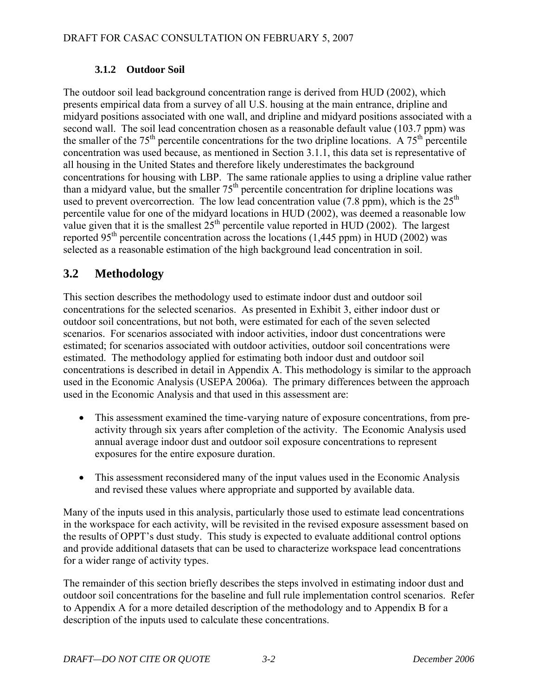## **3.1.2 Outdoor Soil**

<span id="page-12-0"></span>The outdoor soil lead background concentration range is derived from HUD (2002), which presents empirical data from a survey of all U.S. housing at the main entrance, dripline and midyard positions associated with one wall, and dripline and midyard positions associated with a second wall. The soil lead concentration chosen as a reasonable default value (103.7 ppm) was the smaller of the  $75<sup>th</sup>$  percentile concentrations for the two dripline locations. A  $75<sup>th</sup>$  percentile concentration was used because, as mentioned in Section 3.1.1, this data set is representative of all housing in the United States and therefore likely underestimates the background concentrations for housing with LBP. The same rationale applies to using a dripline value rather than a midyard value, but the smaller  $75<sup>th</sup>$  percentile concentration for dripline locations was used to prevent overcorrection. The low lead concentration value (7.8 ppm), which is the  $25<sup>th</sup>$ percentile value for one of the midyard locations in HUD (2002), was deemed a reasonable low value given that it is the smallest  $25<sup>th</sup>$  percentile value reported in HUD (2002). The largest reported 95<sup>th</sup> percentile concentration across the locations (1,445 ppm) in HUD (2002) was selected as a reasonable estimation of the high background lead concentration in soil.

## **3.2 Methodology**

This section describes the methodology used to estimate indoor dust and outdoor soil concentrations for the selected scenarios. As presented in Exhibit 3, either indoor dust or outdoor soil concentrations, but not both, were estimated for each of the seven selected scenarios. For scenarios associated with indoor activities, indoor dust concentrations were estimated; for scenarios associated with outdoor activities, outdoor soil concentrations were estimated. The methodology applied for estimating both indoor dust and outdoor soil concentrations is described in detail in Appendix A. This methodology is similar to the approach used in the Economic Analysis (USEPA 2006a). The primary differences between the approach used in the Economic Analysis and that used in this assessment are:

- This assessment examined the time-varying nature of exposure concentrations, from preactivity through six years after completion of the activity. The Economic Analysis used annual average indoor dust and outdoor soil exposure concentrations to represent exposures for the entire exposure duration.
- This assessment reconsidered many of the input values used in the Economic Analysis and revised these values where appropriate and supported by available data.

Many of the inputs used in this analysis, particularly those used to estimate lead concentrations in the workspace for each activity, will be revisited in the revised exposure assessment based on the results of OPPT's dust study. This study is expected to evaluate additional control options and provide additional datasets that can be used to characterize workspace lead concentrations for a wider range of activity types.

The remainder of this section briefly describes the steps involved in estimating indoor dust and outdoor soil concentrations for the baseline and full rule implementation control scenarios. Refer to Appendix A for a more detailed description of the methodology and to Appendix B for a description of the inputs used to calculate these concentrations.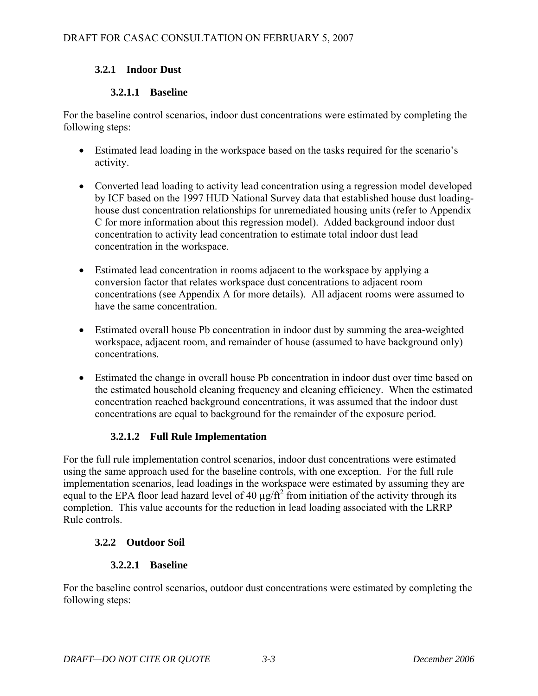## <span id="page-13-0"></span>**3.2.1 Indoor Dust**

## **3.2.1.1 Baseline**

For the baseline control scenarios, indoor dust concentrations were estimated by completing the following steps:

- Estimated lead loading in the workspace based on the tasks required for the scenario's activity.
- Converted lead loading to activity lead concentration using a regression model developed by ICF based on the 1997 HUD National Survey data that established house dust loadinghouse dust concentration relationships for unremediated housing units (refer to Appendix C for more information about this regression model). Added background indoor dust concentration to activity lead concentration to estimate total indoor dust lead concentration in the workspace.
- Estimated lead concentration in rooms adjacent to the workspace by applying a conversion factor that relates workspace dust concentrations to adjacent room concentrations (see Appendix A for more details). All adjacent rooms were assumed to have the same concentration.
- Estimated overall house Pb concentration in indoor dust by summing the area-weighted workspace, adjacent room, and remainder of house (assumed to have background only) concentrations.
- Estimated the change in overall house Pb concentration in indoor dust over time based on the estimated household cleaning frequency and cleaning efficiency. When the estimated concentration reached background concentrations, it was assumed that the indoor dust concentrations are equal to background for the remainder of the exposure period.

## **3.2.1.2 Full Rule Implementation**

For the full rule implementation control scenarios, indoor dust concentrations were estimated using the same approach used for the baseline controls, with one exception. For the full rule implementation scenarios, lead loadings in the workspace were estimated by assuming they are equal to the EPA floor lead hazard level of 40  $\mu$ g/ft<sup>2</sup> from initiation of the activity through its completion. This value accounts for the reduction in lead loading associated with the LRRP Rule controls.

## **3.2.2 Outdoor Soil**

## **3.2.2.1 Baseline**

For the baseline control scenarios, outdoor dust concentrations were estimated by completing the following steps: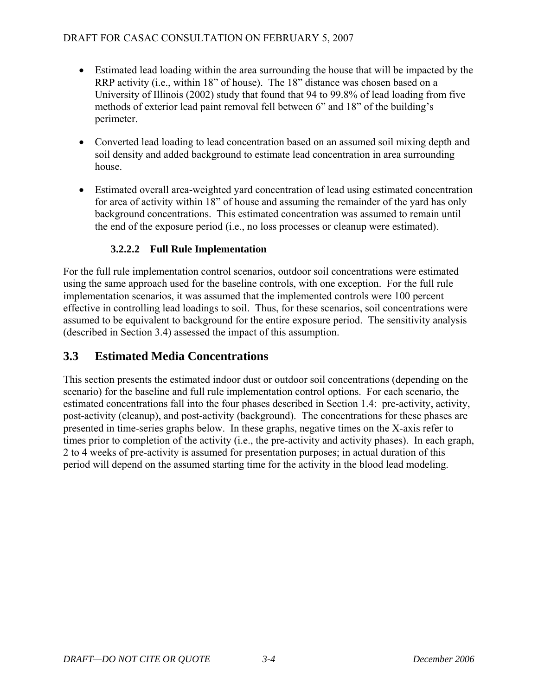- <span id="page-14-0"></span>• Estimated lead loading within the area surrounding the house that will be impacted by the RRP activity (i.e., within 18" of house). The 18" distance was chosen based on a University of Illinois (2002) study that found that 94 to 99.8% of lead loading from five methods of exterior lead paint removal fell between 6" and 18" of the building's perimeter.
- Converted lead loading to lead concentration based on an assumed soil mixing depth and soil density and added background to estimate lead concentration in area surrounding house.
- Estimated overall area-weighted yard concentration of lead using estimated concentration for area of activity within 18" of house and assuming the remainder of the yard has only background concentrations. This estimated concentration was assumed to remain until the end of the exposure period (i.e., no loss processes or cleanup were estimated).

## **3.2.2.2 Full Rule Implementation**

For the full rule implementation control scenarios, outdoor soil concentrations were estimated using the same approach used for the baseline controls, with one exception. For the full rule implementation scenarios, it was assumed that the implemented controls were 100 percent effective in controlling lead loadings to soil. Thus, for these scenarios, soil concentrations were assumed to be equivalent to background for the entire exposure period. The sensitivity analysis (described in Section 3.4) assessed the impact of this assumption.

## **3.3 Estimated Media Concentrations**

This section presents the estimated indoor dust or outdoor soil concentrations (depending on the scenario) for the baseline and full rule implementation control options. For each scenario, the estimated concentrations fall into the four phases described in Section 1.4: pre-activity, activity, post-activity (cleanup), and post-activity (background). The concentrations for these phases are presented in time-series graphs below. In these graphs, negative times on the X-axis refer to times prior to completion of the activity (i.e., the pre-activity and activity phases). In each graph, 2 to 4 weeks of pre-activity is assumed for presentation purposes; in actual duration of this period will depend on the assumed starting time for the activity in the blood lead modeling.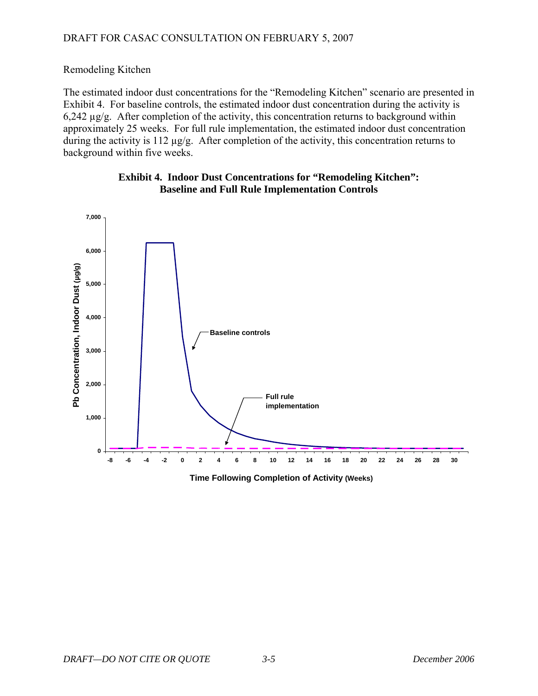<span id="page-15-0"></span>Remodeling Kitchen

The estimated indoor dust concentrations for the "Remodeling Kitchen" scenario are presented in Exhibit 4. For baseline controls, the estimated indoor dust concentration during the activity is 6,242 µg/g. After completion of the activity, this concentration returns to background within approximately 25 weeks. For full rule implementation, the estimated indoor dust concentration during the activity is 112 µg/g. After completion of the activity, this concentration returns to background within five weeks.





**Time Following Completion of Activity (Weeks)**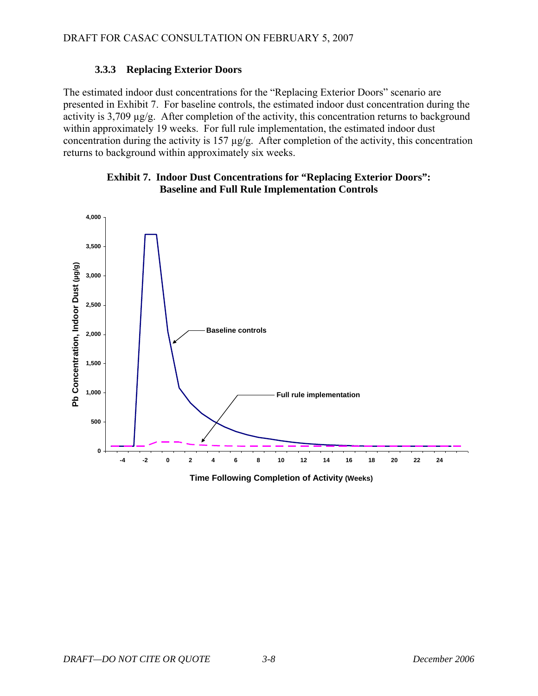## **3.3.3 Replacing Exterior Doors**

<span id="page-18-0"></span>The estimated indoor dust concentrations for the "Replacing Exterior Doors" scenario are presented in Exhibit 7. For baseline controls, the estimated indoor dust concentration during the activity is 3,709 µg/g. After completion of the activity, this concentration returns to background within approximately 19 weeks. For full rule implementation, the estimated indoor dust concentration during the activity is 157 µg/g. After completion of the activity, this concentration returns to background within approximately six weeks.



## **Exhibit 7. Indoor Dust Concentrations for "Replacing Exterior Doors": Baseline and Full Rule Implementation Controls**

**Time Following Completion of Activity (Weeks)**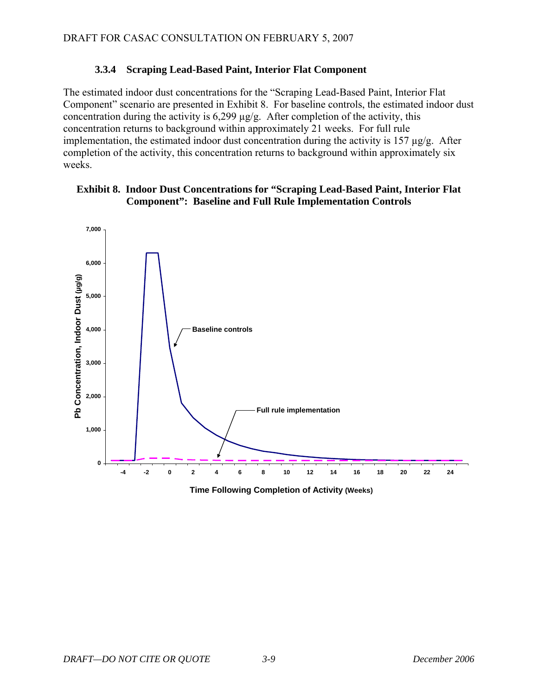### **3.3.4 Scraping Lead-Based Paint, Interior Flat Component**

<span id="page-19-0"></span>The estimated indoor dust concentrations for the "Scraping Lead-Based Paint, Interior Flat Component" scenario are presented in Exhibit 8. For baseline controls, the estimated indoor dust concentration during the activity is  $6,299 \mu g/g$ . After completion of the activity, this concentration returns to background within approximately 21 weeks. For full rule implementation, the estimated indoor dust concentration during the activity is 157  $\mu$ g/g. After completion of the activity, this concentration returns to background within approximately six weeks.

### **Exhibit 8. Indoor Dust Concentrations for "Scraping Lead-Based Paint, Interior Flat Component": Baseline and Full Rule Implementation Controls**



**Time Following Completion of Activity (Weeks)**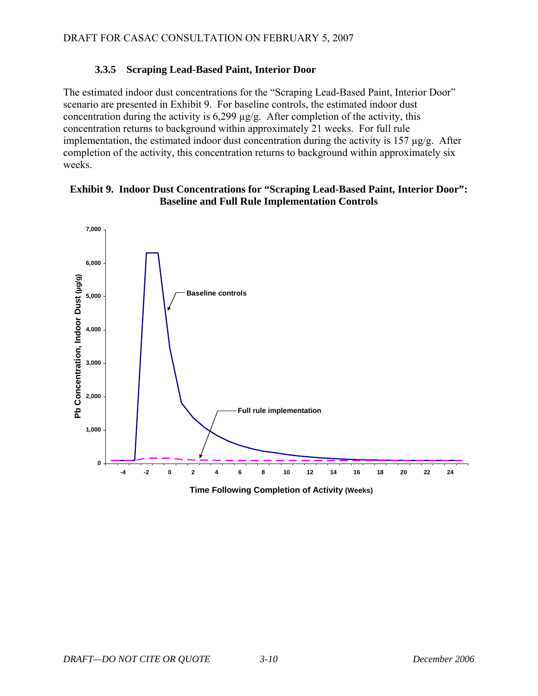## **3.3.5 Scraping Lead-Based Paint, Interior Door**

<span id="page-20-0"></span>The estimated indoor dust concentrations for the "Scraping Lead-Based Paint, Interior Door" scenario are presented in Exhibit 9. For baseline controls, the estimated indoor dust concentration during the activity is  $6,299 \mu g/g$ . After completion of the activity, this concentration returns to background within approximately 21 weeks. For full rule implementation, the estimated indoor dust concentration during the activity is 157  $\mu$ g/g. After completion of the activity, this concentration returns to background within approximately six weeks.

### **Exhibit 9. Indoor Dust Concentrations for "Scraping Lead-Based Paint, Interior Door": Baseline and Full Rule Implementation Controls**



**Time Following Completion of Activity (Weeks)**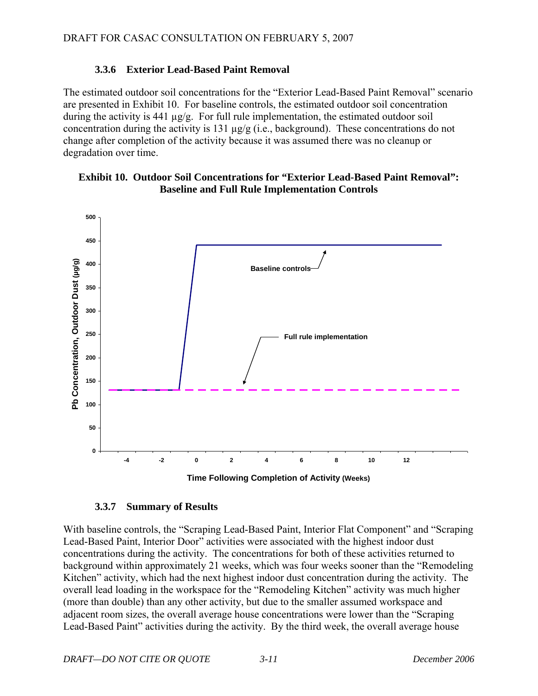### **3.3.6 Exterior Lead-Based Paint Removal**

<span id="page-21-0"></span>The estimated outdoor soil concentrations for the "Exterior Lead-Based Paint Removal" scenario are presented in Exhibit 10. For baseline controls, the estimated outdoor soil concentration during the activity is 441  $\mu$ g/g. For full rule implementation, the estimated outdoor soil concentration during the activity is 131 µg/g (i.e., background). These concentrations do not change after completion of the activity because it was assumed there was no cleanup or degradation over time.

#### **Exhibit 10. Outdoor Soil Concentrations for "Exterior Lead-Based Paint Removal": Baseline and Full Rule Implementation Controls**



#### **3.3.7 Summary of Results**

With baseline controls, the "Scraping Lead-Based Paint, Interior Flat Component" and "Scraping Lead-Based Paint, Interior Door" activities were associated with the highest indoor dust concentrations during the activity. The concentrations for both of these activities returned to background within approximately 21 weeks, which was four weeks sooner than the "Remodeling Kitchen" activity, which had the next highest indoor dust concentration during the activity. The overall lead loading in the workspace for the "Remodeling Kitchen" activity was much higher (more than double) than any other activity, but due to the smaller assumed workspace and adjacent room sizes, the overall average house concentrations were lower than the "Scraping Lead-Based Paint" activities during the activity. By the third week, the overall average house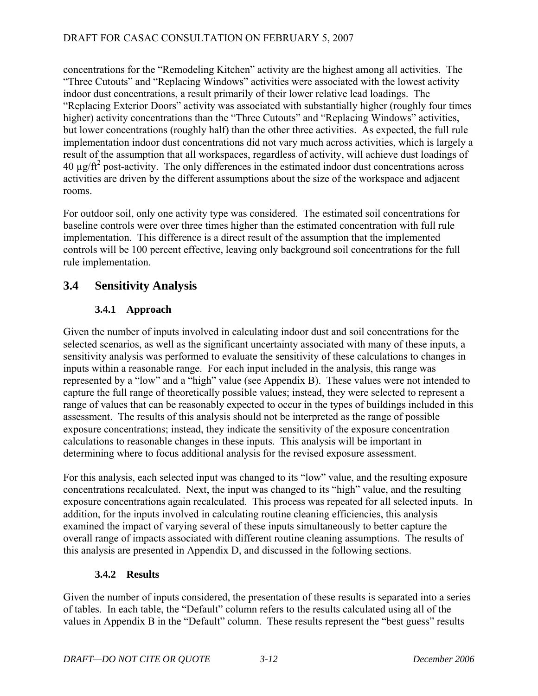<span id="page-22-0"></span>concentrations for the "Remodeling Kitchen" activity are the highest among all activities. The "Three Cutouts" and "Replacing Windows" activities were associated with the lowest activity indoor dust concentrations, a result primarily of their lower relative lead loadings. The "Replacing Exterior Doors" activity was associated with substantially higher (roughly four times higher) activity concentrations than the "Three Cutouts" and "Replacing Windows" activities, but lower concentrations (roughly half) than the other three activities. As expected, the full rule implementation indoor dust concentrations did not vary much across activities, which is largely a result of the assumption that all workspaces, regardless of activity, will achieve dust loadings of  $40 \mu g/ft^2$  post-activity. The only differences in the estimated indoor dust concentrations across activities are driven by the different assumptions about the size of the workspace and adjacent rooms.

For outdoor soil, only one activity type was considered. The estimated soil concentrations for baseline controls were over three times higher than the estimated concentration with full rule implementation. This difference is a direct result of the assumption that the implemented controls will be 100 percent effective, leaving only background soil concentrations for the full rule implementation.

## **3.4 Sensitivity Analysis**

## **3.4.1 Approach**

Given the number of inputs involved in calculating indoor dust and soil concentrations for the selected scenarios, as well as the significant uncertainty associated with many of these inputs, a sensitivity analysis was performed to evaluate the sensitivity of these calculations to changes in inputs within a reasonable range. For each input included in the analysis, this range was represented by a "low" and a "high" value (see Appendix B). These values were not intended to capture the full range of theoretically possible values; instead, they were selected to represent a range of values that can be reasonably expected to occur in the types of buildings included in this assessment. The results of this analysis should not be interpreted as the range of possible exposure concentrations; instead, they indicate the sensitivity of the exposure concentration calculations to reasonable changes in these inputs. This analysis will be important in determining where to focus additional analysis for the revised exposure assessment.

For this analysis, each selected input was changed to its "low" value, and the resulting exposure concentrations recalculated. Next, the input was changed to its "high" value, and the resulting exposure concentrations again recalculated. This process was repeated for all selected inputs. In addition, for the inputs involved in calculating routine cleaning efficiencies, this analysis examined the impact of varying several of these inputs simultaneously to better capture the overall range of impacts associated with different routine cleaning assumptions. The results of this analysis are presented in Appendix D, and discussed in the following sections.

## **3.4.2 Results**

Given the number of inputs considered, the presentation of these results is separated into a series of tables. In each table, the "Default" column refers to the results calculated using all of the values in Appendix B in the "Default" column. These results represent the "best guess" results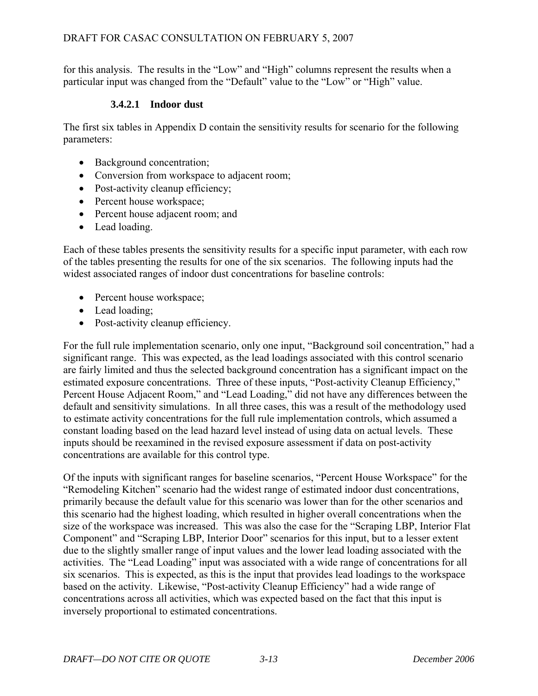for this analysis. The results in the "Low" and "High" columns represent the results when a particular input was changed from the "Default" value to the "Low" or "High" value.

### **3.4.2.1 Indoor dust**

The first six tables in Appendix D contain the sensitivity results for scenario for the following parameters:

- Background concentration;
- Conversion from workspace to adjacent room;
- Post-activity cleanup efficiency;
- Percent house workspace;
- Percent house adjacent room; and
- Lead loading.

Each of these tables presents the sensitivity results for a specific input parameter, with each row of the tables presenting the results for one of the six scenarios. The following inputs had the widest associated ranges of indoor dust concentrations for baseline controls:

- Percent house workspace;
- Lead loading:
- Post-activity cleanup efficiency.

For the full rule implementation scenario, only one input, "Background soil concentration," had a significant range. This was expected, as the lead loadings associated with this control scenario are fairly limited and thus the selected background concentration has a significant impact on the estimated exposure concentrations. Three of these inputs, "Post-activity Cleanup Efficiency," Percent House Adjacent Room," and "Lead Loading," did not have any differences between the default and sensitivity simulations. In all three cases, this was a result of the methodology used to estimate activity concentrations for the full rule implementation controls, which assumed a constant loading based on the lead hazard level instead of using data on actual levels. These inputs should be reexamined in the revised exposure assessment if data on post-activity concentrations are available for this control type.

Of the inputs with significant ranges for baseline scenarios, "Percent House Workspace" for the "Remodeling Kitchen" scenario had the widest range of estimated indoor dust concentrations, primarily because the default value for this scenario was lower than for the other scenarios and this scenario had the highest loading, which resulted in higher overall concentrations when the size of the workspace was increased. This was also the case for the "Scraping LBP, Interior Flat Component" and "Scraping LBP, Interior Door" scenarios for this input, but to a lesser extent due to the slightly smaller range of input values and the lower lead loading associated with the activities. The "Lead Loading" input was associated with a wide range of concentrations for all six scenarios. This is expected, as this is the input that provides lead loadings to the workspace based on the activity. Likewise, "Post-activity Cleanup Efficiency" had a wide range of concentrations across all activities, which was expected based on the fact that this input is inversely proportional to estimated concentrations.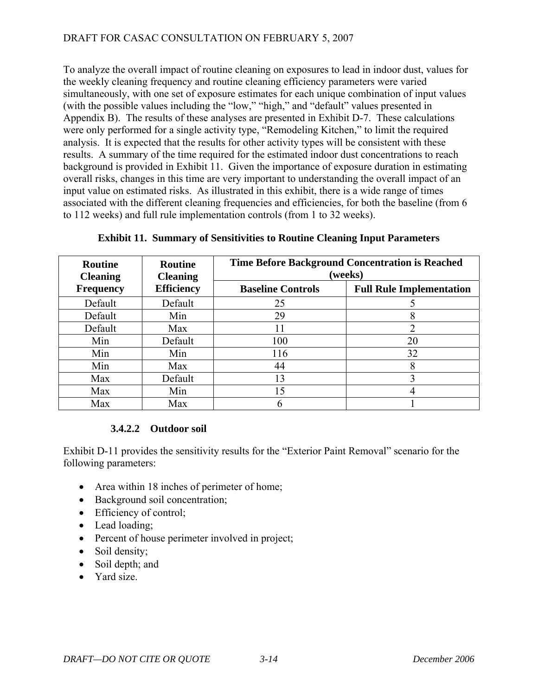To analyze the overall impact of routine cleaning on exposures to lead in indoor dust, values for the weekly cleaning frequency and routine cleaning efficiency parameters were varied simultaneously, with one set of exposure estimates for each unique combination of input values (with the possible values including the "low," "high," and "default" values presented in Appendix B). The results of these analyses are presented in Exhibit D-7. These calculations were only performed for a single activity type, "Remodeling Kitchen," to limit the required analysis. It is expected that the results for other activity types will be consistent with these results. A summary of the time required for the estimated indoor dust concentrations to reach background is provided in Exhibit 11. Given the importance of exposure duration in estimating overall risks, changes in this time are very important to understanding the overall impact of an input value on estimated risks. As illustrated in this exhibit, there is a wide range of times associated with the different cleaning frequencies and efficiencies, for both the baseline (from 6 to 112 weeks) and full rule implementation controls (from 1 to 32 weeks).

| <b>Routine</b><br><b>Cleaning</b> | <b>Routine</b><br><b>Cleaning</b> | <b>Time Before Background Concentration is Reached</b><br>(weeks) |                                 |  |  |
|-----------------------------------|-----------------------------------|-------------------------------------------------------------------|---------------------------------|--|--|
| <b>Frequency</b>                  | <b>Efficiency</b>                 | <b>Baseline Controls</b>                                          | <b>Full Rule Implementation</b> |  |  |
| Default                           | Default                           | 25                                                                |                                 |  |  |
| Default                           | Min                               | 29                                                                |                                 |  |  |
| Default                           | Max                               | 11                                                                |                                 |  |  |
| Min                               | Default                           | 100                                                               | 20                              |  |  |
| Min                               | Min                               | 116                                                               | 32                              |  |  |
| Min                               | Max                               | 44                                                                |                                 |  |  |
| Max                               | Default                           | 13                                                                |                                 |  |  |
| Max                               | Min                               | 15                                                                |                                 |  |  |
| Max                               | Max                               |                                                                   |                                 |  |  |

**Exhibit 11. Summary of Sensitivities to Routine Cleaning Input Parameters** 

## **3.4.2.2 Outdoor soil**

Exhibit D-11 provides the sensitivity results for the "Exterior Paint Removal" scenario for the following parameters:

- Area within 18 inches of perimeter of home;
- Background soil concentration;
- Efficiency of control;
- Lead loading:
- Percent of house perimeter involved in project;
- Soil density;
- Soil depth; and
- Yard size.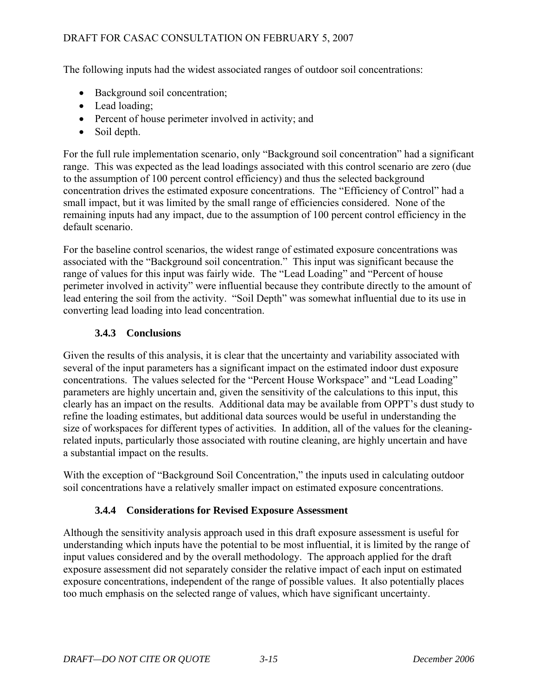<span id="page-25-0"></span>The following inputs had the widest associated ranges of outdoor soil concentrations:

- Background soil concentration;
- Lead loading;
- Percent of house perimeter involved in activity; and
- Soil depth.

For the full rule implementation scenario, only "Background soil concentration" had a significant range. This was expected as the lead loadings associated with this control scenario are zero (due to the assumption of 100 percent control efficiency) and thus the selected background concentration drives the estimated exposure concentrations. The "Efficiency of Control" had a small impact, but it was limited by the small range of efficiencies considered. None of the remaining inputs had any impact, due to the assumption of 100 percent control efficiency in the default scenario.

For the baseline control scenarios, the widest range of estimated exposure concentrations was associated with the "Background soil concentration." This input was significant because the range of values for this input was fairly wide. The "Lead Loading" and "Percent of house perimeter involved in activity" were influential because they contribute directly to the amount of lead entering the soil from the activity. "Soil Depth" was somewhat influential due to its use in converting lead loading into lead concentration.

## **3.4.3 Conclusions**

Given the results of this analysis, it is clear that the uncertainty and variability associated with several of the input parameters has a significant impact on the estimated indoor dust exposure concentrations. The values selected for the "Percent House Workspace" and "Lead Loading" parameters are highly uncertain and, given the sensitivity of the calculations to this input, this clearly has an impact on the results. Additional data may be available from OPPT's dust study to refine the loading estimates, but additional data sources would be useful in understanding the size of workspaces for different types of activities. In addition, all of the values for the cleaningrelated inputs, particularly those associated with routine cleaning, are highly uncertain and have a substantial impact on the results.

With the exception of "Background Soil Concentration," the inputs used in calculating outdoor soil concentrations have a relatively smaller impact on estimated exposure concentrations.

## **3.4.4 Considerations for Revised Exposure Assessment**

Although the sensitivity analysis approach used in this draft exposure assessment is useful for understanding which inputs have the potential to be most influential, it is limited by the range of input values considered and by the overall methodology. The approach applied for the draft exposure assessment did not separately consider the relative impact of each input on estimated exposure concentrations, independent of the range of possible values. It also potentially places too much emphasis on the selected range of values, which have significant uncertainty.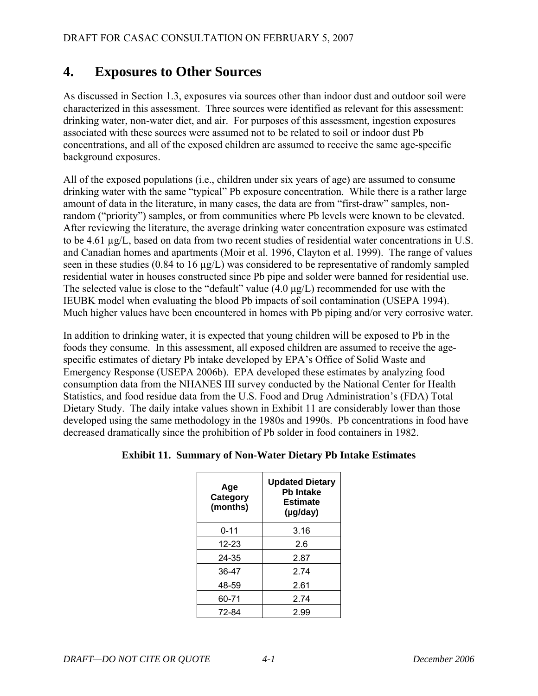# <span id="page-27-0"></span>**4. Exposures to Other Sources**

As discussed in Section 1.3, exposures via sources other than indoor dust and outdoor soil were characterized in this assessment. Three sources were identified as relevant for this assessment: drinking water, non-water diet, and air. For purposes of this assessment, ingestion exposures associated with these sources were assumed not to be related to soil or indoor dust Pb concentrations, and all of the exposed children are assumed to receive the same age-specific background exposures.

All of the exposed populations (i.e., children under six years of age) are assumed to consume drinking water with the same "typical" Pb exposure concentration. While there is a rather large amount of data in the literature, in many cases, the data are from "first-draw" samples, nonrandom ("priority") samples, or from communities where Pb levels were known to be elevated. After reviewing the literature, the average drinking water concentration exposure was estimated to be 4.61 µg/L, based on data from two recent studies of residential water concentrations in U.S. and Canadian homes and apartments (Moir et al. 1996, Clayton et al. 1999). The range of values seen in these studies (0.84 to 16 µg/L) was considered to be representative of randomly sampled residential water in houses constructed since Pb pipe and solder were banned for residential use. The selected value is close to the "default" value  $(4.0 \mu g/L)$  recommended for use with the IEUBK model when evaluating the blood Pb impacts of soil contamination (USEPA 1994). Much higher values have been encountered in homes with Pb piping and/or very corrosive water.

In addition to drinking water, it is expected that young children will be exposed to Pb in the foods they consume. In this assessment, all exposed children are assumed to receive the agespecific estimates of dietary Pb intake developed by EPA's Office of Solid Waste and Emergency Response (USEPA 2006b). EPA developed these estimates by analyzing food consumption data from the NHANES III survey conducted by the National Center for Health Statistics, and food residue data from the U.S. Food and Drug Administration's (FDA) Total Dietary Study. The daily intake values shown in Exhibit 11 are considerably lower than those developed using the same methodology in the 1980s and 1990s. Pb concentrations in food have decreased dramatically since the prohibition of Pb solder in food containers in 1982.

| Age<br>Category<br>(months) | <b>Updated Dietary</b><br><b>Pb Intake</b><br><b>Estimate</b><br>(µg/day) |
|-----------------------------|---------------------------------------------------------------------------|
| 0-11                        | 3.16                                                                      |
| 12-23                       | 2.6                                                                       |
| 24-35                       | 2.87                                                                      |
| 36-47                       | 2.74                                                                      |
| 48-59                       | 2.61                                                                      |
| 60-71                       | 2.74                                                                      |
| 72-84                       | 2.99                                                                      |

## **Exhibit 11. Summary of Non-Water Dietary Pb Intake Estimates**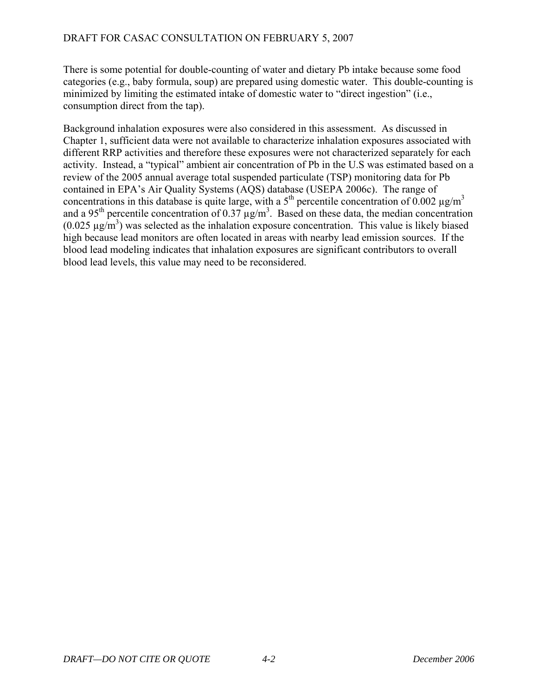There is some potential for double-counting of water and dietary Pb intake because some food categories (e.g., baby formula, soup) are prepared using domestic water. This double-counting is minimized by limiting the estimated intake of domestic water to "direct ingestion" (i.e., consumption direct from the tap).

Background inhalation exposures were also considered in this assessment. As discussed in Chapter 1, sufficient data were not available to characterize inhalation exposures associated with different RRP activities and therefore these exposures were not characterized separately for each activity. Instead, a "typical" ambient air concentration of Pb in the U.S was estimated based on a review of the 2005 annual average total suspended particulate (TSP) monitoring data for Pb contained in EPA's Air Quality Systems (AQS) database (USEPA 2006c). The range of concentrations in this database is quite large, with a  $5<sup>th</sup>$  percentile concentration of 0.002  $\mu$ g/m<sup>3</sup> and a 95<sup>th</sup> percentile concentration of 0.37  $\mu$ g/m<sup>3</sup>. Based on these data, the median concentration  $(0.025 \,\mu\text{g/m}^3)$  was selected as the inhalation exposure concentration. This value is likely biased high because lead monitors are often located in areas with nearby lead emission sources. If the blood lead modeling indicates that inhalation exposures are significant contributors to overall blood lead levels, this value may need to be reconsidered.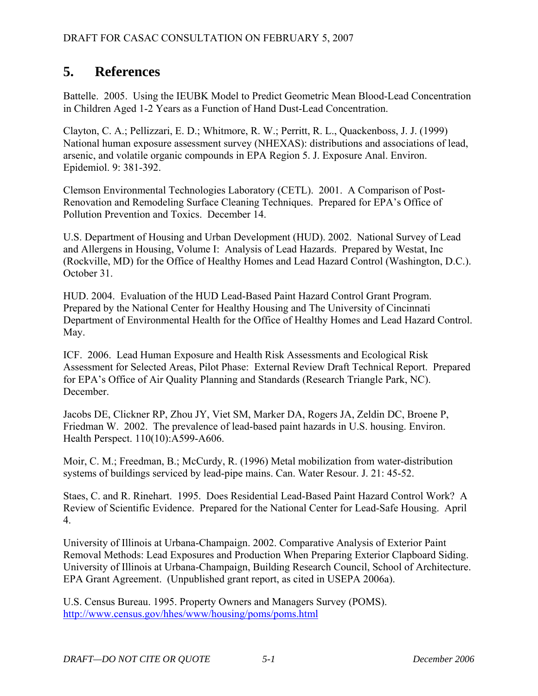# <span id="page-29-0"></span>**5. References**

Battelle. 2005. Using the IEUBK Model to Predict Geometric Mean Blood-Lead Concentration in Children Aged 1-2 Years as a Function of Hand Dust-Lead Concentration.

Clayton, C. A.; Pellizzari, E. D.; Whitmore, R. W.; Perritt, R. L., Quackenboss, J. J. (1999) National human exposure assessment survey (NHEXAS): distributions and associations of lead, arsenic, and volatile organic compounds in EPA Region 5. J. Exposure Anal. Environ. Epidemiol. 9: 381-392.

Clemson Environmental Technologies Laboratory (CETL). 2001. A Comparison of Post-Renovation and Remodeling Surface Cleaning Techniques. Prepared for EPA's Office of Pollution Prevention and Toxics. December 14.

U.S. Department of Housing and Urban Development (HUD). 2002. National Survey of Lead and Allergens in Housing, Volume I: Analysis of Lead Hazards. Prepared by Westat, Inc (Rockville, MD) for the Office of Healthy Homes and Lead Hazard Control (Washington, D.C.). October 31.

HUD. 2004. Evaluation of the HUD Lead-Based Paint Hazard Control Grant Program. Prepared by the National Center for Healthy Housing and The University of Cincinnati Department of Environmental Health for the Office of Healthy Homes and Lead Hazard Control. May.

ICF. 2006. Lead Human Exposure and Health Risk Assessments and Ecological Risk Assessment for Selected Areas, Pilot Phase: External Review Draft Technical Report. Prepared for EPA's Office of Air Quality Planning and Standards (Research Triangle Park, NC). December.

Jacobs DE, Clickner RP, Zhou JY, Viet SM, Marker DA, Rogers JA, Zeldin DC, Broene P, Friedman W. 2002. The prevalence of lead-based paint hazards in U.S. housing. Environ. Health Perspect. 110(10):A599-A606.

Moir, C. M.; Freedman, B.; McCurdy, R. (1996) Metal mobilization from water-distribution systems of buildings serviced by lead-pipe mains. Can. Water Resour. J. 21: 45-52.

Staes, C. and R. Rinehart. 1995. Does Residential Lead-Based Paint Hazard Control Work? A Review of Scientific Evidence. Prepared for the National Center for Lead-Safe Housing. April 4.

University of Illinois at Urbana-Champaign. 2002. Comparative Analysis of Exterior Paint Removal Methods: Lead Exposures and Production When Preparing Exterior Clapboard Siding. University of Illinois at Urbana-Champaign, Building Research Council, School of Architecture. EPA Grant Agreement. (Unpublished grant report, as cited in USEPA 2006a).

U.S. Census Bureau. 1995. Property Owners and Managers Survey (POMS). <http://www.census.gov/hhes/www/housing/poms/poms.html>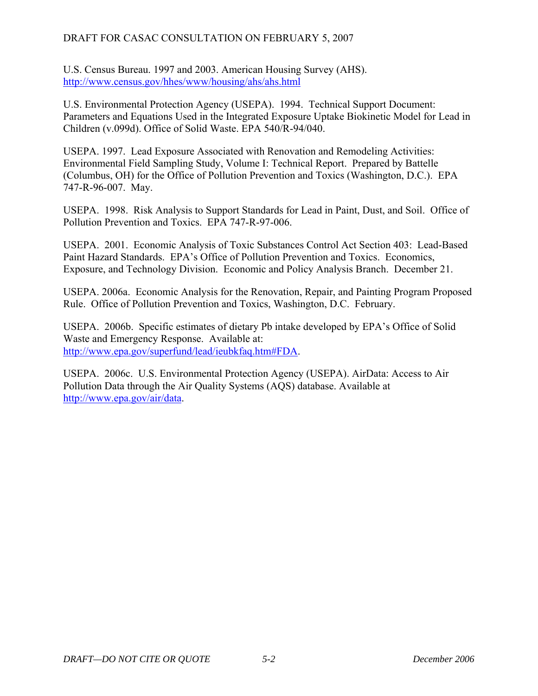U.S. Census Bureau. 1997 and 2003. American Housing Survey (AHS). <http://www.census.gov/hhes/www/housing/ahs/ahs.html>

U.S. Environmental Protection Agency (USEPA). 1994. Technical Support Document: Parameters and Equations Used in the Integrated Exposure Uptake Biokinetic Model for Lead in Children (v.099d). Office of Solid Waste. EPA 540/R-94/040.

USEPA. 1997. Lead Exposure Associated with Renovation and Remodeling Activities: Environmental Field Sampling Study, Volume I: Technical Report. Prepared by Battelle (Columbus, OH) for the Office of Pollution Prevention and Toxics (Washington, D.C.). EPA 747-R-96-007. May.

USEPA. 1998. Risk Analysis to Support Standards for Lead in Paint, Dust, and Soil. Office of Pollution Prevention and Toxics. EPA 747-R-97-006.

USEPA. 2001. Economic Analysis of Toxic Substances Control Act Section 403: Lead-Based Paint Hazard Standards. EPA's Office of Pollution Prevention and Toxics. Economics, Exposure, and Technology Division. Economic and Policy Analysis Branch. December 21.

USEPA. 2006a. Economic Analysis for the Renovation, Repair, and Painting Program Proposed Rule. Office of Pollution Prevention and Toxics, Washington, D.C. February.

USEPA. 2006b. Specific estimates of dietary Pb intake developed by EPA's Office of Solid Waste and Emergency Response. Available at: [http://www.epa.gov/superfund/lead/ieubkfaq.htm#FDA.](http://www.epa.gov/superfund/lead/ieubkfaq.htm#FDA)

USEPA. 2006c. U.S. Environmental Protection Agency (USEPA). AirData: Access to Air Pollution Data through the Air Quality Systems (AQS) database. Available at [http://www.epa.gov/air/data.](http://www.epa.gov/air/data)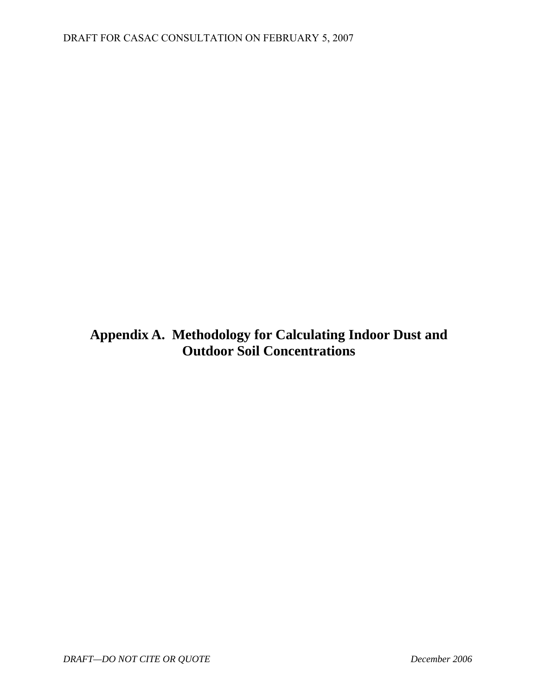<span id="page-31-0"></span>**Appendix A. Methodology for Calculating Indoor Dust and Outdoor Soil Concentrations**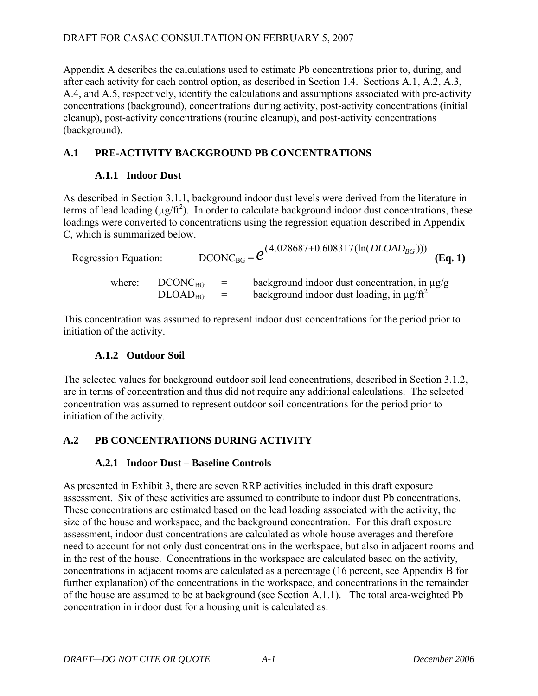Appendix A describes the calculations used to estimate Pb concentrations prior to, during, and after each activity for each control option, as described in Section 1.4. Sections A.1, A.2, A.3, A.4, and A.5, respectively, identify the calculations and assumptions associated with pre-activity concentrations (background), concentrations during activity, post-activity concentrations (initial cleanup), post-activity concentrations (routine cleanup), and post-activity concentrations (background).

## **A.1 PRE-ACTIVITY BACKGROUND PB CONCENTRATIONS**

## **A.1.1 Indoor Dust**

As described in Section 3.1.1, background indoor dust levels were derived from the literature in terms of lead loading ( $\mu$ g/ft<sup>2</sup>). In order to calculate background indoor dust concentrations, these loadings were converted to concentrations using the regression equation described in Appendix C, which is summarized below.

Regression Equation:

\n
$$
DCONC_{BG} = e^{(4.028687 + 0.608317(\ln(DLOAD_{BG})))}
$$
\n(Eq. 1)

\nwhere:

\n
$$
DCONC_{BG} = \text{background indoor dust concentration, in }\mu\text{g/g}
$$
\n
$$
DLOAD_{BG} = \text{background indoor dust loading, in }\mu\text{g/h}^2
$$

This concentration was assumed to represent indoor dust concentrations for the period prior to initiation of the activity.

## **A.1.2 Outdoor Soil**

The selected values for background outdoor soil lead concentrations, described in Section 3.1.2, are in terms of concentration and thus did not require any additional calculations. The selected concentration was assumed to represent outdoor soil concentrations for the period prior to initiation of the activity.

## **A.2 PB CONCENTRATIONS DURING ACTIVITY**

## **A.2.1 Indoor Dust – Baseline Controls**

As presented in Exhibit 3, there are seven RRP activities included in this draft exposure assessment. Six of these activities are assumed to contribute to indoor dust Pb concentrations. These concentrations are estimated based on the lead loading associated with the activity, the size of the house and workspace, and the background concentration. For this draft exposure assessment, indoor dust concentrations are calculated as whole house averages and therefore need to account for not only dust concentrations in the workspace, but also in adjacent rooms and in the rest of the house. Concentrations in the workspace are calculated based on the activity, concentrations in adjacent rooms are calculated as a percentage (16 percent, see Appendix B for further explanation) of the concentrations in the workspace, and concentrations in the remainder of the house are assumed to be at background (see Section A.1.1). The total area-weighted Pb concentration in indoor dust for a housing unit is calculated as: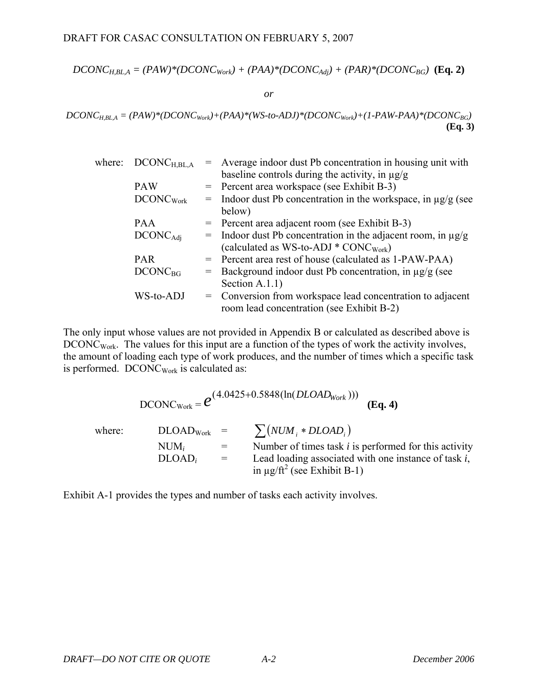$$
DCONC_{H,BL,A} = (PAW)^*(DCONC_{Work}) + (PAA)^*(DCONC_{Adj}) + (PAR)^*(DCONC_{BG})
$$
 (Eq. 2)

*or* 

 $DCONC_{H,BL,A} = (PAW)^*(DCONC_{Work}) + (PAA)^*(WS-to-ADI)^*(DCONC_{Work}) + (1-PAW-PAA)^*(DCONC_{BG})$ **(Eq. 3)**

| where: | $DCONC_{H,BL,A}$      |     | = Average indoor dust Pb concentration in housing unit with      |
|--------|-----------------------|-----|------------------------------------------------------------------|
|        |                       |     | baseline controls during the activity, in $\mu$ g/g              |
|        | <b>PAW</b>            |     | = Percent area workspace (see Exhibit B-3)                       |
|        | DCONC <sub>Work</sub> | $=$ | Indoor dust Pb concentration in the workspace, in $\mu$ g/g (see |
|        |                       |     | below)                                                           |
|        | <b>PAA</b>            |     | $=$ Percent area adjacent room (see Exhibit B-3)                 |
|        | $DCONC_{\text{Adj}}$  | $=$ | Indoor dust Pb concentration in the adjacent room, in $\mu$ g/g  |
|        |                       |     | (calculated as $WS$ -to-ADJ * $CONC_{Work}$ )                    |
|        | <b>PAR</b>            |     | = Percent area rest of house (calculated as 1-PAW-PAA)           |
|        | $DCONC_{BG}$          | $=$ | Background indoor dust Pb concentration, in µg/g (see            |
|        |                       |     | Section $A.1.1$ )                                                |
|        | WS-to-ADJ             | $=$ | Conversion from workspace lead concentration to adjacent         |
|        |                       |     | room lead concentration (see Exhibit B-2)                        |

The only input whose values are not provided in Appendix B or calculated as described above is DCONC<sub>Work</sub>. The values for this input are a function of the types of work the activity involves, the amount of loading each type of work produces, and the number of times which a specific task is performed. DCONC<sub>Work</sub> is calculated as:

 $DCONC_{Work} = \mathcal{C}^{(4.0425+0.5848(\ln(DLOAD_{Work})))}$  (**Eq. 4**) where:  $DLOAD_{Work} = \sum (NUM_i * DLOAD_i)$ NUM<sub>i</sub>  $=$  Number of times task *i* is performed for this activity  $DLOAD_i$  = Lead loading associated with one instance of task *i*, in  $\mu$ g/ft<sup>2</sup> (see Exhibit B-1)

Exhibit A-1 provides the types and number of tasks each activity involves.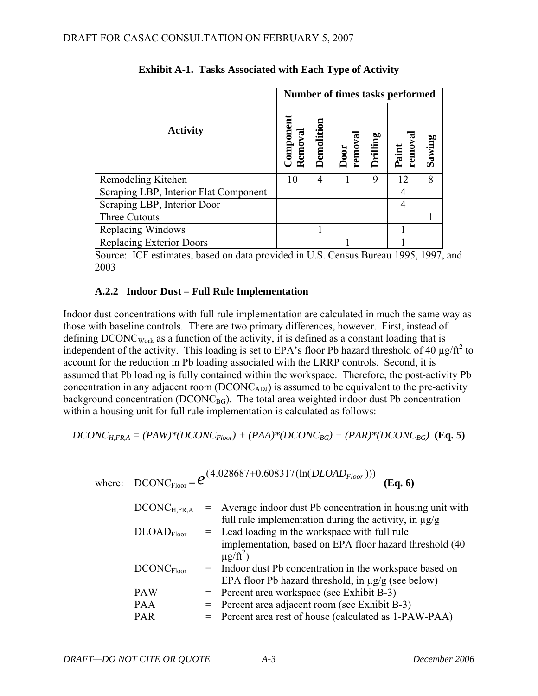|                                       | Number of times tasks performed |            |                |          |                 |        |  |
|---------------------------------------|---------------------------------|------------|----------------|----------|-----------------|--------|--|
| <b>Activity</b>                       | Componen<br>Removal             | Demolition | remova<br>Door | Drilling | Paint<br>remova | Sawing |  |
| Remodeling Kitchen                    | 10                              | 4          |                | 9        | 12              | 8      |  |
| Scraping LBP, Interior Flat Component |                                 |            |                |          | 4               |        |  |
| Scraping LBP, Interior Door           |                                 |            |                |          | 4               |        |  |
| Three Cutouts                         |                                 |            |                |          |                 |        |  |
| Replacing Windows                     |                                 |            |                |          |                 |        |  |
| <b>Replacing Exterior Doors</b>       |                                 |            |                |          |                 |        |  |

**Exhibit A-1. Tasks Associated with Each Type of Activity** 

 Source: ICF estimates, based on data provided in U.S. Census Bureau 1995, 1997, and 2003

## **A.2.2 Indoor Dust – Full Rule Implementation**

Indoor dust concentrations with full rule implementation are calculated in much the same way as those with baseline controls. There are two primary differences, however. First, instead of defining DCONC<sub>Work</sub> as a function of the activity, it is defined as a constant loading that is independent of the activity. This loading is set to EPA's floor Pb hazard threshold of 40  $\mu$ g/ft<sup>2</sup> to account for the reduction in Pb loading associated with the LRRP controls. Second, it is assumed that Pb loading is fully contained within the workspace. Therefore, the post-activity Pb concentration in any adjacent room  $(DCONC_{ADJ})$  is assumed to be equivalent to the pre-activity background concentration ( $DCONC_{BG}$ ). The total area weighted indoor dust Pb concentration within a housing unit for full rule implementation is calculated as follows:

$$
DCONC_{H,FR,A} = (PAW)^*(DCONC_{Floor}) + (PAA)^*(DCONC_{BG}) + (PAR)^*(DCONC_{BG})
$$
 (Eq. 5)

where: DCONC<sub>Floor</sub> = 
$$
e^{(4.028687+0.608317(\ln(DLOAD_{Floor})))}
$$
 (Eq. 6)

DCONC<sub>H,FR,A</sub> = Average indoor dust Pb concentration in housing unit with full rule implementation during the activity, in 
$$
\mu
$$
g/g

\nDLOAD<sub>Floor</sub> = Lead loading in the workspace with full rule implementation, based on EPA floor hazard threshold (40  $\mu$ g/ft<sup>2</sup>)

\nDCONC<sub>Floor</sub> = Indoor dust Pb concentration in the workspace based on EPA floor Pb hazard threshold, in  $\mu$ g/g (see below)

\nPAW = Percent area workspace (see Exhibit B-3)

\nPAR = Percent area rest of house (calculated as 1-PAW-PAA)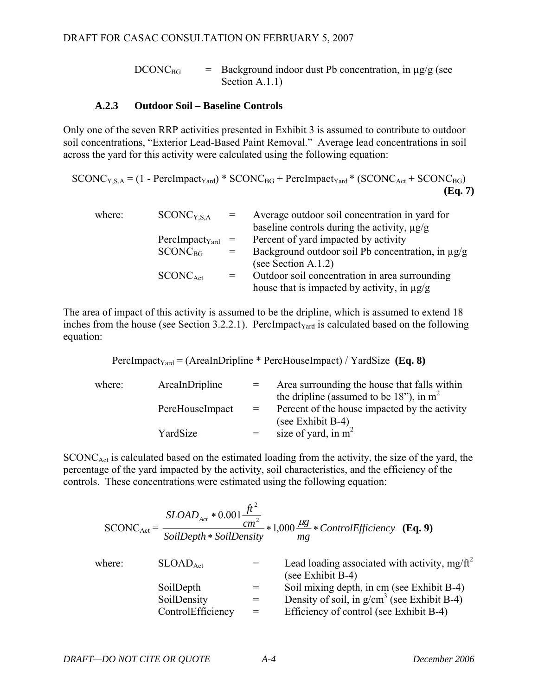$DCONC_{BG}$  = Background indoor dust Pb concentration, in  $\mu$ g/g (see Section A.1.1)

#### **A.2.3 Outdoor Soil – Baseline Controls**

Only one of the seven RRP activities presented in Exhibit 3 is assumed to contribute to outdoor soil concentrations, "Exterior Lead-Based Paint Removal." Average lead concentrations in soil across the yard for this activity were calculated using the following equation:

 $SCONC<sub>YSA</sub> = (1 - Perclmpact<sub>Yard</sub>) * SCONC<sub>BG</sub> + Perclmpact<sub>Yard</sub> * (SCONC<sub>Act</sub> + SCONC<sub>BG</sub>)$ **(Eq. 7)** 

| where: | SCONC <sub>YS.A</sub> | $=$ | Average outdoor soil concentration in yard for<br>baseline controls during the activity, $\mu g/g$ |
|--------|-----------------------|-----|----------------------------------------------------------------------------------------------------|
|        | $PerclmpactYard =$    |     | Percent of yard impacted by activity                                                               |
|        | $SCONC_{BG}$          |     | Background outdoor soil Pb concentration, in $\mu$ g/g                                             |
|        |                       |     | (see Section A.1.2)                                                                                |
|        | $SCONC_{\text{Act}}$  | $=$ | Outdoor soil concentration in area surrounding                                                     |
|        |                       |     | house that is impacted by activity, in $\mu g/g$                                                   |

The area of impact of this activity is assumed to be the dripline, which is assumed to extend 18 inches from the house (see Section 3.2.2.1). PercImpact<sub>Yard</sub> is calculated based on the following equation:

PercImpact<sub>Yard</sub> = (AreaInDripline \* PercHouseImpact) / YardSize **(Eq. 8)** 

| where: | AreaInDripline  |     | Area surrounding the house that falls within<br>the dripline (assumed to be 18"), in $m2$ |
|--------|-----------------|-----|-------------------------------------------------------------------------------------------|
|        | PercHouseImpact | $=$ | Percent of the house impacted by the activity<br>(see Exhibit B-4)                        |
|        | YardSize        | $=$ | size of yard, in $m^2$                                                                    |

 $SCONC<sub>Act</sub>$  is calculated based on the estimated loading from the activity, the size of the yard, the percentage of the yard impacted by the activity, soil characteristics, and the efficiency of the controls. These concentrations were estimated using the following equation:

|        | $SCONC_{Act} = \frac{cm^2}{SoilDepth * SoilDensity}$ |     | $=\frac{SLOAD_{Act}*0.001\frac{Jt}{cm^2}}{1.000\frac{m^2}{m}}*1,000\frac{\mu g}{mg}*ControlEfficiency$ (Eq. 9) |
|--------|------------------------------------------------------|-----|----------------------------------------------------------------------------------------------------------------|
| where: | SLOAD <sub>Act</sub>                                 |     | Lead loading associated with activity, $mg/ft^2$<br>(see Exhibit B-4)                                          |
|        | SoilDepth                                            |     | Soil mixing depth, in cm (see Exhibit B-4)                                                                     |
|        | SoilDensity<br>ControlEfficiency                     | $=$ | Density of soil, in $g/cm^3$ (see Exhibit B-4)<br>Efficiency of control (see Exhibit B-4)                      |
|        |                                                      |     |                                                                                                                |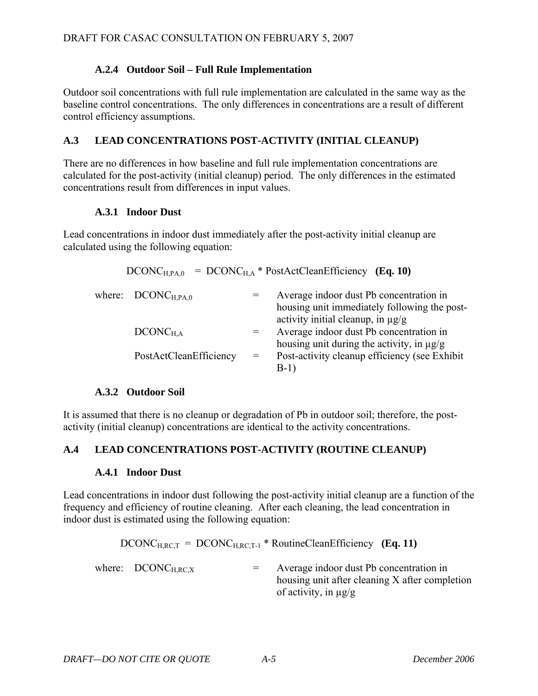### **A.2.4 Outdoor Soil – Full Rule Implementation**

Outdoor soil concentrations with full rule implementation are calculated in the same way as the baseline control concentrations. The only differences in concentrations are a result of different control efficiency assumptions.

## **A.3 LEAD CONCENTRATIONS POST-ACTIVITY (INITIAL CLEANUP)**

There are no differences in how baseline and full rule implementation concentrations are calculated for the post-activity (initial cleanup) period. The only differences in the estimated concentrations result from differences in input values.

### **A.3.1 Indoor Dust**

Lead concentrations in indoor dust immediately after the post-activity initial cleanup are calculated using the following equation:

 $DCONC_{HPA,0} = DCONC_{HA} * PostActCleanEfficiency (Eq. 10)$ 

| where: $DCONC_{H.PA.0}$ |          | Average indoor dust Pb concentration in<br>housing unit immediately following the post-<br>activity initial cleanup, in $\mu$ g/g |
|-------------------------|----------|-----------------------------------------------------------------------------------------------------------------------------------|
| $DCONC_{H.A}$           | $=$ $-$  | Average indoor dust Pb concentration in<br>housing unit during the activity, in $\mu$ g/g                                         |
| PostActCleanEfficiency  | $=$ $\,$ | Post-activity cleanup efficiency (see Exhibit<br>$B-1)$                                                                           |

## **A.3.2 Outdoor Soil**

It is assumed that there is no cleanup or degradation of Pb in outdoor soil; therefore, the postactivity (initial cleanup) concentrations are identical to the activity concentrations.

## **A.4 LEAD CONCENTRATIONS POST-ACTIVITY (ROUTINE CLEANUP)**

#### **A.4.1 Indoor Dust**

Lead concentrations in indoor dust following the post-activity initial cleanup are a function of the frequency and efficiency of routine cleaning. After each cleaning, the lead concentration in indoor dust is estimated using the following equation:

 $DCONC_{H,RC,T} = DCONC_{H,RC,T-1} * RoutineClearEfficiency (Eq. 11)$ where:  $DCONC_{HRCX}$  = Average indoor dust Pb concentration in housing unit after cleaning X after completion of activity, in µg/g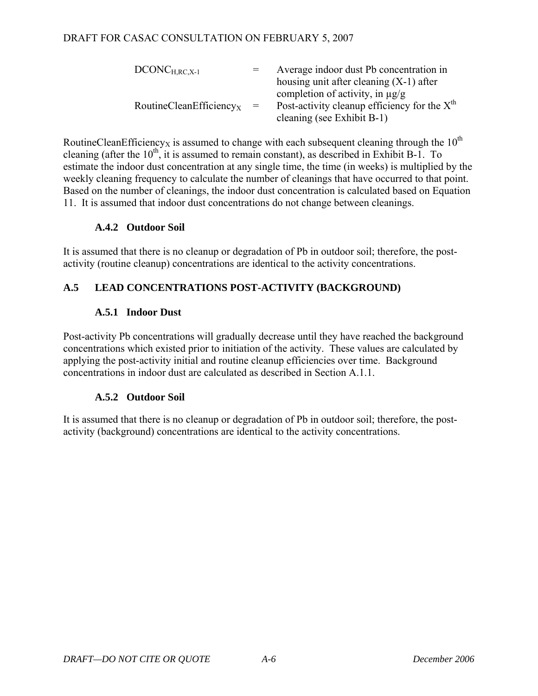| $DCONC_{H.RC,X-1}$                       | $=$ | Average indoor dust Pb concentration in        |
|------------------------------------------|-----|------------------------------------------------|
|                                          |     | housing unit after cleaning $(X-1)$ after      |
|                                          |     | completion of activity, in $\mu$ g/g           |
| $R$ outineCleanEfficiency <sub>x</sub> = |     | Post-activity cleanup efficiency for the $Xth$ |
|                                          |     | cleaning (see Exhibit B-1)                     |

RoutineCleanEfficiency<sub>X</sub> is assumed to change with each subsequent cleaning through the  $10^{th}$ cleaning (after the  $10^{th}$ , it is assumed to remain constant), as described in Exhibit B-1. To estimate the indoor dust concentration at any single time, the time (in weeks) is multiplied by the weekly cleaning frequency to calculate the number of cleanings that have occurred to that point. Based on the number of cleanings, the indoor dust concentration is calculated based on Equation 11. It is assumed that indoor dust concentrations do not change between cleanings.

## **A.4.2 Outdoor Soil**

It is assumed that there is no cleanup or degradation of Pb in outdoor soil; therefore, the postactivity (routine cleanup) concentrations are identical to the activity concentrations.

## **A.5 LEAD CONCENTRATIONS POST-ACTIVITY (BACKGROUND)**

## **A.5.1 Indoor Dust**

Post-activity Pb concentrations will gradually decrease until they have reached the background concentrations which existed prior to initiation of the activity. These values are calculated by applying the post-activity initial and routine cleanup efficiencies over time. Background concentrations in indoor dust are calculated as described in Section A.1.1.

## **A.5.2 Outdoor Soil**

It is assumed that there is no cleanup or degradation of Pb in outdoor soil; therefore, the postactivity (background) concentrations are identical to the activity concentrations.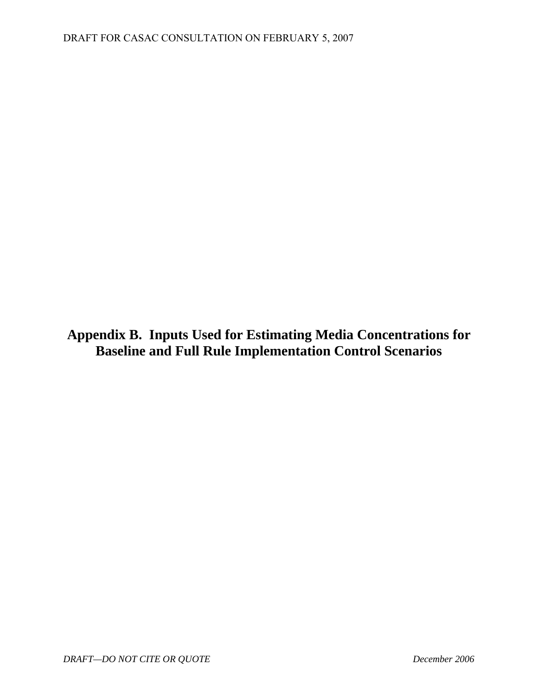<span id="page-38-0"></span>**Appendix B. Inputs Used for Estimating Media Concentrations for Baseline and Full Rule Implementation Control Scenarios**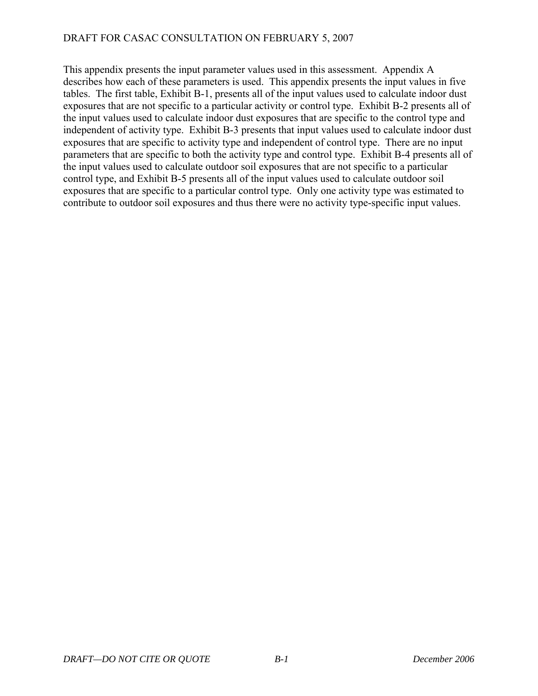This appendix presents the input parameter values used in this assessment. Appendix A describes how each of these parameters is used. This appendix presents the input values in five tables. The first table, Exhibit B-1, presents all of the input values used to calculate indoor dust exposures that are not specific to a particular activity or control type. Exhibit B-2 presents all of the input values used to calculate indoor dust exposures that are specific to the control type and independent of activity type. Exhibit B-3 presents that input values used to calculate indoor dust exposures that are specific to activity type and independent of control type. There are no input parameters that are specific to both the activity type and control type. Exhibit B-4 presents all of the input values used to calculate outdoor soil exposures that are not specific to a particular control type, and Exhibit B-5 presents all of the input values used to calculate outdoor soil exposures that are specific to a particular control type. Only one activity type was estimated to contribute to outdoor soil exposures and thus there were no activity type-specific input values.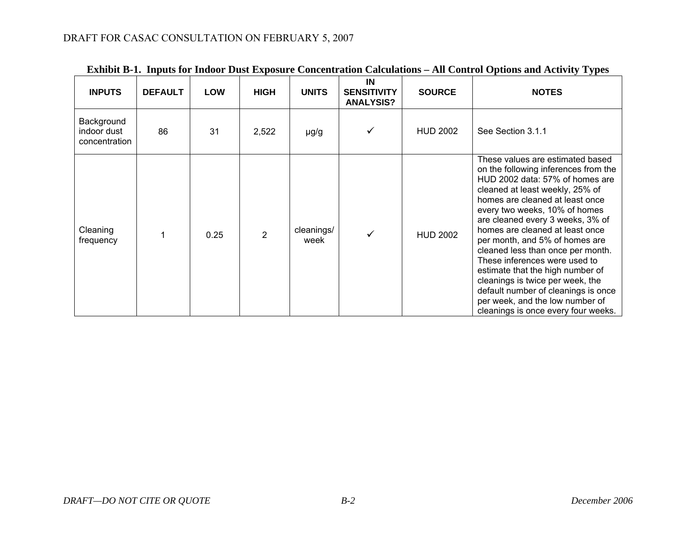| <b>INPUTS</b>                              | <b>DEFAULT</b> | <b>LOW</b> | <b>HIGH</b> | <b>UNITS</b>       | IN<br><b>SENSITIVITY</b><br><b>ANALYSIS?</b> | <b>SOURCE</b>   | <b>NOTES</b>                                                                                                                                                                                                                                                                                                                                                                                                                                                                                                                                                                               |
|--------------------------------------------|----------------|------------|-------------|--------------------|----------------------------------------------|-----------------|--------------------------------------------------------------------------------------------------------------------------------------------------------------------------------------------------------------------------------------------------------------------------------------------------------------------------------------------------------------------------------------------------------------------------------------------------------------------------------------------------------------------------------------------------------------------------------------------|
| Background<br>indoor dust<br>concentration | 86             | 31         | 2,522       | µg/g               | ✓                                            | <b>HUD 2002</b> | See Section 3.1.1                                                                                                                                                                                                                                                                                                                                                                                                                                                                                                                                                                          |
| Cleaning<br>frequency                      |                | 0.25       |             | cleanings/<br>week | ✓                                            | <b>HUD 2002</b> | These values are estimated based<br>on the following inferences from the<br>HUD 2002 data: 57% of homes are<br>cleaned at least weekly, 25% of<br>homes are cleaned at least once<br>every two weeks, 10% of homes<br>are cleaned every 3 weeks, 3% of<br>homes are cleaned at least once<br>per month, and 5% of homes are<br>cleaned less than once per month.<br>These inferences were used to<br>estimate that the high number of<br>cleanings is twice per week, the<br>default number of cleanings is once<br>per week, and the low number of<br>cleanings is once every four weeks. |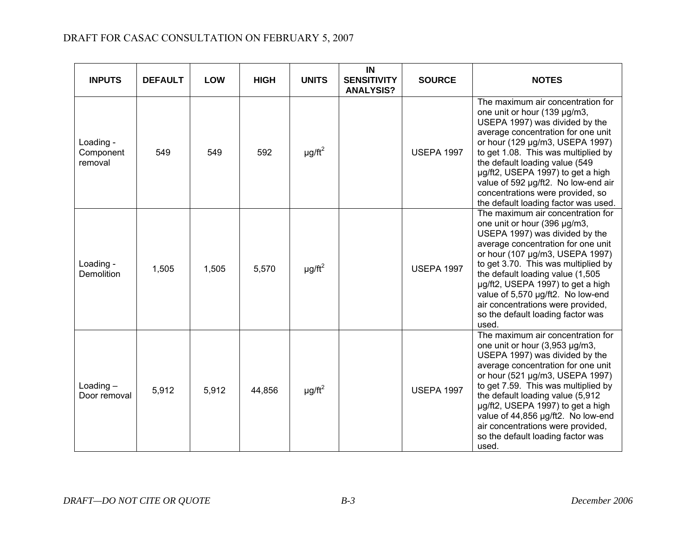| <b>INPUTS</b>                     | <b>DEFAULT</b> | <b>LOW</b> | <b>HIGH</b> | <b>UNITS</b>            | IN<br><b>SENSITIVITY</b><br><b>ANALYSIS?</b> | <b>SOURCE</b>     | <b>NOTES</b>                                                                                                                                                                                                                                                                                                                                                                                                            |
|-----------------------------------|----------------|------------|-------------|-------------------------|----------------------------------------------|-------------------|-------------------------------------------------------------------------------------------------------------------------------------------------------------------------------------------------------------------------------------------------------------------------------------------------------------------------------------------------------------------------------------------------------------------------|
| Loading -<br>Component<br>removal | 549            | 549        | 592         | $\mu$ g/ft <sup>2</sup> |                                              | <b>USEPA 1997</b> | The maximum air concentration for<br>one unit or hour (139 µg/m3,<br>USEPA 1997) was divided by the<br>average concentration for one unit<br>or hour (129 µg/m3, USEPA 1997)<br>to get 1.08. This was multiplied by<br>the default loading value (549<br>µg/ft2, USEPA 1997) to get a high<br>value of 592 µg/ft2. No low-end air<br>concentrations were provided, so<br>the default loading factor was used.           |
| Loading -<br>Demolition           | 1,505          | 1,505      | 5,570       | $\mu$ g/ft <sup>2</sup> |                                              | <b>USEPA 1997</b> | The maximum air concentration for<br>one unit or hour (396 µg/m3,<br>USEPA 1997) was divided by the<br>average concentration for one unit<br>or hour (107 µg/m3, USEPA 1997)<br>to get 3.70. This was multiplied by<br>the default loading value (1,505<br>µg/ft2, USEPA 1997) to get a high<br>value of 5,570 µg/ft2. No low-end<br>air concentrations were provided,<br>so the default loading factor was<br>used.    |
| Loading $-$<br>Door removal       | 5,912          | 5,912      | 44,856      | $\mu$ g/ft <sup>2</sup> |                                              | <b>USEPA 1997</b> | The maximum air concentration for<br>one unit or hour (3,953 µg/m3,<br>USEPA 1997) was divided by the<br>average concentration for one unit<br>or hour (521 µg/m3, USEPA 1997)<br>to get 7.59. This was multiplied by<br>the default loading value (5,912<br>µg/ft2, USEPA 1997) to get a high<br>value of 44,856 µg/ft2. No low-end<br>air concentrations were provided,<br>so the default loading factor was<br>used. |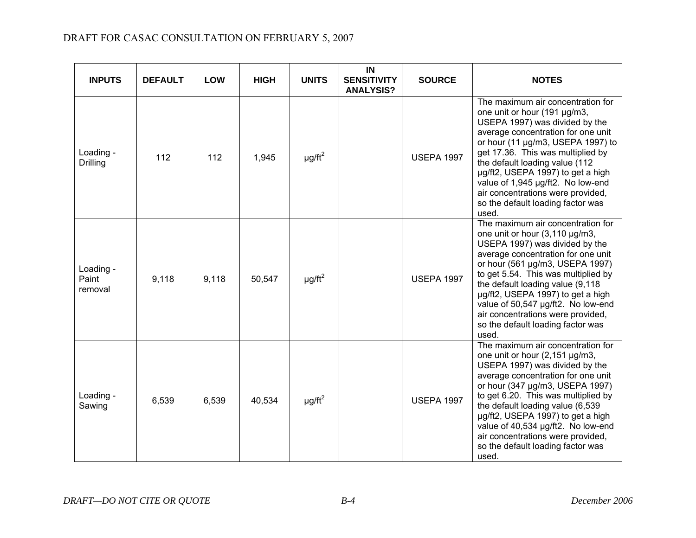| <b>INPUTS</b>                 | <b>DEFAULT</b> | <b>LOW</b> | <b>HIGH</b> | <b>UNITS</b>            | IN<br><b>SENSITIVITY</b><br><b>ANALYSIS?</b> | <b>SOURCE</b>     | <b>NOTES</b>                                                                                                                                                                                                                                                                                                                                                                                                            |
|-------------------------------|----------------|------------|-------------|-------------------------|----------------------------------------------|-------------------|-------------------------------------------------------------------------------------------------------------------------------------------------------------------------------------------------------------------------------------------------------------------------------------------------------------------------------------------------------------------------------------------------------------------------|
| Loading -<br>Drilling         | 112            | 112        | 1,945       | $\mu$ g/ft <sup>2</sup> |                                              | <b>USEPA 1997</b> | The maximum air concentration for<br>one unit or hour (191 µg/m3,<br>USEPA 1997) was divided by the<br>average concentration for one unit<br>or hour (11 µg/m3, USEPA 1997) to<br>get 17.36. This was multiplied by<br>the default loading value (112<br>µg/ft2, USEPA 1997) to get a high<br>value of 1,945 µg/ft2. No low-end<br>air concentrations were provided,<br>so the default loading factor was<br>used.      |
| Loading -<br>Paint<br>removal | 9,118          | 9,118      | 50,547      | $\mu$ g/ft <sup>2</sup> |                                              | <b>USEPA 1997</b> | The maximum air concentration for<br>one unit or hour (3,110 µg/m3,<br>USEPA 1997) was divided by the<br>average concentration for one unit<br>or hour (561 µg/m3, USEPA 1997)<br>to get 5.54. This was multiplied by<br>the default loading value (9,118<br>µg/ft2, USEPA 1997) to get a high<br>value of 50,547 µg/ft2. No low-end<br>air concentrations were provided,<br>so the default loading factor was<br>used. |
| Loading -<br>Sawing           | 6,539          | 6,539      | 40,534      | $\mu$ g/ft <sup>2</sup> |                                              | <b>USEPA 1997</b> | The maximum air concentration for<br>one unit or hour (2,151 µg/m3,<br>USEPA 1997) was divided by the<br>average concentration for one unit<br>or hour (347 µg/m3, USEPA 1997)<br>to get 6.20. This was multiplied by<br>the default loading value (6,539<br>µg/ft2, USEPA 1997) to get a high<br>value of 40,534 µg/ft2. No low-end<br>air concentrations were provided,<br>so the default loading factor was<br>used. |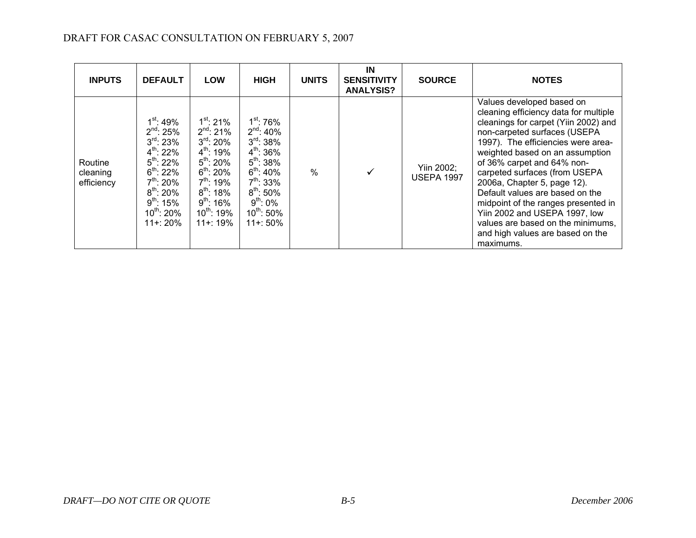| <b>INPUTS</b>                     | <b>DEFAULT</b>                                                                                                                                                                                                        | <b>LOW</b>                                                                                                                                                                                                                      | <b>HIGH</b>                                                                                                                                                                                                                | <b>UNITS</b>  | IN<br><b>SENSITIVITY</b><br><b>ANALYSIS?</b> | <b>SOURCE</b>                   | <b>NOTES</b>                                                                                                                                                                                                                                                                                                                                                                                                                                                                                                       |
|-----------------------------------|-----------------------------------------------------------------------------------------------------------------------------------------------------------------------------------------------------------------------|---------------------------------------------------------------------------------------------------------------------------------------------------------------------------------------------------------------------------------|----------------------------------------------------------------------------------------------------------------------------------------------------------------------------------------------------------------------------|---------------|----------------------------------------------|---------------------------------|--------------------------------------------------------------------------------------------------------------------------------------------------------------------------------------------------------------------------------------------------------------------------------------------------------------------------------------------------------------------------------------------------------------------------------------------------------------------------------------------------------------------|
| Routine<br>cleaning<br>efficiency | $1^{\rm st}$ : 49%<br>$2^{nd}$ : 25%<br>$3^{\text{rd}}$ : 23%<br>$4^{th}$ : 22%<br>$5^{\text{th}}$ : 22%<br>$6^{th}$ : 22%<br>$7^{th}$ : 20%<br>$8^{th}$ : 20%<br>$9^{th}$ : 15%<br>$10^{\sf th}$ : 20%<br>$11 + 20%$ | $1^{st}$ : 21%<br>$2^{nd}$ : 21%<br>$3^{\text{rd}}$ : 20%<br>$4^{\text{th}}$ : 19%<br>$5^{\text{th}}$ : 20%<br>$6^{th}$ : 20%<br>$7^{\sf th}$ : 19%<br>$8^{\text{th}}$ : 18%<br>$9^{th}$ : 16%<br>$10^{th}$ : 19%<br>$11 + 19%$ | $1^\mathrm{st}$ : 76%<br>$2^{nd}$ : 40%<br>$3^{\text{rd}}$ : 38%<br>$4^{th}$ : 36%<br>$5^{th}$ : 38%<br>$6^{\text{th}}$ : 40%<br>$7^{th}$ : 33%<br>$8^{\text{th}}$ : 50%<br>$9^{th}$ : 0%<br>$10^{th}$ : 50%<br>$11 + 50%$ | $\frac{0}{0}$ | ✓                                            | Yiin 2002;<br><b>USEPA 1997</b> | Values developed based on<br>cleaning efficiency data for multiple<br>cleanings for carpet (Yiin 2002) and<br>non-carpeted surfaces (USEPA<br>1997). The efficiencies were area-<br>weighted based on an assumption<br>of 36% carpet and 64% non-<br>carpeted surfaces (from USEPA<br>2006a, Chapter 5, page 12).<br>Default values are based on the<br>midpoint of the ranges presented in<br>Yiin 2002 and USEPA 1997, low<br>values are based on the minimums,<br>and high values are based on the<br>maximums. |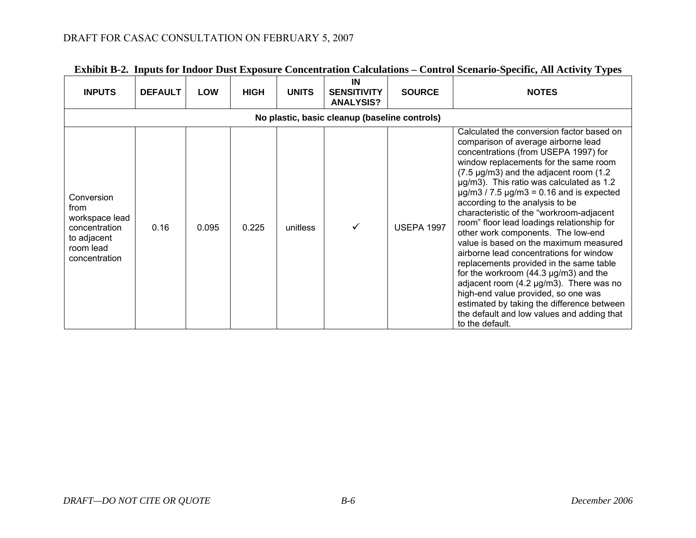| <b>INPUTS</b>                                                                                      | <b>DEFAULT</b> | <b>LOW</b> | <b>HIGH</b> | <b>UNITS</b> | IN<br><b>SENSITIVITY</b><br><b>ANALYSIS?</b> | <b>SOURCE</b>     | <b>NOTES</b>                                                                                                                                                                                                                                                                                                                                                                                                                                                                                                                                                                                                                                                                                                                                                                                                                                                                              |  |  |  |  |
|----------------------------------------------------------------------------------------------------|----------------|------------|-------------|--------------|----------------------------------------------|-------------------|-------------------------------------------------------------------------------------------------------------------------------------------------------------------------------------------------------------------------------------------------------------------------------------------------------------------------------------------------------------------------------------------------------------------------------------------------------------------------------------------------------------------------------------------------------------------------------------------------------------------------------------------------------------------------------------------------------------------------------------------------------------------------------------------------------------------------------------------------------------------------------------------|--|--|--|--|
| No plastic, basic cleanup (baseline controls)                                                      |                |            |             |              |                                              |                   |                                                                                                                                                                                                                                                                                                                                                                                                                                                                                                                                                                                                                                                                                                                                                                                                                                                                                           |  |  |  |  |
| Conversion<br>from<br>workspace lead<br>concentration<br>to adjacent<br>room lead<br>concentration | 0.16           | 0.095      | 0.225       | unitless     | ✓                                            | <b>USEPA 1997</b> | Calculated the conversion factor based on<br>comparison of average airborne lead<br>concentrations (from USEPA 1997) for<br>window replacements for the same room<br>$(7.5 \,\mu g/m3)$ and the adjacent room $(1.2 \,\mu g/m3)$<br>µg/m3). This ratio was calculated as 1.2<br>$\mu$ g/m3 / 7.5 $\mu$ g/m3 = 0.16 and is expected<br>according to the analysis to be<br>characteristic of the "workroom-adjacent<br>room" floor lead loadings relationship for<br>other work components. The low-end<br>value is based on the maximum measured<br>airborne lead concentrations for window<br>replacements provided in the same table<br>for the workroom $(44.3 \text{ µg/m3})$ and the<br>adjacent room (4.2 µg/m3). There was no<br>high-end value provided, so one was<br>estimated by taking the difference between<br>the default and low values and adding that<br>to the default. |  |  |  |  |

## **Exhibit B-2. Inputs for Indoor Dust Exposure Concentration Calculations – Control Scenario-Specific, All Activity Types**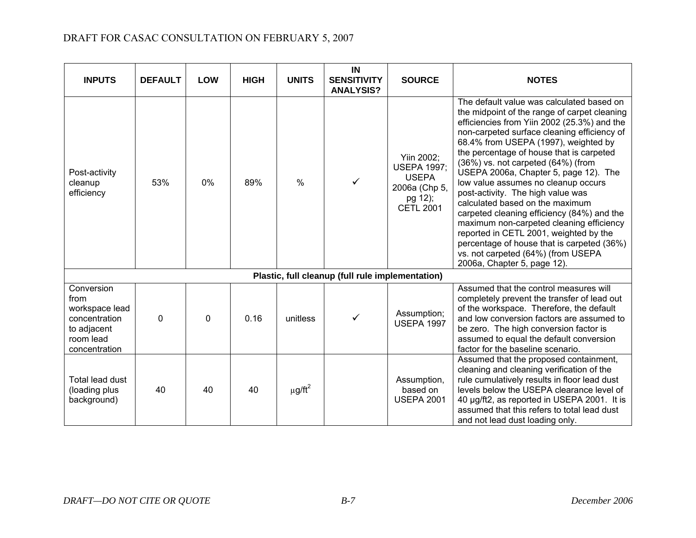| <b>INPUTS</b>                                                                                      | <b>DEFAULT</b> | <b>LOW</b> | <b>HIGH</b> | <b>UNITS</b>            | IN<br><b>SENSITIVITY</b><br><b>ANALYSIS?</b>     | <b>SOURCE</b>                                                                                    | <b>NOTES</b>                                                                                                                                                                                                                                                                                                                                                                                                                                                                                                                                                                                                                                                                                                                     |
|----------------------------------------------------------------------------------------------------|----------------|------------|-------------|-------------------------|--------------------------------------------------|--------------------------------------------------------------------------------------------------|----------------------------------------------------------------------------------------------------------------------------------------------------------------------------------------------------------------------------------------------------------------------------------------------------------------------------------------------------------------------------------------------------------------------------------------------------------------------------------------------------------------------------------------------------------------------------------------------------------------------------------------------------------------------------------------------------------------------------------|
| Post-activity<br>cleanup<br>efficiency                                                             | 53%            | 0%         | 89%         | $\frac{0}{0}$           | ✓                                                | Yiin 2002;<br><b>USEPA 1997;</b><br><b>USEPA</b><br>2006a (Chp 5,<br>pg 12);<br><b>CETL 2001</b> | The default value was calculated based on<br>the midpoint of the range of carpet cleaning<br>efficiencies from Yiin 2002 (25.3%) and the<br>non-carpeted surface cleaning efficiency of<br>68.4% from USEPA (1997), weighted by<br>the percentage of house that is carpeted<br>(36%) vs. not carpeted (64%) (from<br>USEPA 2006a, Chapter 5, page 12). The<br>low value assumes no cleanup occurs<br>post-activity. The high value was<br>calculated based on the maximum<br>carpeted cleaning efficiency (84%) and the<br>maximum non-carpeted cleaning efficiency<br>reported in CETL 2001, weighted by the<br>percentage of house that is carpeted (36%)<br>vs. not carpeted (64%) (from USEPA<br>2006a, Chapter 5, page 12). |
|                                                                                                    |                |            |             |                         | Plastic, full cleanup (full rule implementation) |                                                                                                  |                                                                                                                                                                                                                                                                                                                                                                                                                                                                                                                                                                                                                                                                                                                                  |
| Conversion<br>from<br>workspace lead<br>concentration<br>to adjacent<br>room lead<br>concentration | $\Omega$       | 0          | 0.16        | unitless                | ✓                                                | Assumption;<br><b>USEPA 1997</b>                                                                 | Assumed that the control measures will<br>completely prevent the transfer of lead out<br>of the workspace. Therefore, the default<br>and low conversion factors are assumed to<br>be zero. The high conversion factor is<br>assumed to equal the default conversion<br>factor for the baseline scenario.                                                                                                                                                                                                                                                                                                                                                                                                                         |
| Total lead dust<br>(loading plus<br>background)                                                    | 40             | 40         | 40          | $\mu$ g/ft <sup>2</sup> |                                                  | Assumption,<br>based on<br><b>USEPA 2001</b>                                                     | Assumed that the proposed containment,<br>cleaning and cleaning verification of the<br>rule cumulatively results in floor lead dust<br>levels below the USEPA clearance level of<br>40 µg/ft2, as reported in USEPA 2001. It is<br>assumed that this refers to total lead dust<br>and not lead dust loading only.                                                                                                                                                                                                                                                                                                                                                                                                                |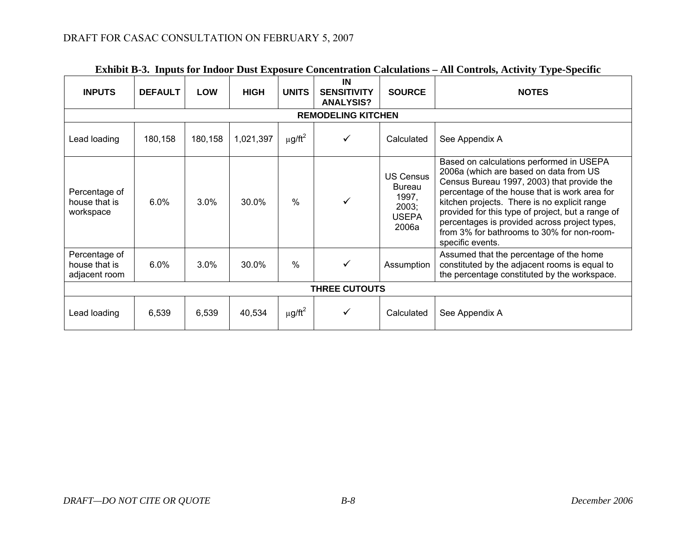| <b>INPUTS</b>                                   | <b>DEFAULT</b> | <b>LOW</b> | <b>HIGH</b> | <b>UNITS</b>    | IN<br><b>SENSITIVITY</b><br><b>ANALYSIS?</b> | <b>SOURCE</b>                                                                | <b>NOTES</b>                                                                                                                                                                                                                                                                                                                                                                                              |  |  |  |  |
|-------------------------------------------------|----------------|------------|-------------|-----------------|----------------------------------------------|------------------------------------------------------------------------------|-----------------------------------------------------------------------------------------------------------------------------------------------------------------------------------------------------------------------------------------------------------------------------------------------------------------------------------------------------------------------------------------------------------|--|--|--|--|
| <b>REMODELING KITCHEN</b>                       |                |            |             |                 |                                              |                                                                              |                                                                                                                                                                                                                                                                                                                                                                                                           |  |  |  |  |
| Lead loading                                    | 180,158        | 180,158    | 1,021,397   | $\mu$ g/ft $^2$ | ✓                                            | Calculated                                                                   | See Appendix A                                                                                                                                                                                                                                                                                                                                                                                            |  |  |  |  |
| Percentage of<br>house that is<br>workspace     | $6.0\%$        | $3.0\%$    | 30.0%       | $\%$            |                                              | <b>US Census</b><br><b>Bureau</b><br>1997,<br>2003;<br><b>USEPA</b><br>2006a | Based on calculations performed in USEPA<br>2006a (which are based on data from US<br>Census Bureau 1997, 2003) that provide the<br>percentage of the house that is work area for<br>kitchen projects. There is no explicit range<br>provided for this type of project, but a range of<br>percentages is provided across project types,<br>from 3% for bathrooms to 30% for non-room-<br>specific events. |  |  |  |  |
| Percentage of<br>house that is<br>adjacent room | 6.0%           | 3.0%       | 30.0%       | $\%$            | ✓                                            | Assumption                                                                   | Assumed that the percentage of the home<br>constituted by the adjacent rooms is equal to<br>the percentage constituted by the workspace.                                                                                                                                                                                                                                                                  |  |  |  |  |
|                                                 |                |            |             |                 | <b>THREE CUTOUTS</b>                         |                                                                              |                                                                                                                                                                                                                                                                                                                                                                                                           |  |  |  |  |
| Lead loading                                    | 6,539          | 6,539      | 40,534      | μg/ft $^2$      | ✓                                            | Calculated                                                                   | See Appendix A                                                                                                                                                                                                                                                                                                                                                                                            |  |  |  |  |

## **Exhibit B-3. Inputs for Indoor Dust Exposure Concentration Calculations – All Controls, Activity Type-Specific**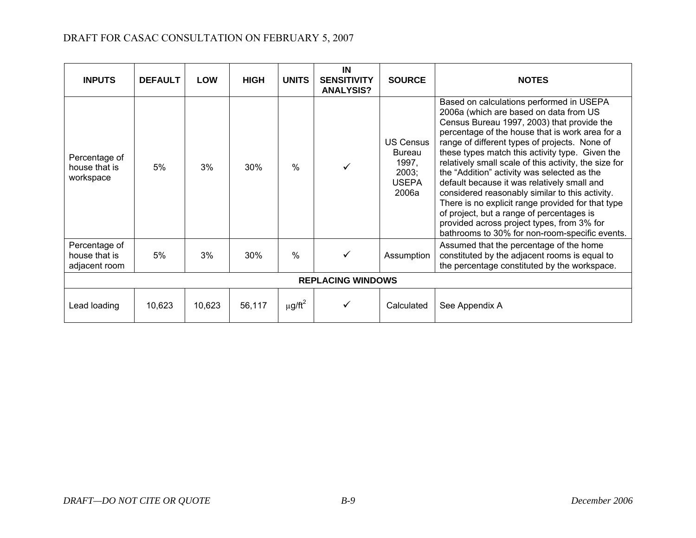| <b>INPUTS</b>                                   | <b>DEFAULT</b> | <b>LOW</b> | <b>HIGH</b> | <b>UNITS</b>    | IN<br><b>SENSITIVITY</b><br><b>ANALYSIS?</b> | <b>SOURCE</b>                                                         | <b>NOTES</b>                                                                                                                                                                                                                                                                                                                                                                                                                                                                                                                                                                                                                                                                                        |
|-------------------------------------------------|----------------|------------|-------------|-----------------|----------------------------------------------|-----------------------------------------------------------------------|-----------------------------------------------------------------------------------------------------------------------------------------------------------------------------------------------------------------------------------------------------------------------------------------------------------------------------------------------------------------------------------------------------------------------------------------------------------------------------------------------------------------------------------------------------------------------------------------------------------------------------------------------------------------------------------------------------|
| Percentage of<br>house that is<br>workspace     | 5%             | 3%         | 30%         | $\%$            |                                              | <b>US Census</b><br>Bureau<br>1997,<br>2003;<br><b>USEPA</b><br>2006a | Based on calculations performed in USEPA<br>2006a (which are based on data from US<br>Census Bureau 1997, 2003) that provide the<br>percentage of the house that is work area for a<br>range of different types of projects. None of<br>these types match this activity type. Given the<br>relatively small scale of this activity, the size for<br>the "Addition" activity was selected as the<br>default because it was relatively small and<br>considered reasonably similar to this activity.<br>There is no explicit range provided for that type<br>of project, but a range of percentages is<br>provided across project types, from 3% for<br>bathrooms to 30% for non-room-specific events. |
| Percentage of<br>house that is<br>adjacent room | 5%             | 3%         | 30%         | $\frac{0}{0}$   |                                              | Assumption                                                            | Assumed that the percentage of the home<br>constituted by the adjacent rooms is equal to<br>the percentage constituted by the workspace.                                                                                                                                                                                                                                                                                                                                                                                                                                                                                                                                                            |
|                                                 |                |            |             |                 | <b>REPLACING WINDOWS</b>                     |                                                                       |                                                                                                                                                                                                                                                                                                                                                                                                                                                                                                                                                                                                                                                                                                     |
| Lead loading                                    | 10,623         | 10,623     | 56,117      | $\mu$ g/ft $^2$ |                                              | Calculated                                                            | See Appendix A                                                                                                                                                                                                                                                                                                                                                                                                                                                                                                                                                                                                                                                                                      |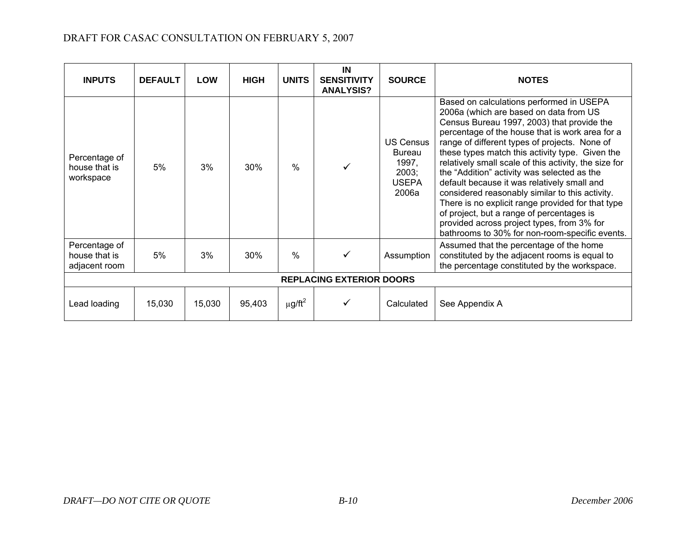| <b>INPUTS</b>                                   | <b>DEFAULT</b> | <b>LOW</b> | <b>HIGH</b> | <b>UNITS</b>    | IN<br><b>SENSITIVITY</b><br><b>ANALYSIS?</b> | <b>SOURCE</b>                                                         | <b>NOTES</b>                                                                                                                                                                                                                                                                                                                                                                                                                                                                                                                                                                                                                                                                                        |
|-------------------------------------------------|----------------|------------|-------------|-----------------|----------------------------------------------|-----------------------------------------------------------------------|-----------------------------------------------------------------------------------------------------------------------------------------------------------------------------------------------------------------------------------------------------------------------------------------------------------------------------------------------------------------------------------------------------------------------------------------------------------------------------------------------------------------------------------------------------------------------------------------------------------------------------------------------------------------------------------------------------|
| Percentage of<br>house that is<br>workspace     | 5%             | 3%         | 30%         | $\%$            |                                              | US Census<br><b>Bureau</b><br>1997,<br>2003;<br><b>USEPA</b><br>2006a | Based on calculations performed in USEPA<br>2006a (which are based on data from US<br>Census Bureau 1997, 2003) that provide the<br>percentage of the house that is work area for a<br>range of different types of projects. None of<br>these types match this activity type. Given the<br>relatively small scale of this activity, the size for<br>the "Addition" activity was selected as the<br>default because it was relatively small and<br>considered reasonably similar to this activity.<br>There is no explicit range provided for that type<br>of project, but a range of percentages is<br>provided across project types, from 3% for<br>bathrooms to 30% for non-room-specific events. |
| Percentage of<br>house that is<br>adjacent room | 5%             | 3%         | 30%         | $\%$            |                                              | Assumption                                                            | Assumed that the percentage of the home<br>constituted by the adjacent rooms is equal to<br>the percentage constituted by the workspace.                                                                                                                                                                                                                                                                                                                                                                                                                                                                                                                                                            |
|                                                 |                |            |             |                 | <b>REPLACING EXTERIOR DOORS</b>              |                                                                       |                                                                                                                                                                                                                                                                                                                                                                                                                                                                                                                                                                                                                                                                                                     |
| Lead loading                                    | 15,030         | 15,030     | 95,403      | $\mu$ g/ft $^2$ |                                              | Calculated                                                            | See Appendix A                                                                                                                                                                                                                                                                                                                                                                                                                                                                                                                                                                                                                                                                                      |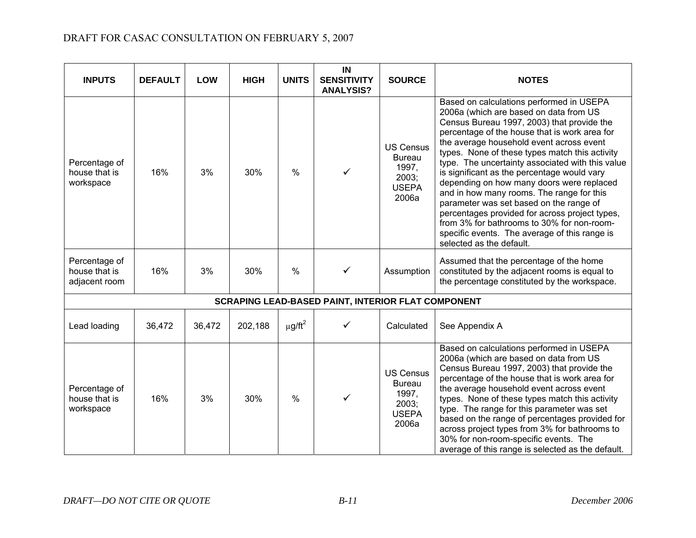| <b>INPUTS</b>                                   | <b>DEFAULT</b> | <b>LOW</b> | <b>HIGH</b> | <b>UNITS</b>            | IN<br><b>SENSITIVITY</b><br><b>ANALYSIS?</b>              | <b>SOURCE</b>                                                                | <b>NOTES</b>                                                                                                                                                                                                                                                                                                                                                                                                                                                                                                                                                                                                                                                                                         |
|-------------------------------------------------|----------------|------------|-------------|-------------------------|-----------------------------------------------------------|------------------------------------------------------------------------------|------------------------------------------------------------------------------------------------------------------------------------------------------------------------------------------------------------------------------------------------------------------------------------------------------------------------------------------------------------------------------------------------------------------------------------------------------------------------------------------------------------------------------------------------------------------------------------------------------------------------------------------------------------------------------------------------------|
| Percentage of<br>house that is<br>workspace     | 16%            | 3%         | 30%         | $\frac{0}{0}$           | ✓                                                         | <b>US Census</b><br><b>Bureau</b><br>1997,<br>2003;<br><b>USEPA</b><br>2006a | Based on calculations performed in USEPA<br>2006a (which are based on data from US<br>Census Bureau 1997, 2003) that provide the<br>percentage of the house that is work area for<br>the average household event across event<br>types. None of these types match this activity<br>type. The uncertainty associated with this value<br>is significant as the percentage would vary<br>depending on how many doors were replaced<br>and in how many rooms. The range for this<br>parameter was set based on the range of<br>percentages provided for across project types,<br>from 3% for bathrooms to 30% for non-room-<br>specific events. The average of this range is<br>selected as the default. |
| Percentage of<br>house that is<br>adjacent room | 16%            | 3%         | 30%         | $\%$                    | $\checkmark$                                              | Assumption                                                                   | Assumed that the percentage of the home<br>constituted by the adjacent rooms is equal to<br>the percentage constituted by the workspace.                                                                                                                                                                                                                                                                                                                                                                                                                                                                                                                                                             |
|                                                 |                |            |             |                         | <b>SCRAPING LEAD-BASED PAINT, INTERIOR FLAT COMPONENT</b> |                                                                              |                                                                                                                                                                                                                                                                                                                                                                                                                                                                                                                                                                                                                                                                                                      |
| Lead loading                                    | 36,472         | 36,472     | 202,188     | $\mu$ g/ft <sup>2</sup> | ✓                                                         | Calculated                                                                   | See Appendix A                                                                                                                                                                                                                                                                                                                                                                                                                                                                                                                                                                                                                                                                                       |
| Percentage of<br>house that is<br>workspace     | 16%            | 3%         | 30%         | $\frac{0}{0}$           | ✓                                                         | <b>US Census</b><br><b>Bureau</b><br>1997,<br>2003;<br><b>USEPA</b><br>2006a | Based on calculations performed in USEPA<br>2006a (which are based on data from US<br>Census Bureau 1997, 2003) that provide the<br>percentage of the house that is work area for<br>the average household event across event<br>types. None of these types match this activity<br>type. The range for this parameter was set<br>based on the range of percentages provided for<br>across project types from 3% for bathrooms to<br>30% for non-room-specific events. The<br>average of this range is selected as the default.                                                                                                                                                                       |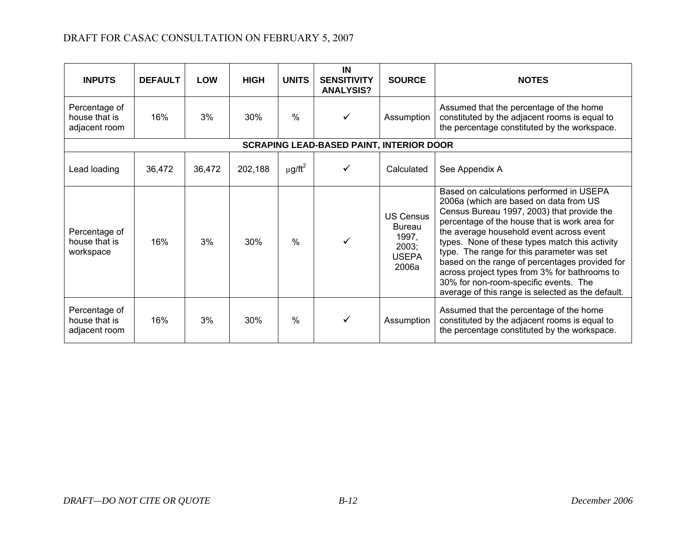| <b>INPUTS</b>                                   | <b>DEFAULT</b> | <b>LOW</b> | <b>HIGH</b> | <b>UNITS</b>    | IN<br><b>SENSITIVITY</b><br><b>ANALYSIS?</b> | <b>SOURCE</b>                                                         | <b>NOTES</b>                                                                                                                                                                                                                                                                                                                                                                                                                                                                                                                   |  |  |  |  |
|-------------------------------------------------|----------------|------------|-------------|-----------------|----------------------------------------------|-----------------------------------------------------------------------|--------------------------------------------------------------------------------------------------------------------------------------------------------------------------------------------------------------------------------------------------------------------------------------------------------------------------------------------------------------------------------------------------------------------------------------------------------------------------------------------------------------------------------|--|--|--|--|
| Percentage of<br>house that is<br>adjacent room | 16%            | 3%         | 30%         | $\frac{0}{0}$   | ✓                                            | Assumption                                                            | Assumed that the percentage of the home<br>constituted by the adjacent rooms is equal to<br>the percentage constituted by the workspace.                                                                                                                                                                                                                                                                                                                                                                                       |  |  |  |  |
| <b>SCRAPING LEAD-BASED PAINT, INTERIOR DOOR</b> |                |            |             |                 |                                              |                                                                       |                                                                                                                                                                                                                                                                                                                                                                                                                                                                                                                                |  |  |  |  |
| Lead loading                                    | 36,472         | 36,472     | 202,188     | $\mu$ g/ft $^2$ |                                              | Calculated                                                            | See Appendix A                                                                                                                                                                                                                                                                                                                                                                                                                                                                                                                 |  |  |  |  |
| Percentage of<br>house that is<br>workspace     | 16%            | 3%         | 30%         | $\frac{0}{0}$   |                                              | <b>US Census</b><br>Bureau<br>1997,<br>2003;<br><b>USEPA</b><br>2006a | Based on calculations performed in USEPA<br>2006a (which are based on data from US<br>Census Bureau 1997, 2003) that provide the<br>percentage of the house that is work area for<br>the average household event across event<br>types. None of these types match this activity<br>type. The range for this parameter was set<br>based on the range of percentages provided for<br>across project types from 3% for bathrooms to<br>30% for non-room-specific events. The<br>average of this range is selected as the default. |  |  |  |  |
| Percentage of<br>house that is<br>adjacent room | 16%            | 3%         | 30%         | $\frac{0}{0}$   |                                              | Assumption                                                            | Assumed that the percentage of the home<br>constituted by the adjacent rooms is equal to<br>the percentage constituted by the workspace.                                                                                                                                                                                                                                                                                                                                                                                       |  |  |  |  |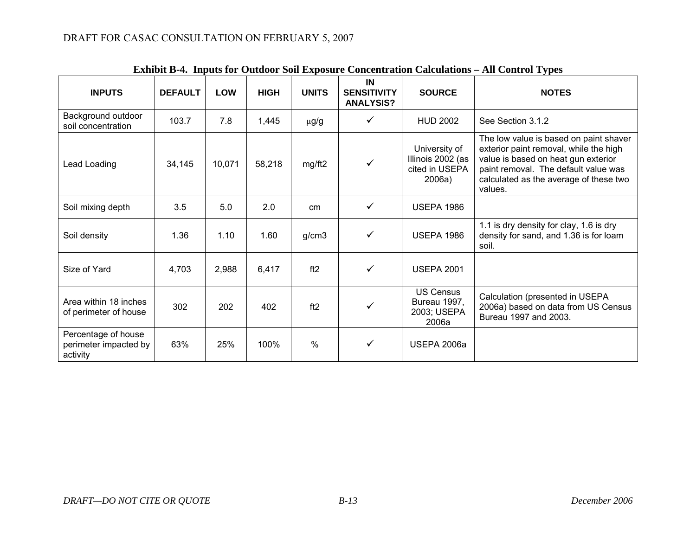|                                                          |                |            |             |              |                                              | емные в эт пірав гог байвог дон ехрозаге сонеснитают сагенатона | $\mathbf{m}$ common $\mathbf{r}$ , $\mathbf{p}$ co                                                                                                                                                                   |
|----------------------------------------------------------|----------------|------------|-------------|--------------|----------------------------------------------|-----------------------------------------------------------------|----------------------------------------------------------------------------------------------------------------------------------------------------------------------------------------------------------------------|
| <b>INPUTS</b>                                            | <b>DEFAULT</b> | <b>LOW</b> | <b>HIGH</b> | <b>UNITS</b> | IN<br><b>SENSITIVITY</b><br><b>ANALYSIS?</b> | <b>SOURCE</b>                                                   | <b>NOTES</b>                                                                                                                                                                                                         |
| Background outdoor<br>soil concentration                 | 103.7          | 7.8        | 1,445       | $\mu$ g/g    | ✓                                            | <b>HUD 2002</b>                                                 | See Section 3.1.2                                                                                                                                                                                                    |
| Lead Loading                                             | 34,145         | 10,071     | 58,218      | mg/ft2       | $\checkmark$                                 | University of<br>Illinois 2002 (as<br>cited in USEPA<br>2006a)  | The low value is based on paint shaver<br>exterior paint removal, while the high<br>value is based on heat gun exterior<br>paint removal. The default value was<br>calculated as the average of these two<br>values. |
| Soil mixing depth                                        | 3.5            | 5.0        | 2.0         | cm           | ✓                                            | <b>USEPA 1986</b>                                               |                                                                                                                                                                                                                      |
| Soil density                                             | 1.36           | 1.10       | 1.60        | g/cm3        | ✓                                            | <b>USEPA 1986</b>                                               | 1.1 is dry density for clay, 1.6 is dry<br>density for sand, and 1.36 is for loam<br>soil.                                                                                                                           |
| Size of Yard                                             | 4,703          | 2,988      | 6,417       | ft2          | ✓                                            | <b>USEPA 2001</b>                                               |                                                                                                                                                                                                                      |
| Area within 18 inches<br>of perimeter of house           | 302            | 202        | 402         | ft2          | ✓                                            | <b>US Census</b><br>Bureau 1997,<br>2003; USEPA<br>2006a        | Calculation (presented in USEPA<br>2006a) based on data from US Census<br>Bureau 1997 and 2003.                                                                                                                      |
| Percentage of house<br>perimeter impacted by<br>activity | 63%            | 25%        | 100%        | %            | $\checkmark$                                 | USEPA 2006a                                                     |                                                                                                                                                                                                                      |

|  |  | Exhibit B-4. Inputs for Outdoor Soil Exposure Concentration Calculations - All Control Types |
|--|--|----------------------------------------------------------------------------------------------|
|  |  |                                                                                              |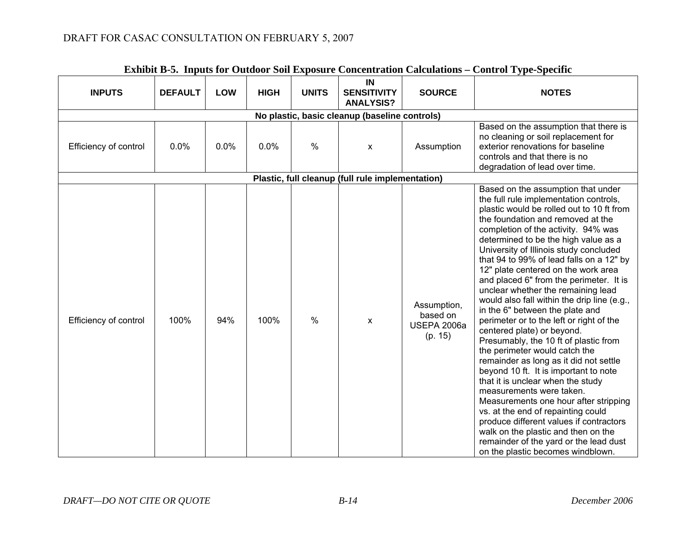| <b>INPUTS</b>                                 | <b>DEFAULT</b> | <b>LOW</b> | <b>HIGH</b> | <b>UNITS</b> | IN<br><b>SENSITIVITY</b><br><b>ANALYSIS?</b>     | <b>SOURCE</b>                                     | <b>NOTES</b>                                                                                                                                                                                                                                                                                                                                                                                                                                                                                                                                                                                                                                                                                                                                                                                                                                                                                                                                                                                                                                                                                          |  |  |  |  |
|-----------------------------------------------|----------------|------------|-------------|--------------|--------------------------------------------------|---------------------------------------------------|-------------------------------------------------------------------------------------------------------------------------------------------------------------------------------------------------------------------------------------------------------------------------------------------------------------------------------------------------------------------------------------------------------------------------------------------------------------------------------------------------------------------------------------------------------------------------------------------------------------------------------------------------------------------------------------------------------------------------------------------------------------------------------------------------------------------------------------------------------------------------------------------------------------------------------------------------------------------------------------------------------------------------------------------------------------------------------------------------------|--|--|--|--|
| No plastic, basic cleanup (baseline controls) |                |            |             |              |                                                  |                                                   |                                                                                                                                                                                                                                                                                                                                                                                                                                                                                                                                                                                                                                                                                                                                                                                                                                                                                                                                                                                                                                                                                                       |  |  |  |  |
| Efficiency of control                         | 0.0%           | 0.0%       | 0.0%        | $\%$         | X                                                | Assumption                                        | Based on the assumption that there is<br>no cleaning or soil replacement for<br>exterior renovations for baseline<br>controls and that there is no<br>degradation of lead over time.                                                                                                                                                                                                                                                                                                                                                                                                                                                                                                                                                                                                                                                                                                                                                                                                                                                                                                                  |  |  |  |  |
|                                               |                |            |             |              | Plastic, full cleanup (full rule implementation) |                                                   |                                                                                                                                                                                                                                                                                                                                                                                                                                                                                                                                                                                                                                                                                                                                                                                                                                                                                                                                                                                                                                                                                                       |  |  |  |  |
| Efficiency of control                         | 100%           | 94%        | 100%        | $\%$         | X                                                | Assumption,<br>based on<br>USEPA 2006a<br>(p. 15) | Based on the assumption that under<br>the full rule implementation controls,<br>plastic would be rolled out to 10 ft from<br>the foundation and removed at the<br>completion of the activity. 94% was<br>determined to be the high value as a<br>University of Illinois study concluded<br>that 94 to 99% of lead falls on a 12" by<br>12" plate centered on the work area<br>and placed 6" from the perimeter. It is<br>unclear whether the remaining lead<br>would also fall within the drip line (e.g.,<br>in the 6" between the plate and<br>perimeter or to the left or right of the<br>centered plate) or beyond.<br>Presumably, the 10 ft of plastic from<br>the perimeter would catch the<br>remainder as long as it did not settle<br>beyond 10 ft. It is important to note<br>that it is unclear when the study<br>measurements were taken.<br>Measurements one hour after stripping<br>vs. at the end of repainting could<br>produce different values if contractors<br>walk on the plastic and then on the<br>remainder of the yard or the lead dust<br>on the plastic becomes windblown. |  |  |  |  |

## **Exhibit B-5. Inputs for Outdoor Soil Exposure Concentration Calculations – Control Type-Specific**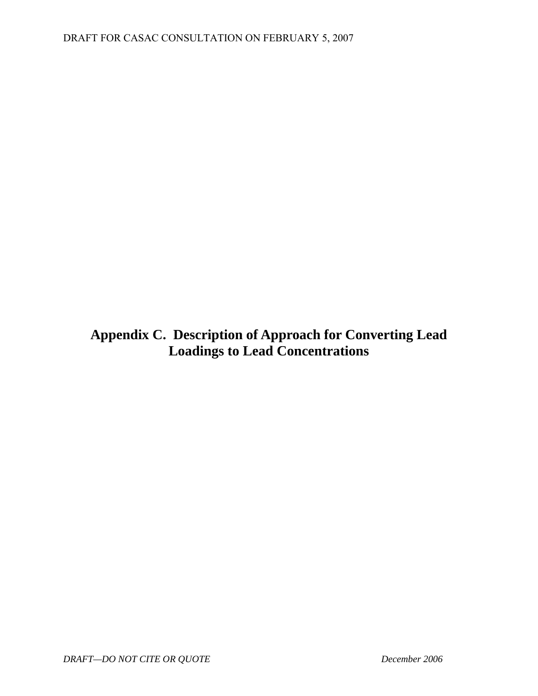<span id="page-53-0"></span>**Appendix C. Description of Approach for Converting Lead Loadings to Lead Concentrations**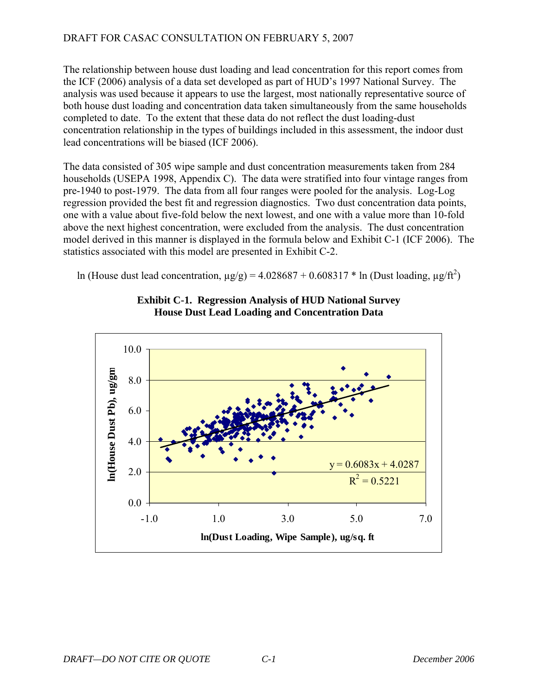The relationship between house dust loading and lead concentration for this report comes from the ICF (2006) analysis of a data set developed as part of HUD's 1997 National Survey. The analysis was used because it appears to use the largest, most nationally representative source of both house dust loading and concentration data taken simultaneously from the same households completed to date. To the extent that these data do not reflect the dust loading-dust concentration relationship in the types of buildings included in this assessment, the indoor dust lead concentrations will be biased (ICF 2006).

The data consisted of 305 wipe sample and dust concentration measurements taken from 284 households (USEPA 1998, Appendix C). The data were stratified into four vintage ranges from pre-1940 to post-1979. The data from all four ranges were pooled for the analysis. Log-Log regression provided the best fit and regression diagnostics. Two dust concentration data points, one with a value about five-fold below the next lowest, and one with a value more than 10-fold above the next highest concentration, were excluded from the analysis. The dust concentration model derived in this manner is displayed in the formula below and Exhibit C-1 (ICF 2006). The statistics associated with this model are presented in Exhibit C-2.

ln (House dust lead concentration,  $\mu$ g/g) = 4.028687 + 0.608317 \* ln (Dust loading,  $\mu$ g/ft<sup>2</sup>)



## **Exhibit C-1. Regression Analysis of HUD National Survey House Dust Lead Loading and Concentration Data**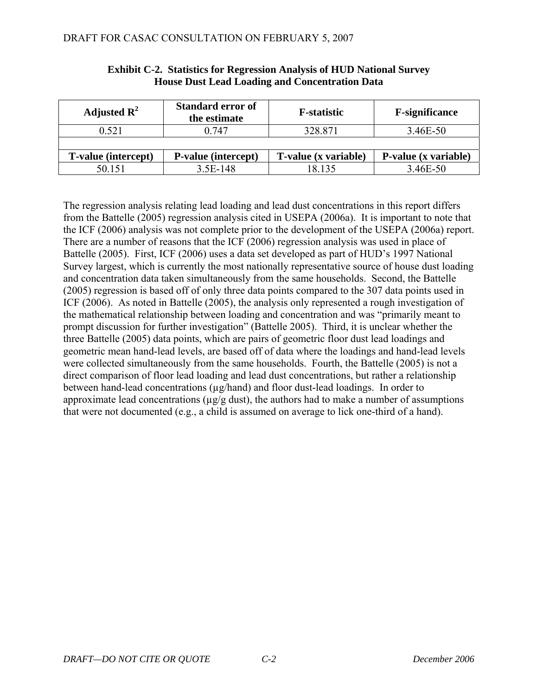| Adjusted $\mathbf{R}^2$    | <b>Standard error of</b><br>the estimate | <b>F</b> -statistic  | <b>F-significance</b> |
|----------------------------|------------------------------------------|----------------------|-----------------------|
| 0.521                      | 0.747                                    | 328.871              | 3.46E-50              |
|                            |                                          |                      |                       |
| <b>T-value (intercept)</b> | <b>P-value (intercept)</b>               | T-value (x variable) | P-value (x variable)  |
| 50.151                     | 3.5E-148                                 | 8.135                | 3.46E-50              |

### **Exhibit C-2. Statistics for Regression Analysis of HUD National Survey House Dust Lead Loading and Concentration Data**

 $\overline{\phantom{a}}$ 

The regression analysis relating lead loading and lead dust concentrations in this report differs from the Battelle (2005) regression analysis cited in USEPA (2006a). It is important to note that the ICF (2006) analysis was not complete prior to the development of the USEPA (2006a) report. There are a number of reasons that the ICF (2006) regression analysis was used in place of Battelle (2005). First, ICF (2006) uses a data set developed as part of HUD's 1997 National Survey largest, which is currently the most nationally representative source of house dust loading and concentration data taken simultaneously from the same households. Second, the Battelle (2005) regression is based off of only three data points compared to the 307 data points used in ICF (2006). As noted in Battelle (2005), the analysis only represented a rough investigation of the mathematical relationship between loading and concentration and was "primarily meant to prompt discussion for further investigation" (Battelle 2005). Third, it is unclear whether the three Battelle (2005) data points, which are pairs of geometric floor dust lead loadings and geometric mean hand-lead levels, are based off of data where the loadings and hand-lead levels were collected simultaneously from the same households. Fourth, the Battelle (2005) is not a direct comparison of floor lead loading and lead dust concentrations, but rather a relationship between hand-lead concentrations (µg/hand) and floor dust-lead loadings. In order to approximate lead concentrations ( $\mu$ g/g dust), the authors had to make a number of assumptions that were not documented (e.g., a child is assumed on average to lick one-third of a hand).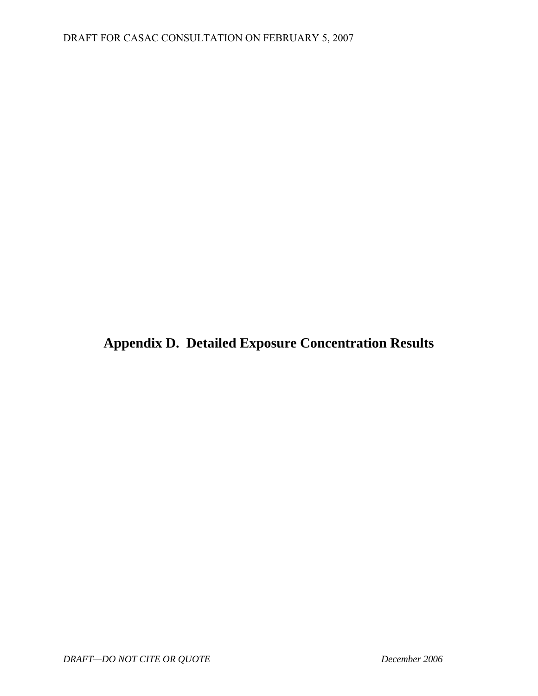<span id="page-56-0"></span>**Appendix D. Detailed Exposure Concentration Results**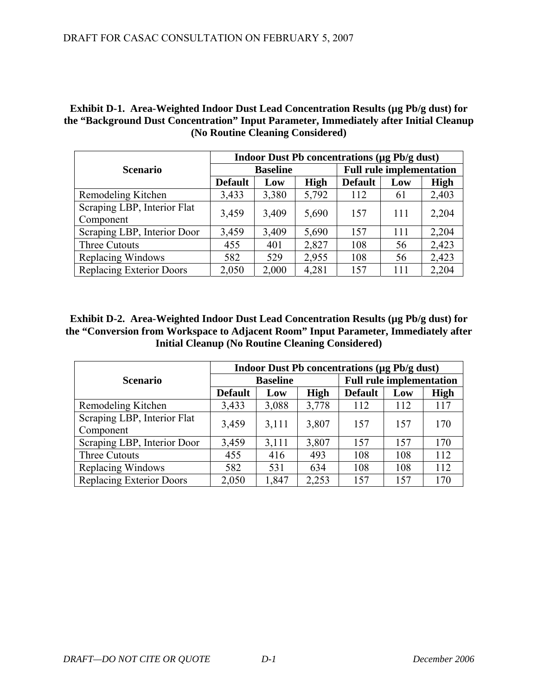**Exhibit D-1. Area-Weighted Indoor Dust Lead Concentration Results (µg Pb/g dust) for the "Background Dust Concentration" Input Parameter, Immediately after Initial Cleanup (No Routine Cleaning Considered)** 

|                                          | Indoor Dust Pb concentrations $(\mu g P b / g \text{ dust})$ |                 |             |                                 |     |       |  |  |
|------------------------------------------|--------------------------------------------------------------|-----------------|-------------|---------------------------------|-----|-------|--|--|
| <b>Scenario</b>                          |                                                              | <b>Baseline</b> |             | <b>Full rule implementation</b> |     |       |  |  |
|                                          | <b>Default</b>                                               | Low             | <b>High</b> | <b>Default</b>                  | Low | High  |  |  |
| Remodeling Kitchen                       | 3,433                                                        | 3,380           | 5,792       | 112                             | 61  | 2,403 |  |  |
| Scraping LBP, Interior Flat<br>Component | 3,459                                                        | 3,409           | 5,690       | 157                             | 111 | 2,204 |  |  |
| Scraping LBP, Interior Door              | 3,459                                                        | 3,409           | 5,690       | 157                             | 111 | 2,204 |  |  |
| Three Cutouts                            | 455                                                          | 401             | 2,827       | 108                             | 56  | 2,423 |  |  |
| Replacing Windows                        | 582                                                          | 529             | 2,955       | 108                             | 56  | 2,423 |  |  |
| <b>Replacing Exterior Doors</b>          | 2,050                                                        | 2,000           | 4,281       | 157                             | 111 | 2,204 |  |  |

**Exhibit D-2.** Area-Weighted Indoor Dust Lead Concentration Results (µg Pb/g dust) for **the "Conversion from Workspace to Adjacent Room" Input Parameter, Immediately after Initial Cleanup (No Routine Cleaning Considered)** 

|                                 | <b>Indoor Dust Pb concentrations (µg Pb/g dust)</b> |                 |             |                                 |     |             |  |  |
|---------------------------------|-----------------------------------------------------|-----------------|-------------|---------------------------------|-----|-------------|--|--|
| <b>Scenario</b>                 |                                                     | <b>Baseline</b> |             | <b>Full rule implementation</b> |     |             |  |  |
|                                 | <b>Default</b>                                      | Low             | <b>High</b> | <b>Default</b>                  | Low | <b>High</b> |  |  |
| Remodeling Kitchen              | 3,433                                               | 3,088           | 3,778       | 112                             | 112 | 117         |  |  |
| Scraping LBP, Interior Flat     | 3,459                                               | 3,111           | 3,807       | 157                             | 157 | 170         |  |  |
| Component                       |                                                     |                 |             |                                 |     |             |  |  |
| Scraping LBP, Interior Door     | 3,459                                               | 3,111           | 3,807       | 157                             | 157 | 170         |  |  |
| Three Cutouts                   | 455                                                 | 416             | 493         | 108                             | 108 | 112         |  |  |
| Replacing Windows               | 582                                                 | 531             | 634         | 108                             | 108 | 112         |  |  |
| <b>Replacing Exterior Doors</b> | 2,050                                               | 1,847           | 2,253       | 157                             | 157 | 170         |  |  |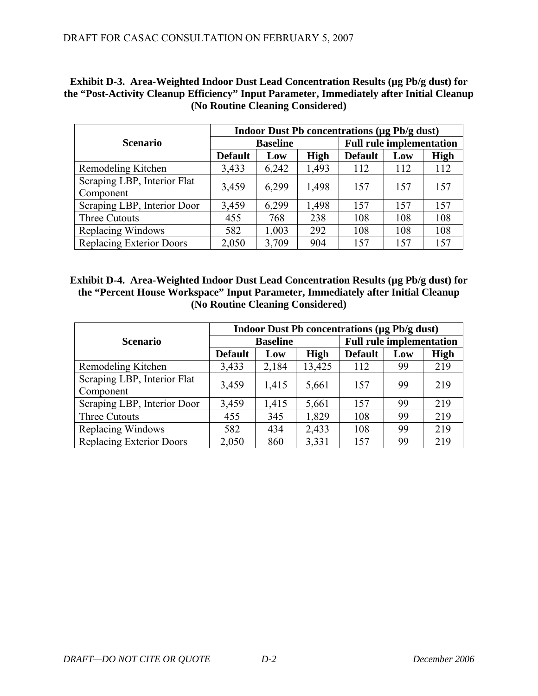| Exhibit D-3. Area-Weighted Indoor Dust Lead Concentration Results (µg Pb/g dust) for      |
|-------------------------------------------------------------------------------------------|
| the "Post-Activity Cleanup Efficiency" Input Parameter, Immediately after Initial Cleanup |
| (No Routine Cleaning Considered)                                                          |

|                                 | <b>Indoor Dust Pb concentrations (µg Pb/g dust)</b> |                 |             |                                 |     |             |  |  |
|---------------------------------|-----------------------------------------------------|-----------------|-------------|---------------------------------|-----|-------------|--|--|
| <b>Scenario</b>                 |                                                     | <b>Baseline</b> |             | <b>Full rule implementation</b> |     |             |  |  |
|                                 | <b>Default</b>                                      | Low             | <b>High</b> | <b>Default</b>                  | Low | <b>High</b> |  |  |
| Remodeling Kitchen              | 3,433                                               | 6,242           | 1,493       | 112                             | 112 | 112         |  |  |
| Scraping LBP, Interior Flat     | 3,459                                               | 6,299           | 1,498       | 157                             | 157 | 157         |  |  |
| Component                       |                                                     |                 |             |                                 |     |             |  |  |
| Scraping LBP, Interior Door     | 3,459                                               | 6,299           | 1,498       | 157                             | 157 | 157         |  |  |
| Three Cutouts                   | 455                                                 | 768             | 238         | 108                             | 108 | 108         |  |  |
| Replacing Windows               | 582                                                 | 1,003           | 292         | 108                             | 108 | 108         |  |  |
| <b>Replacing Exterior Doors</b> | 2,050                                               | 3,709           | 904         | 157                             | 157 | 157         |  |  |

**Exhibit D-4. Area-Weighted Indoor Dust Lead Concentration Results (µg Pb/g dust) for the "Percent House Workspace" Input Parameter, Immediately after Initial Cleanup (No Routine Cleaning Considered)** 

|                                 | <b>Indoor Dust Pb concentrations (µg Pb/g dust)</b> |                 |             |                                 |     |             |  |  |
|---------------------------------|-----------------------------------------------------|-----------------|-------------|---------------------------------|-----|-------------|--|--|
| <b>Scenario</b>                 |                                                     | <b>Baseline</b> |             | <b>Full rule implementation</b> |     |             |  |  |
|                                 | <b>Default</b>                                      | Low             | <b>High</b> | <b>Default</b>                  | Low | <b>High</b> |  |  |
| Remodeling Kitchen              | 3,433                                               | 2,184           | 13,425      | 112                             | 99  | 219         |  |  |
| Scraping LBP, Interior Flat     | 3,459                                               | 1,415           | 5,661       | 157                             | 99  | 219         |  |  |
| Component                       |                                                     |                 |             |                                 |     |             |  |  |
| Scraping LBP, Interior Door     | 3,459                                               | 1,415           | 5,661       | 157                             | 99  | 219         |  |  |
| Three Cutouts                   | 455                                                 | 345             | 1,829       | 108                             | 99  | 219         |  |  |
| Replacing Windows               | 582                                                 | 434             | 2,433       | 108                             | 99  | 219         |  |  |
| <b>Replacing Exterior Doors</b> | 2,050                                               | 860             | 3,331       | 157                             | 99  | 219         |  |  |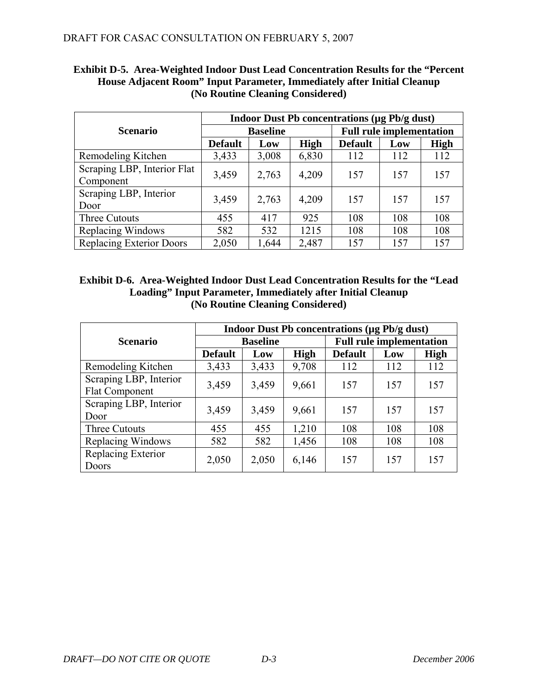|                                          | <b>Indoor Dust Pb concentrations (µg Pb/g dust)</b> |                 |             |                                 |     |             |  |  |  |
|------------------------------------------|-----------------------------------------------------|-----------------|-------------|---------------------------------|-----|-------------|--|--|--|
| <b>Scenario</b>                          |                                                     | <b>Baseline</b> |             | <b>Full rule implementation</b> |     |             |  |  |  |
|                                          | <b>Default</b>                                      | Low             | <b>High</b> | <b>Default</b>                  | Low | <b>High</b> |  |  |  |
| Remodeling Kitchen                       | 3,433                                               | 3,008           | 6,830       | 112                             | 112 | 112         |  |  |  |
| Scraping LBP, Interior Flat<br>Component | 3,459                                               | 2,763           | 4,209       | 157                             | 157 | 157         |  |  |  |
| Scraping LBP, Interior<br>Door           | 3,459                                               | 2,763           | 4,209       | 157                             | 157 | 157         |  |  |  |
| Three Cutouts                            | 455                                                 | 417             | 925         | 108                             | 108 | 108         |  |  |  |
| Replacing Windows                        | 582                                                 | 532             | 1215        | 108                             | 108 | 108         |  |  |  |
| Replacing Exterior Doors                 | 2,050                                               | 1,644           | 2,487       | 157                             | 157 | 157         |  |  |  |

## **Exhibit D-5. Area-Weighted Indoor Dust Lead Concentration Results for the "Percent House Adjacent Room" Input Parameter, Immediately after Initial Cleanup (No Routine Cleaning Considered)**

| <b>Exhibit D-6.</b> Area-Weighted Indoor Dust Lead Concentration Results for the "Lead |
|----------------------------------------------------------------------------------------|
| Loading" Input Parameter, Immediately after Initial Cleanup                            |
| (No Routine Cleaning Considered)                                                       |

|                                          | <b>Indoor Dust Pb concentrations (µg Pb/g dust)</b> |                 |       |                                 |     |             |  |  |  |
|------------------------------------------|-----------------------------------------------------|-----------------|-------|---------------------------------|-----|-------------|--|--|--|
| <b>Scenario</b>                          |                                                     | <b>Baseline</b> |       | <b>Full rule implementation</b> |     |             |  |  |  |
|                                          | <b>Default</b>                                      | Low             | High  | <b>Default</b>                  | Low | <b>High</b> |  |  |  |
| Remodeling Kitchen                       | 3,433                                               | 3,433           | 9,708 | 112                             | 112 | 112         |  |  |  |
| Scraping LBP, Interior<br>Flat Component | 3,459                                               | 3,459           | 9,661 | 157                             | 157 | 157         |  |  |  |
| Scraping LBP, Interior<br>Door           | 3,459                                               | 3,459           | 9,661 | 157                             | 157 | 157         |  |  |  |
| Three Cutouts                            | 455                                                 | 455             | 1,210 | 108                             | 108 | 108         |  |  |  |
| Replacing Windows                        | 582                                                 | 582             | 1,456 | 108                             | 108 | 108         |  |  |  |
| Replacing Exterior<br>Doors              | 2,050                                               | 2,050           | 6,146 | 157                             | 157 | 157         |  |  |  |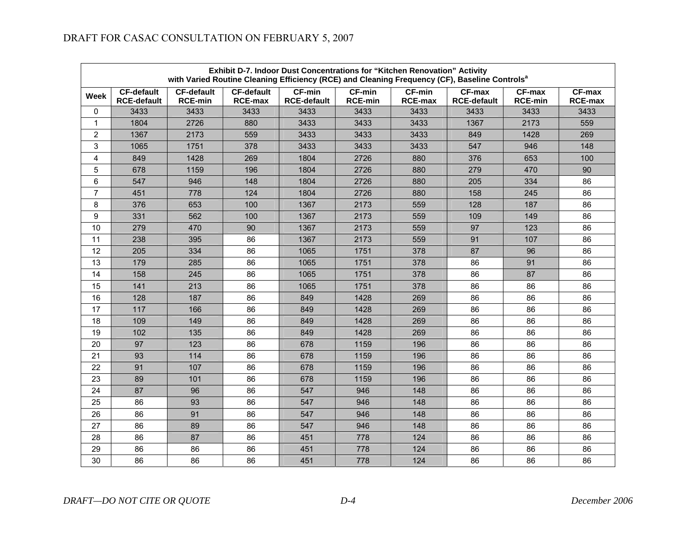|                         | Exhibit D-7. Indoor Dust Concentrations for "Kitchen Renovation" Activity<br>with Varied Routine Cleaning Efficiency (RCE) and Cleaning Frequency (CF), Baseline Controls <sup>a</sup> |                                     |                                     |                                     |                                 |                                 |                                     |                          |                                 |  |  |
|-------------------------|----------------------------------------------------------------------------------------------------------------------------------------------------------------------------------------|-------------------------------------|-------------------------------------|-------------------------------------|---------------------------------|---------------------------------|-------------------------------------|--------------------------|---------------------------------|--|--|
| Week                    | <b>CF-default</b><br><b>RCE-default</b>                                                                                                                                                | <b>CF-default</b><br><b>RCE-min</b> | <b>CF-default</b><br><b>RCE-max</b> | <b>CF-min</b><br><b>RCE-default</b> | <b>CF-min</b><br><b>RCE-min</b> | <b>CF-min</b><br><b>RCE-max</b> | <b>CF-max</b><br><b>RCE-default</b> | CF-max<br><b>RCE-min</b> | <b>CF-max</b><br><b>RCE-max</b> |  |  |
| 0                       | 3433                                                                                                                                                                                   | 3433                                | 3433                                | 3433                                | 3433                            | 3433                            | 3433                                | 3433                     | 3433                            |  |  |
| $\mathbf 1$             | 1804                                                                                                                                                                                   | 2726                                | 880                                 | 3433                                | 3433                            | 3433                            | 1367                                | 2173                     | 559                             |  |  |
| $\overline{2}$          | 1367                                                                                                                                                                                   | 2173                                | 559                                 | 3433                                | 3433                            | 3433                            | 849                                 | 1428                     | 269                             |  |  |
| 3                       | 1065                                                                                                                                                                                   | 1751                                | 378                                 | 3433                                | 3433                            | 3433                            | 547                                 | 946                      | 148                             |  |  |
| $\overline{\mathbf{4}}$ | 849                                                                                                                                                                                    | 1428                                | 269                                 | 1804                                | 2726                            | 880                             | 376                                 | 653                      | 100                             |  |  |
| 5                       | 678                                                                                                                                                                                    | 1159                                | 196                                 | 1804                                | 2726                            | 880                             | 279                                 | 470                      | 90                              |  |  |
| $\,6\,$                 | 547                                                                                                                                                                                    | 946                                 | 148                                 | 1804                                | 2726                            | 880                             | 205                                 | 334                      | 86                              |  |  |
| $\overline{7}$          | 451                                                                                                                                                                                    | 778                                 | 124                                 | 1804                                | 2726                            | 880                             | 158                                 | 245                      | 86                              |  |  |
| 8                       | 376                                                                                                                                                                                    | 653                                 | 100                                 | 1367                                | 2173                            | 559                             | 128                                 | 187                      | 86                              |  |  |
| 9                       | 331                                                                                                                                                                                    | 562                                 | 100                                 | 1367                                | 2173                            | 559                             | 109                                 | 149                      | 86                              |  |  |
| 10                      | 279                                                                                                                                                                                    | 470                                 | 90                                  | 1367                                | 2173                            | 559                             | 97                                  | 123                      | 86                              |  |  |
| 11                      | 238                                                                                                                                                                                    | 395                                 | 86                                  | 1367                                | 2173                            | 559                             | 91                                  | 107                      | 86                              |  |  |
| 12                      | 205                                                                                                                                                                                    | 334                                 | 86                                  | 1065                                | 1751                            | 378                             | 87                                  | 96                       | 86                              |  |  |
| 13                      | 179                                                                                                                                                                                    | 285                                 | 86                                  | 1065                                | 1751                            | 378                             | 86                                  | 91                       | 86                              |  |  |
| 14                      | 158                                                                                                                                                                                    | 245                                 | 86                                  | 1065                                | 1751                            | 378                             | 86                                  | 87                       | 86                              |  |  |
| 15                      | 141                                                                                                                                                                                    | 213                                 | 86                                  | 1065                                | 1751                            | 378                             | 86                                  | 86                       | 86                              |  |  |
| 16                      | 128                                                                                                                                                                                    | 187                                 | 86                                  | 849                                 | 1428                            | 269                             | 86                                  | 86                       | 86                              |  |  |
| 17                      | 117                                                                                                                                                                                    | 166                                 | 86                                  | 849                                 | 1428                            | 269                             | 86                                  | 86                       | 86                              |  |  |
| 18                      | 109                                                                                                                                                                                    | 149                                 | 86                                  | 849                                 | 1428                            | 269                             | 86                                  | 86                       | 86                              |  |  |
| 19                      | 102                                                                                                                                                                                    | 135                                 | 86                                  | 849                                 | 1428                            | 269                             | 86                                  | 86                       | 86                              |  |  |
| 20                      | 97                                                                                                                                                                                     | 123                                 | 86                                  | 678                                 | 1159                            | 196                             | 86                                  | 86                       | 86                              |  |  |
| 21                      | 93                                                                                                                                                                                     | 114                                 | 86                                  | 678                                 | 1159                            | 196                             | 86                                  | 86                       | 86                              |  |  |
| 22                      | 91                                                                                                                                                                                     | 107                                 | 86                                  | 678                                 | 1159                            | 196                             | 86                                  | 86                       | 86                              |  |  |
| 23                      | 89                                                                                                                                                                                     | 101                                 | 86                                  | 678                                 | 1159                            | 196                             | 86                                  | 86                       | 86                              |  |  |
| 24                      | 87                                                                                                                                                                                     | 96                                  | 86                                  | 547                                 | 946                             | 148                             | 86                                  | 86                       | 86                              |  |  |
| 25                      | 86                                                                                                                                                                                     | 93                                  | 86                                  | 547                                 | 946                             | 148                             | 86                                  | 86                       | 86                              |  |  |
| 26                      | 86                                                                                                                                                                                     | 91                                  | 86                                  | 547                                 | 946                             | 148                             | 86                                  | 86                       | 86                              |  |  |
| 27                      | 86                                                                                                                                                                                     | 89                                  | 86                                  | 547                                 | 946                             | 148                             | 86                                  | 86                       | 86                              |  |  |
| 28                      | 86                                                                                                                                                                                     | 87                                  | 86                                  | 451                                 | 778                             | 124                             | 86                                  | 86                       | 86                              |  |  |
| 29                      | 86                                                                                                                                                                                     | 86                                  | 86                                  | 451                                 | 778                             | 124                             | 86                                  | 86                       | 86                              |  |  |
| 30                      | 86                                                                                                                                                                                     | 86                                  | 86                                  | 451                                 | 778                             | 124                             | 86                                  | 86                       | 86                              |  |  |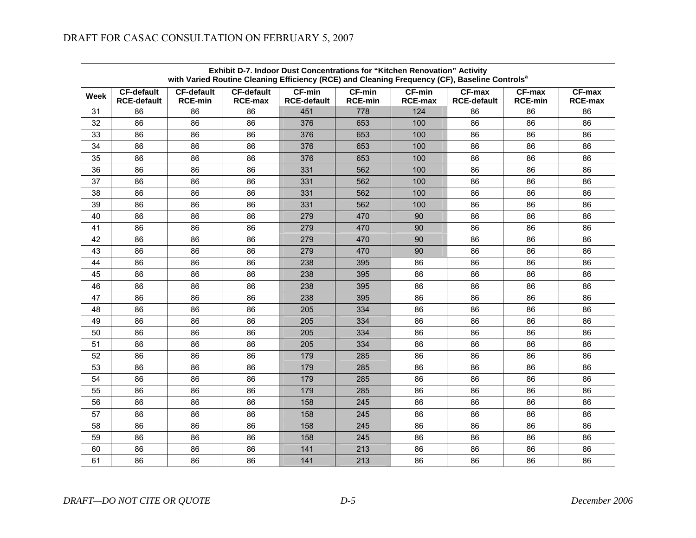| Exhibit D-7. Indoor Dust Concentrations for "Kitchen Renovation" Activity<br>with Varied Routine Cleaning Efficiency (RCE) and Cleaning Frequency (CF), Baseline Controls <sup>a</sup> |                                         |                                     |                                     |                                     |                                 |                                 |                                |                          |                                 |  |  |
|----------------------------------------------------------------------------------------------------------------------------------------------------------------------------------------|-----------------------------------------|-------------------------------------|-------------------------------------|-------------------------------------|---------------------------------|---------------------------------|--------------------------------|--------------------------|---------------------------------|--|--|
| Week                                                                                                                                                                                   | <b>CF-default</b><br><b>RCE-default</b> | <b>CF-default</b><br><b>RCE-min</b> | <b>CF-default</b><br><b>RCE-max</b> | <b>CF-min</b><br><b>RCE-default</b> | <b>CF-min</b><br><b>RCE-min</b> | <b>CF-min</b><br><b>RCE-max</b> | $CF-max$<br><b>RCE-default</b> | CF-max<br><b>RCE-min</b> | <b>CF-max</b><br><b>RCE-max</b> |  |  |
| 31                                                                                                                                                                                     | 86                                      | 86                                  | 86                                  | 451                                 | 778                             | 124                             | 86                             | 86                       | 86                              |  |  |
| 32                                                                                                                                                                                     | 86                                      | 86                                  | 86                                  | 376                                 | 653                             | 100                             | 86                             | 86                       | 86                              |  |  |
| 33                                                                                                                                                                                     | 86                                      | 86                                  | 86                                  | 376                                 | 653                             | 100                             | 86                             | 86                       | 86                              |  |  |
| 34                                                                                                                                                                                     | 86                                      | 86                                  | 86                                  | 376                                 | 653                             | 100                             | 86                             | 86                       | 86                              |  |  |
| 35                                                                                                                                                                                     | 86                                      | 86                                  | 86                                  | 376                                 | 653                             | 100                             | 86                             | 86                       | 86                              |  |  |
| 36                                                                                                                                                                                     | 86                                      | 86                                  | 86                                  | 331                                 | 562                             | 100                             | 86                             | 86                       | 86                              |  |  |
| 37                                                                                                                                                                                     | 86                                      | 86                                  | 86                                  | 331                                 | 562                             | 100                             | 86                             | 86                       | 86                              |  |  |
| 38                                                                                                                                                                                     | 86                                      | 86                                  | 86                                  | 331                                 | 562                             | 100                             | 86                             | 86                       | 86                              |  |  |
| 39                                                                                                                                                                                     | 86                                      | 86                                  | 86                                  | 331                                 | 562                             | 100                             | 86                             | 86                       | 86                              |  |  |
| 40                                                                                                                                                                                     | 86                                      | 86                                  | 86                                  | 279                                 | 470                             | 90                              | 86                             | 86                       | 86                              |  |  |
| 41                                                                                                                                                                                     | 86                                      | 86                                  | 86                                  | 279                                 | 470                             | 90                              | 86                             | 86                       | 86                              |  |  |
| 42                                                                                                                                                                                     | 86                                      | 86                                  | 86                                  | 279                                 | 470                             | 90                              | 86                             | 86                       | 86                              |  |  |
| 43                                                                                                                                                                                     | 86                                      | 86                                  | 86                                  | 279                                 | 470                             | 90                              | 86                             | 86                       | 86                              |  |  |
| 44                                                                                                                                                                                     | 86                                      | 86                                  | 86                                  | 238                                 | 395                             | 86                              | 86                             | 86                       | 86                              |  |  |
| 45                                                                                                                                                                                     | 86                                      | 86                                  | 86                                  | 238                                 | 395                             | 86                              | 86                             | 86                       | 86                              |  |  |
| 46                                                                                                                                                                                     | 86                                      | 86                                  | 86                                  | 238                                 | 395                             | 86                              | 86                             | 86                       | 86                              |  |  |
| 47                                                                                                                                                                                     | 86                                      | 86                                  | 86                                  | 238                                 | 395                             | 86                              | 86                             | 86                       | 86                              |  |  |
| 48                                                                                                                                                                                     | 86                                      | 86                                  | 86                                  | 205                                 | 334                             | 86                              | 86                             | 86                       | 86                              |  |  |
| 49                                                                                                                                                                                     | 86                                      | 86                                  | 86                                  | 205                                 | 334                             | 86                              | 86                             | 86                       | 86                              |  |  |
| 50                                                                                                                                                                                     | 86                                      | 86                                  | 86                                  | 205                                 | 334                             | 86                              | 86                             | 86                       | 86                              |  |  |
| 51                                                                                                                                                                                     | 86                                      | 86                                  | 86                                  | 205                                 | 334                             | 86                              | 86                             | 86                       | 86                              |  |  |
| 52                                                                                                                                                                                     | 86                                      | 86                                  | 86                                  | 179                                 | 285                             | 86                              | 86                             | 86                       | 86                              |  |  |
| 53                                                                                                                                                                                     | 86                                      | 86                                  | 86                                  | 179                                 | 285                             | 86                              | 86                             | 86                       | 86                              |  |  |
| 54                                                                                                                                                                                     | 86                                      | 86                                  | 86                                  | 179                                 | 285                             | 86                              | 86                             | 86                       | 86                              |  |  |
| 55                                                                                                                                                                                     | 86                                      | 86                                  | 86                                  | 179                                 | 285                             | 86                              | 86                             | 86                       | 86                              |  |  |
| 56                                                                                                                                                                                     | 86                                      | 86                                  | 86                                  | 158                                 | 245                             | 86                              | 86                             | 86                       | 86                              |  |  |
| 57                                                                                                                                                                                     | 86                                      | 86                                  | 86                                  | 158                                 | 245                             | 86                              | 86                             | 86                       | 86                              |  |  |
| 58                                                                                                                                                                                     | 86                                      | 86                                  | 86                                  | 158                                 | 245                             | 86                              | 86                             | 86                       | 86                              |  |  |
| 59                                                                                                                                                                                     | 86                                      | 86                                  | 86                                  | 158                                 | 245                             | 86                              | 86                             | 86                       | 86                              |  |  |
| 60                                                                                                                                                                                     | 86                                      | 86                                  | 86                                  | 141                                 | 213                             | 86                              | 86                             | 86                       | 86                              |  |  |
| 61                                                                                                                                                                                     | 86                                      | 86                                  | 86                                  | 141                                 | 213                             | 86                              | 86                             | 86                       | 86                              |  |  |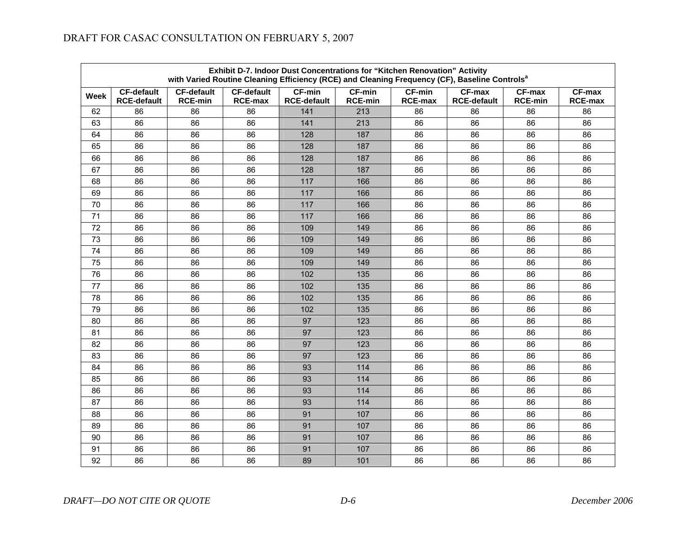| Exhibit D-7. Indoor Dust Concentrations for "Kitchen Renovation" Activity<br>with Varied Routine Cleaning Efficiency (RCE) and Cleaning Frequency (CF), Baseline Controls <sup>a</sup> |                                         |                                     |                                     |                                     |                                 |                                 |                                |                          |                          |  |
|----------------------------------------------------------------------------------------------------------------------------------------------------------------------------------------|-----------------------------------------|-------------------------------------|-------------------------------------|-------------------------------------|---------------------------------|---------------------------------|--------------------------------|--------------------------|--------------------------|--|
| Week                                                                                                                                                                                   | <b>CF-default</b><br><b>RCE-default</b> | <b>CF-default</b><br><b>RCE-min</b> | <b>CF-default</b><br><b>RCE-max</b> | <b>CF-min</b><br><b>RCE-default</b> | <b>CF-min</b><br><b>RCE-min</b> | <b>CF-min</b><br><b>RCE-max</b> | $CF-max$<br><b>RCE-default</b> | CF-max<br><b>RCE-min</b> | CF-max<br><b>RCE-max</b> |  |
| 62                                                                                                                                                                                     | 86                                      | 86                                  | 86                                  | 141                                 | 213                             | 86                              | 86                             | 86                       | 86                       |  |
| 63                                                                                                                                                                                     | 86                                      | 86                                  | 86                                  | 141                                 | 213                             | 86                              | 86                             | 86                       | 86                       |  |
| 64                                                                                                                                                                                     | 86                                      | 86                                  | 86                                  | 128                                 | 187                             | 86                              | 86                             | 86                       | 86                       |  |
| 65                                                                                                                                                                                     | 86                                      | 86                                  | 86                                  | 128                                 | 187                             | 86                              | 86                             | 86                       | 86                       |  |
| 66                                                                                                                                                                                     | 86                                      | 86                                  | 86                                  | 128                                 | 187                             | 86                              | 86                             | 86                       | 86                       |  |
| 67                                                                                                                                                                                     | 86                                      | 86                                  | 86                                  | 128                                 | 187                             | 86                              | 86                             | 86                       | 86                       |  |
| 68                                                                                                                                                                                     | 86                                      | 86                                  | 86                                  | 117                                 | 166                             | 86                              | 86                             | 86                       | 86                       |  |
| 69                                                                                                                                                                                     | 86                                      | 86                                  | 86                                  | 117                                 | 166                             | 86                              | 86                             | 86                       | 86                       |  |
| 70                                                                                                                                                                                     | 86                                      | 86                                  | 86                                  | 117                                 | 166                             | 86                              | 86                             | 86                       | 86                       |  |
| $71$                                                                                                                                                                                   | 86                                      | 86                                  | 86                                  | 117                                 | 166                             | 86                              | 86                             | 86                       | 86                       |  |
| 72                                                                                                                                                                                     | 86                                      | 86                                  | 86                                  | 109                                 | 149                             | 86                              | 86                             | 86                       | 86                       |  |
| 73                                                                                                                                                                                     | 86                                      | 86                                  | 86                                  | 109                                 | 149                             | 86                              | 86                             | 86                       | 86                       |  |
| 74                                                                                                                                                                                     | 86                                      | 86                                  | 86                                  | 109                                 | 149                             | 86                              | 86                             | 86                       | 86                       |  |
| 75                                                                                                                                                                                     | 86                                      | 86                                  | 86                                  | 109                                 | 149                             | 86                              | 86                             | 86                       | 86                       |  |
| 76                                                                                                                                                                                     | 86                                      | 86                                  | 86                                  | 102                                 | 135                             | 86                              | 86                             | 86                       | 86                       |  |
| 77                                                                                                                                                                                     | 86                                      | 86                                  | 86                                  | 102                                 | 135                             | 86                              | 86                             | 86                       | 86                       |  |
| 78                                                                                                                                                                                     | 86                                      | 86                                  | 86                                  | 102                                 | 135                             | 86                              | 86                             | 86                       | 86                       |  |
| 79                                                                                                                                                                                     | 86                                      | 86                                  | 86                                  | 102                                 | 135                             | 86                              | 86                             | 86                       | 86                       |  |
| 80                                                                                                                                                                                     | 86                                      | 86                                  | 86                                  | 97                                  | 123                             | 86                              | 86                             | 86                       | 86                       |  |
| 81                                                                                                                                                                                     | 86                                      | 86                                  | 86                                  | 97                                  | 123                             | 86                              | 86                             | 86                       | 86                       |  |
| 82                                                                                                                                                                                     | 86                                      | 86                                  | 86                                  | 97                                  | 123                             | 86                              | 86                             | 86                       | 86                       |  |
| 83                                                                                                                                                                                     | 86                                      | 86                                  | 86                                  | 97                                  | 123                             | 86                              | 86                             | 86                       | 86                       |  |
| 84                                                                                                                                                                                     | 86                                      | 86                                  | 86                                  | 93                                  | 114                             | 86                              | 86                             | 86                       | 86                       |  |
| 85                                                                                                                                                                                     | 86                                      | 86                                  | 86                                  | 93                                  | 114                             | 86                              | 86                             | 86                       | 86                       |  |
| 86                                                                                                                                                                                     | 86                                      | 86                                  | 86                                  | 93                                  | 114                             | 86                              | 86                             | 86                       | 86                       |  |
| 87                                                                                                                                                                                     | 86                                      | 86                                  | 86                                  | 93                                  | 114                             | 86                              | 86                             | 86                       | 86                       |  |
| 88                                                                                                                                                                                     | 86                                      | 86                                  | 86                                  | 91                                  | 107                             | 86                              | 86                             | 86                       | 86                       |  |
| 89                                                                                                                                                                                     | 86                                      | 86                                  | 86                                  | 91                                  | 107                             | 86                              | 86                             | 86                       | 86                       |  |
| 90                                                                                                                                                                                     | 86                                      | 86                                  | 86                                  | 91                                  | 107                             | 86                              | 86                             | 86                       | 86                       |  |
| 91                                                                                                                                                                                     | 86                                      | 86                                  | 86                                  | 91                                  | 107                             | 86                              | 86                             | 86                       | 86                       |  |
| 92                                                                                                                                                                                     | 86                                      | 86                                  | 86                                  | 89                                  | 101                             | 86                              | 86                             | 86                       | 86                       |  |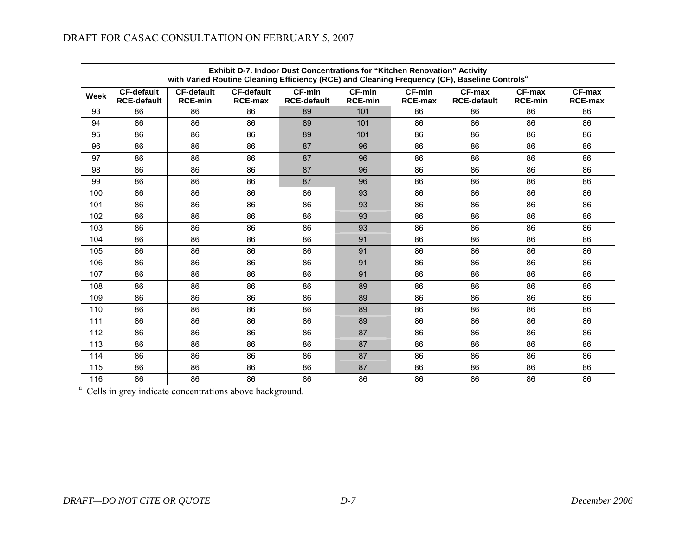| <b>Exhibit D-7. Indoor Dust Concentrations for "Kitchen Renovation" Activity</b><br>with Varied Routine Cleaning Efficiency (RCE) and Cleaning Frequency (CF), Baseline Controls <sup>a</sup> |                                         |                                     |                                     |                                     |                                 |                                 |                                     |                          |                            |  |  |
|-----------------------------------------------------------------------------------------------------------------------------------------------------------------------------------------------|-----------------------------------------|-------------------------------------|-------------------------------------|-------------------------------------|---------------------------------|---------------------------------|-------------------------------------|--------------------------|----------------------------|--|--|
| Week                                                                                                                                                                                          | <b>CF-default</b><br><b>RCE-default</b> | <b>CF-default</b><br><b>RCE-min</b> | <b>CF-default</b><br><b>RCE-max</b> | <b>CF-min</b><br><b>RCE-default</b> | <b>CF-min</b><br><b>RCE-min</b> | <b>CF-min</b><br><b>RCE-max</b> | <b>CF-max</b><br><b>RCE-default</b> | CF-max<br><b>RCE-min</b> | $CF-max$<br><b>RCE-max</b> |  |  |
| 93                                                                                                                                                                                            | 86                                      | 86                                  | 86                                  | 89                                  | 101                             | 86                              | 86                                  | 86                       | 86                         |  |  |
| 94                                                                                                                                                                                            | 86                                      | 86                                  | 86                                  | 89                                  | 101                             | 86                              | 86                                  | 86                       | 86                         |  |  |
| 95                                                                                                                                                                                            | 86                                      | 86                                  | 86                                  | 89                                  | 101                             | 86                              | 86                                  | 86                       | 86                         |  |  |
| 96                                                                                                                                                                                            | 86                                      | 86                                  | 86                                  | 87                                  | 96                              | 86                              | 86                                  | 86                       | 86                         |  |  |
| 97                                                                                                                                                                                            | 86                                      | 86                                  | 86                                  | 87                                  | 96                              | 86                              | 86                                  | 86                       | 86                         |  |  |
| 98                                                                                                                                                                                            | 86                                      | 86                                  | 86                                  | 87                                  | 96                              | 86                              | 86                                  | 86                       | 86                         |  |  |
| 99                                                                                                                                                                                            | 86                                      | 86                                  | 86                                  | 87                                  | 96                              | 86                              | 86                                  | 86                       | 86                         |  |  |
| 100                                                                                                                                                                                           | 86                                      | 86                                  | 86                                  | 86                                  | 93                              | 86                              | 86                                  | 86                       | 86                         |  |  |
| 101                                                                                                                                                                                           | 86                                      | 86                                  | 86                                  | 86                                  | 93                              | 86                              | 86                                  | 86                       | 86                         |  |  |
| 102                                                                                                                                                                                           | 86                                      | 86                                  | 86                                  | 86                                  | 93                              | 86                              | 86                                  | 86                       | 86                         |  |  |
| 103                                                                                                                                                                                           | 86                                      | 86                                  | 86                                  | 86                                  | 93                              | 86                              | 86                                  | 86                       | 86                         |  |  |
| 104                                                                                                                                                                                           | 86                                      | 86                                  | 86                                  | 86                                  | 91                              | 86                              | 86                                  | 86                       | 86                         |  |  |
| 105                                                                                                                                                                                           | 86                                      | 86                                  | 86                                  | 86                                  | 91                              | 86                              | 86                                  | 86                       | 86                         |  |  |
| 106                                                                                                                                                                                           | 86                                      | 86                                  | 86                                  | 86                                  | 91                              | 86                              | 86                                  | 86                       | 86                         |  |  |
| 107                                                                                                                                                                                           | 86                                      | 86                                  | 86                                  | 86                                  | 91                              | 86                              | 86                                  | 86                       | 86                         |  |  |
| 108                                                                                                                                                                                           | 86                                      | 86                                  | 86                                  | 86                                  | 89                              | 86                              | 86                                  | 86                       | 86                         |  |  |
| 109                                                                                                                                                                                           | 86                                      | 86                                  | 86                                  | 86                                  | 89                              | 86                              | 86                                  | 86                       | 86                         |  |  |
| 110                                                                                                                                                                                           | 86                                      | 86                                  | 86                                  | 86                                  | 89                              | 86                              | 86                                  | 86                       | 86                         |  |  |
| 111                                                                                                                                                                                           | 86                                      | 86                                  | 86                                  | 86                                  | 89                              | 86                              | 86                                  | 86                       | 86                         |  |  |
| 112                                                                                                                                                                                           | 86                                      | 86                                  | 86                                  | 86                                  | 87                              | 86                              | 86                                  | 86                       | 86                         |  |  |
| 113                                                                                                                                                                                           | 86                                      | 86                                  | 86                                  | 86                                  | 87                              | 86                              | 86                                  | 86                       | 86                         |  |  |
| 114                                                                                                                                                                                           | 86                                      | 86                                  | 86                                  | 86                                  | 87                              | 86                              | 86                                  | 86                       | 86                         |  |  |
| 115                                                                                                                                                                                           | 86                                      | 86                                  | 86                                  | 86                                  | 87                              | 86                              | 86                                  | 86                       | 86                         |  |  |
| 116                                                                                                                                                                                           | 86                                      | 86                                  | 86                                  | 86                                  | 86                              | 86                              | 86                                  | 86                       | 86                         |  |  |

<sup>a</sup> Cells in grey indicate concentrations above background.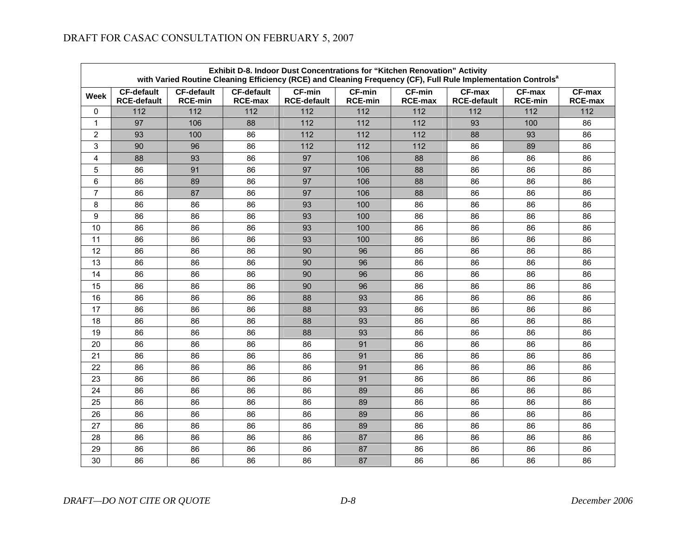| Exhibit D-8. Indoor Dust Concentrations for "Kitchen Renovation" Activity<br>with Varied Routine Cleaning Efficiency (RCE) and Cleaning Frequency (CF), Full Rule Implementation Controls <sup>a</sup> |                                         |                                     |                                     |                                     |                                 |                                 |                                     |                          |                                 |  |
|--------------------------------------------------------------------------------------------------------------------------------------------------------------------------------------------------------|-----------------------------------------|-------------------------------------|-------------------------------------|-------------------------------------|---------------------------------|---------------------------------|-------------------------------------|--------------------------|---------------------------------|--|
| Week                                                                                                                                                                                                   | <b>CF-default</b><br><b>RCE-default</b> | <b>CF-default</b><br><b>RCE-min</b> | <b>CF-default</b><br><b>RCE-max</b> | <b>CF-min</b><br><b>RCE-default</b> | <b>CF-min</b><br><b>RCE-min</b> | <b>CF-min</b><br><b>RCE-max</b> | <b>CF-max</b><br><b>RCE-default</b> | CF-max<br><b>RCE-min</b> | <b>CF-max</b><br><b>RCE-max</b> |  |
| 0                                                                                                                                                                                                      | 112                                     | 112                                 | 112                                 | 112                                 | 112                             | 112                             | 112                                 | 112                      | 112                             |  |
| $\mathbf 1$                                                                                                                                                                                            | 97                                      | 106                                 | 88                                  | 112                                 | 112                             | 112                             | 93                                  | 100                      | 86                              |  |
| $\overline{2}$                                                                                                                                                                                         | 93                                      | 100                                 | 86                                  | 112                                 | 112                             | 112                             | 88                                  | 93                       | 86                              |  |
| 3                                                                                                                                                                                                      | 90                                      | 96                                  | 86                                  | 112                                 | 112                             | 112                             | 86                                  | 89                       | 86                              |  |
| $\overline{\mathbf{4}}$                                                                                                                                                                                | 88                                      | 93                                  | 86                                  | 97                                  | 106                             | 88                              | 86                                  | 86                       | 86                              |  |
| 5                                                                                                                                                                                                      | 86                                      | 91                                  | 86                                  | 97                                  | 106                             | 88                              | 86                                  | 86                       | 86                              |  |
| $\,6\,$                                                                                                                                                                                                | 86                                      | 89                                  | 86                                  | 97                                  | 106                             | 88                              | 86                                  | 86                       | 86                              |  |
| $\overline{7}$                                                                                                                                                                                         | 86                                      | 87                                  | 86                                  | 97                                  | 106                             | 88                              | 86                                  | 86                       | 86                              |  |
| 8                                                                                                                                                                                                      | 86                                      | 86                                  | 86                                  | 93                                  | 100                             | 86                              | 86                                  | 86                       | 86                              |  |
| 9                                                                                                                                                                                                      | 86                                      | 86                                  | 86                                  | 93                                  | 100                             | 86                              | 86                                  | 86                       | 86                              |  |
| 10                                                                                                                                                                                                     | 86                                      | 86                                  | 86                                  | 93                                  | 100                             | 86                              | 86                                  | 86                       | 86                              |  |
| 11                                                                                                                                                                                                     | 86                                      | 86                                  | 86                                  | 93                                  | 100                             | 86                              | 86                                  | 86                       | 86                              |  |
| 12                                                                                                                                                                                                     | 86                                      | 86                                  | 86                                  | 90                                  | 96                              | 86                              | 86                                  | 86                       | 86                              |  |
| 13                                                                                                                                                                                                     | 86                                      | 86                                  | 86                                  | 90                                  | 96                              | 86                              | 86                                  | 86                       | 86                              |  |
| 14                                                                                                                                                                                                     | 86                                      | 86                                  | 86                                  | 90                                  | 96                              | 86                              | 86                                  | 86                       | 86                              |  |
| 15                                                                                                                                                                                                     | 86                                      | 86                                  | 86                                  | 90                                  | 96                              | 86                              | 86                                  | 86                       | 86                              |  |
| 16                                                                                                                                                                                                     | 86                                      | 86                                  | 86                                  | 88                                  | 93                              | 86                              | 86                                  | 86                       | 86                              |  |
| 17                                                                                                                                                                                                     | 86                                      | 86                                  | 86                                  | 88                                  | 93                              | 86                              | 86                                  | 86                       | 86                              |  |
| 18                                                                                                                                                                                                     | 86                                      | 86                                  | 86                                  | 88                                  | 93                              | 86                              | 86                                  | 86                       | 86                              |  |
| 19                                                                                                                                                                                                     | 86                                      | 86                                  | 86                                  | 88                                  | 93                              | 86                              | 86                                  | 86                       | 86                              |  |
| 20                                                                                                                                                                                                     | 86                                      | 86                                  | 86                                  | 86                                  | 91                              | 86                              | 86                                  | 86                       | 86                              |  |
| 21                                                                                                                                                                                                     | 86                                      | 86                                  | 86                                  | 86                                  | 91                              | 86                              | 86                                  | 86                       | 86                              |  |
| 22                                                                                                                                                                                                     | 86                                      | 86                                  | 86                                  | 86                                  | 91                              | 86                              | 86                                  | 86                       | 86                              |  |
| 23                                                                                                                                                                                                     | 86                                      | 86                                  | 86                                  | 86                                  | 91                              | 86                              | 86                                  | 86                       | 86                              |  |
| 24                                                                                                                                                                                                     | 86                                      | 86                                  | 86                                  | 86                                  | 89                              | 86                              | 86                                  | 86                       | 86                              |  |
| 25                                                                                                                                                                                                     | 86                                      | 86                                  | 86                                  | 86                                  | 89                              | 86                              | 86                                  | 86                       | 86                              |  |
| 26                                                                                                                                                                                                     | 86                                      | 86                                  | 86                                  | 86                                  | 89                              | 86                              | 86                                  | 86                       | 86                              |  |
| 27                                                                                                                                                                                                     | 86                                      | 86                                  | 86                                  | 86                                  | 89                              | 86                              | 86                                  | 86                       | 86                              |  |
| 28                                                                                                                                                                                                     | 86                                      | 86                                  | 86                                  | 86                                  | 87                              | 86                              | 86                                  | 86                       | 86                              |  |
| 29                                                                                                                                                                                                     | 86                                      | 86                                  | 86                                  | 86                                  | 87                              | 86                              | 86                                  | 86                       | 86                              |  |
| 30                                                                                                                                                                                                     | 86                                      | 86                                  | 86                                  | 86                                  | 87                              | 86                              | 86                                  | 86                       | 86                              |  |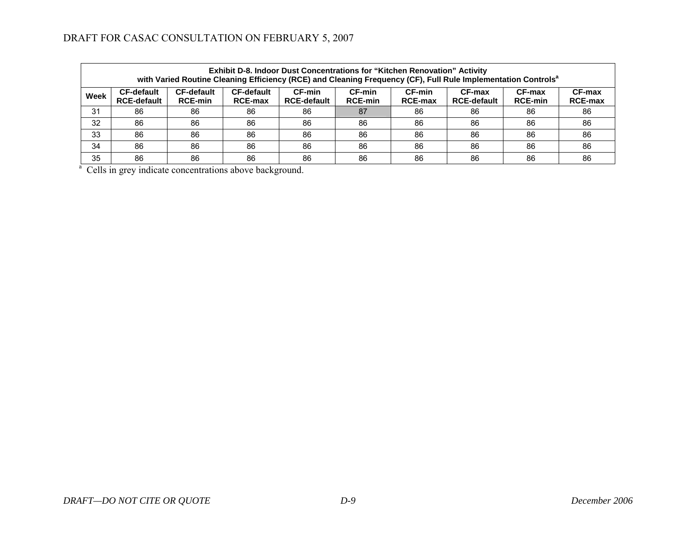| Exhibit D-8. Indoor Dust Concentrations for "Kitchen Renovation" Activity<br>with Varied Routine Cleaning Efficiency (RCE) and Cleaning Frequency (CF), Full Rule Implementation Controls <sup>a</sup> |                                         |                                     |                                     |                              |                                 |                          |                              |                          |                          |  |  |
|--------------------------------------------------------------------------------------------------------------------------------------------------------------------------------------------------------|-----------------------------------------|-------------------------------------|-------------------------------------|------------------------------|---------------------------------|--------------------------|------------------------------|--------------------------|--------------------------|--|--|
| Week                                                                                                                                                                                                   | <b>CF-default</b><br><b>RCE-default</b> | <b>CF-default</b><br><b>RCE-min</b> | <b>CF-default</b><br><b>RCE-max</b> | CF-min<br><b>RCE-default</b> | <b>CF-min</b><br><b>RCE-min</b> | CF-min<br><b>RCE-max</b> | CF-max<br><b>RCE-default</b> | CF-max<br><b>RCE-min</b> | CF-max<br><b>RCE-max</b> |  |  |
| 31                                                                                                                                                                                                     | 86                                      | 86                                  | 86                                  | 86                           | 87                              | 86                       | 86                           | 86                       | 86                       |  |  |
| 32                                                                                                                                                                                                     | 86                                      | 86                                  | 86                                  | 86                           | 86                              | 86                       | 86                           | 86                       | 86                       |  |  |
| 33                                                                                                                                                                                                     | 86                                      | 86                                  | 86                                  | 86                           | 86                              | 86                       | 86                           | 86                       | 86                       |  |  |
| 34                                                                                                                                                                                                     | 86                                      | 86                                  | 86                                  | 86                           | 86                              | 86                       | 86                           | 86                       | 86                       |  |  |
| 35                                                                                                                                                                                                     | 86                                      | 86                                  | 86                                  | 86                           | 86                              | 86                       | 86                           | 86                       | 86                       |  |  |

<sup>a</sup> Cells in grey indicate concentrations above background.